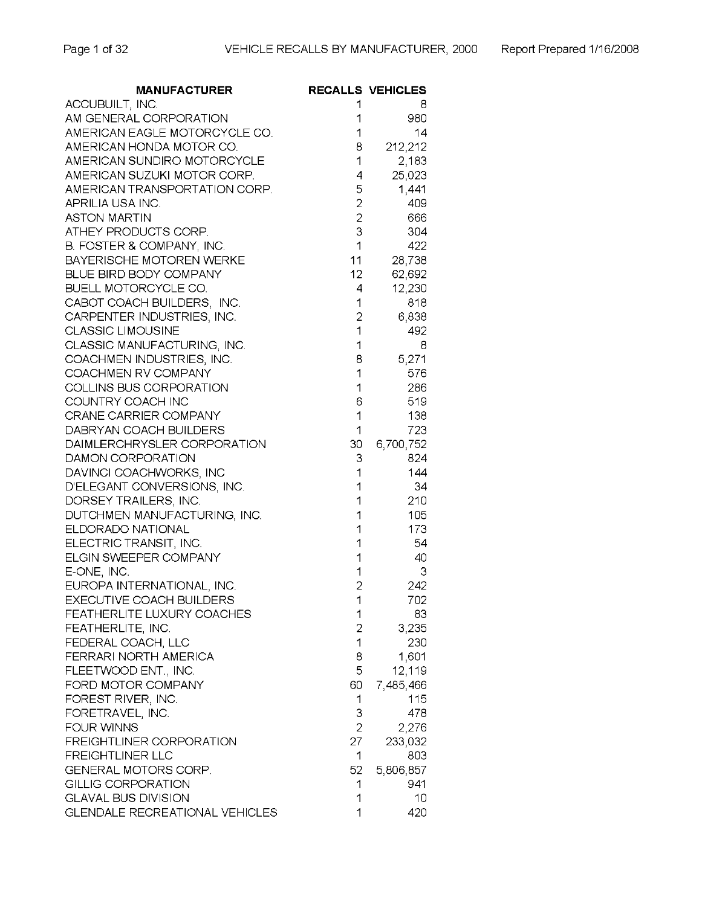| <b>MANUFACTURER</b>                         |                | <b>RECALLS VEHICLES</b> |
|---------------------------------------------|----------------|-------------------------|
| ACCUBUILT, INC.                             |                | 8                       |
| AM GENERAL CORPORATION                      | 1              | 980                     |
| AMERICAN EAGLE MOTORCYCLE CO.               | 1              | 14                      |
| AMERICAN HONDA MOTOR CO.                    | 8              | 212,212                 |
| AMERICAN SUNDIRO MOTORCYCLE                 | 1              | 2,183                   |
| AMERICAN SUZUKI MOTOR CORP.                 | 4              | 25,023                  |
| AMERICAN TRANSPORTATION CORP.               | 5              | 1,441                   |
| APRILIA USA INC.                            | $\overline{c}$ | 409                     |
| <b>ASTON MARTIN</b>                         | $\overline{c}$ | 666                     |
| ATHEY PRODUCTS CORP.                        | 3              | 304                     |
| B. FOSTER & COMPANY, INC.                   | 1              | 422                     |
| <b>BAYERISCHE MOTOREN WERKE</b>             |                | $11 -$<br>28,738        |
| BLUE BIRD BODY COMPANY                      | 12             | 62,692                  |
| BUELL MOTORCYCLE CO.                        | 4              | 12,230                  |
| CABOT COACH BUILDERS, INC.                  | 1              | 818                     |
| CARPENTER INDUSTRIES, INC.                  | $\overline{c}$ | 6,838                   |
| <b>CLASSIC LIMOUSINE</b>                    | 1              | 492                     |
| CLASSIC MANUFACTURING, INC.                 | 1              | 8                       |
| COACHMEN INDUSTRIES, INC.                   | 8              | 5,271                   |
| COACHMEN RV COMPANY                         | 1              | 576                     |
| COLLINS BUS CORPORATION                     | 1              | 286                     |
| COUNTRY COACH INC                           | 6              | 519                     |
| CRANE CARRIER COMPANY                       | 1              | 138                     |
| DABRYAN COACH BUILDERS                      | 1              | 723                     |
| DAIMLERCHRYSLER CORPORATION                 | 30             | 6,700,752               |
| DAMON CORPORATION                           | 3              | 824                     |
| DAVINCI COACHWORKS, INC                     | 1              | 144                     |
| D'ELEGANT CONVERSIONS, INC.                 | 1              | 34                      |
| DORSEY TRAILERS, INC.                       | 1              | 210                     |
| DUTCHMEN MANUFACTURING, INC.                | 1              | 105                     |
| ELDORADO NATIONAL                           | 1              | 173                     |
| ELECTRIC TRANSIT, INC.                      | 1              | 54                      |
| ELGIN SWEEPER COMPANY                       | 1              | 40                      |
| E-ONE, INC.                                 | 1              | 3                       |
| EUROPA INTERNATIONAL, INC.                  | $\overline{c}$ | 242                     |
| EXECUTIVE COACH BUILDERS                    | 1              | 702                     |
| FEATHERLITE LUXURY COACHES                  | 1              | 83                      |
| FEATHERLITE, INC.                           | $\overline{2}$ | 3,235                   |
|                                             | 1              | 230                     |
| FEDERAL COACH, LLC<br>FERRARI NORTH AMERICA | 8              | 1,601                   |
|                                             | 5              |                         |
| FLEETWOOD ENT., INC.                        |                | 12,119                  |
| FORD MOTOR COMPANY                          | 60             | 7,485,466               |
| FOREST RIVER, INC.                          | 1              | 115                     |
| FORETRAVEL, INC.                            | З              | 478                     |
| <b>FOUR WINNS</b>                           | $\overline{2}$ | 2,276                   |
| <b>FREIGHTLINER CORPORATION</b>             | 27             | 233,032                 |
| <b>FREIGHTLINER LLC</b>                     | 1              | 803                     |
| GENERAL MOTORS CORP.                        | 52             | 5,806,857               |
| <b>GILLIG CORPORATION</b>                   | 1              | 941                     |
| <b>GLAVAL BUS DIVISION</b>                  | 1              | 10                      |
| <b>GLENDALE RECREATIONAL VEHICLES</b>       | 1              | 420                     |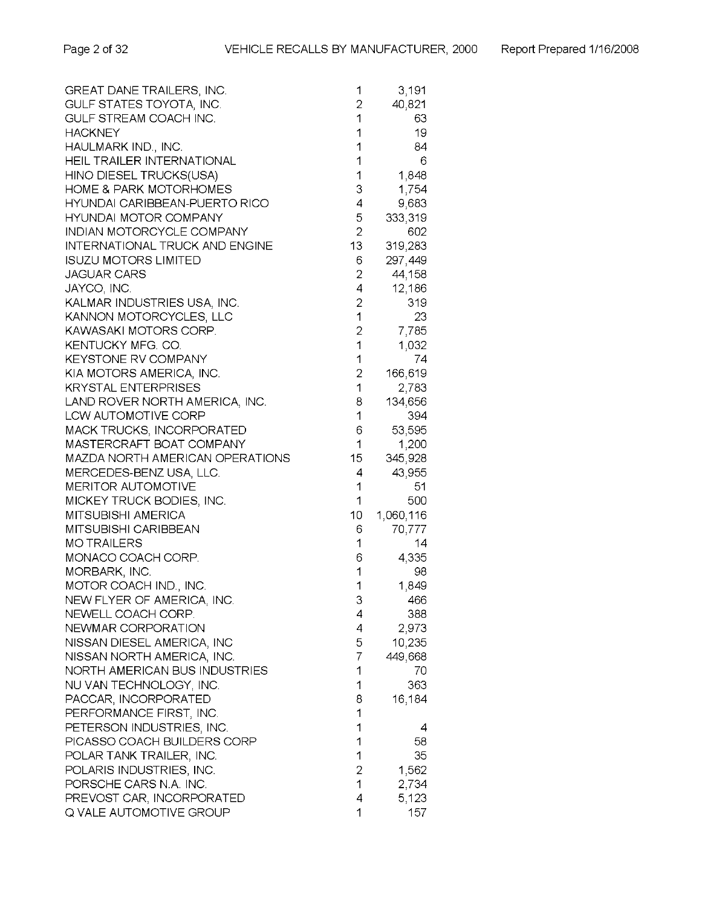| GREAT DANE TRAILERS, INC.         | 1              | 3,191     |
|-----------------------------------|----------------|-----------|
| GULF STATES TOYOTA, INC.          | $\overline{c}$ | 40,821    |
| GULF STREAM COACH INC.            | 1              | 63        |
| <b>HACKNEY</b>                    | 1              | 19        |
| HAULMARK IND., INC.               | 1              | 84        |
| HEIL TRAILER INTERNATIONAL        | 1              | 6         |
| HINO DIESEL TRUCKS(USA)           | 1              | 1,848     |
| <b>HOME &amp; PARK MOTORHOMES</b> | 3              | 1,754     |
| HYUNDAI CARIBBEAN-PUERTO RICO     | 4              | 9,683     |
| <b>HYUNDAI MOTOR COMPANY</b>      | 5              | 333,319   |
| INDIAN MOTORCYCLE COMPANY         | $\overline{2}$ |           |
|                                   |                | 602       |
| INTERNATIONAL TRUCK AND ENGINE    | 13             | 319,283   |
| <b>ISUZU MOTORS LIMITED</b>       | 6              | 297,449   |
| <b>JAGUAR CARS</b>                | $\overline{c}$ | 44,158    |
| JAYCO, INC.                       | 4              | 12,186    |
| KALMAR INDUSTRIES USA, INC.       | $\overline{c}$ | 319       |
| KANNON MOTORCYCLES, LLC           | 1              | 23        |
| KAWASAKI MOTORS CORP.             | $\overline{2}$ | 7,785     |
| KENTUCKY MFG. CO.                 | 1              | 1,032     |
| <b>KEYSTONE RV COMPANY</b>        | 1              | 74        |
| KIA MOTORS AMERICA, INC.          | $\overline{c}$ | 166,619   |
| <b>KRYSTAL ENTERPRISES</b>        | 1              | 2,783     |
| LAND ROVER NORTH AMERICA, INC.    | 8              | 134,656   |
| <b>LCW AUTOMOTIVE CORP</b>        | 1              | 394       |
| MACK TRUCKS, INCORPORATED         | 6              | 53,595    |
| MASTERCRAFT BOAT COMPANY          | 1              | 1,200     |
| MAZDA NORTH AMERICAN OPERATIONS   | 15             | 345,928   |
| MERCEDES-BENZ USA, LLC.           | 4              | 43,955    |
| <b>MERITOR AUTOMOTIVE</b>         | 1              | 51        |
| MICKEY TRUCK BODIES, INC.         | 1              | 500       |
| <b>MITSUBISHI AMERICA</b>         | 10             | 1,060,116 |
| MITSUBISHI CARIBBEAN              | 6              |           |
|                                   |                | 70,777    |
| <b>MOTRAILERS</b>                 | 1              | 14        |
| MONACO COACH CORP.                | 6              | 4,335     |
| MORBARK, INC.                     | 1              | 98        |
| MOTOR COACH IND., INC.            | 1              | 1,849     |
| NEW FLYER OF AMERICA, INC.        | 3              | 466       |
| NEWELL COACH CORP.                | 4              | 388       |
| NEWMAR CORPORATION                | 4              | 2,973     |
| NISSAN DIESEL AMERICA, INC        | 5              | 10,235    |
| NISSAN NORTH AMERICA, INC.        | 7              | 449,668   |
| NORTH AMERICAN BUS INDUSTRIES     | 1              | 70        |
| NU VAN TECHNOLOGY, INC.           | 1              | 363       |
| PACCAR, INCORPORATED              | 8              | 16,184    |
| PERFORMANCE FIRST, INC.           | 1              |           |
| PETERSON INDUSTRIES, INC.         | 1              | 4         |
| PICASSO COACH BUILDERS CORP       | 1              | 58        |
| POLAR TANK TRAILER, INC.          | 1              | 35        |
| POLARIS INDUSTRIES, INC.          | $\overline{2}$ | 1,562     |
| PORSCHE CARS N.A. INC.            | 1              | 2,734     |
| PREVOST CAR, INCORPORATED         | 4              | 5,123     |
| Q VALE AUTOMOTIVE GROUP           | 1              | 157       |
|                                   |                |           |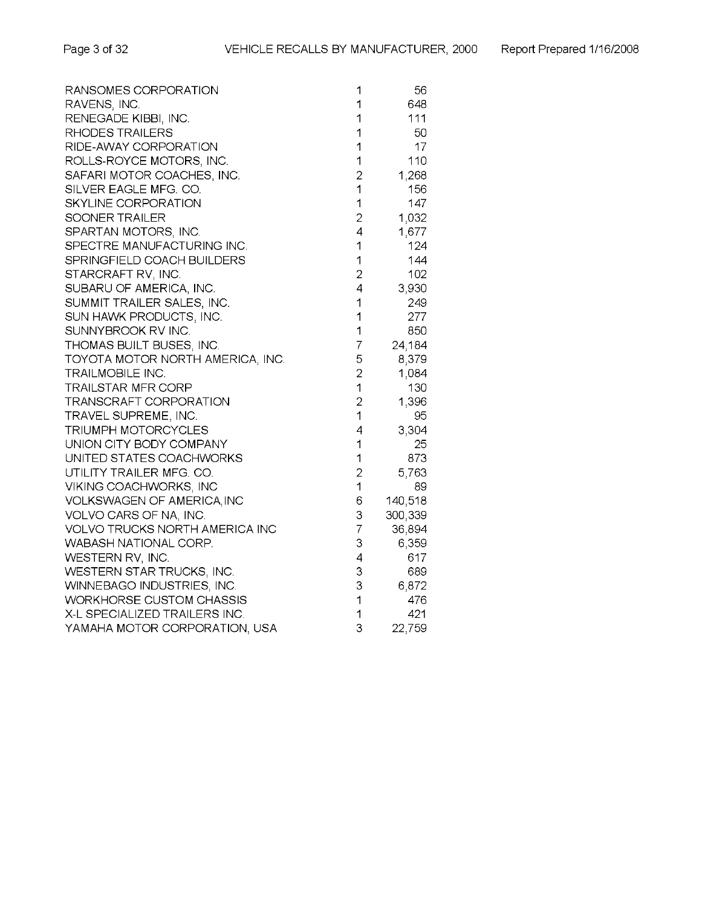| RANSOMES CORPORATION             | 1              | 56      |
|----------------------------------|----------------|---------|
| RAVENS, INC.                     | 1              | 648     |
| RENEGADE KIBBI, INC.             | 1              | 111     |
| RHODES TRAILERS                  | 1              | 50      |
| RIDE-AWAY CORPORATION            | 1              | 17      |
| ROLLS-ROYCE MOTORS, INC.         | 1              | 110     |
| SAFARI MOTOR COACHES, INC.       | $\overline{c}$ | 1,268   |
| SILVER EAGLE MFG. CO.            | 1              | 156     |
| SKYLINE CORPORATION              | 1              | 147     |
| SOONER TRAILER                   | $\overline{2}$ | 1,032   |
| SPARTAN MOTORS, INC.             | 4              | 1,677   |
| SPECTRE MANUFACTURING INC.       | 1              | 124     |
| SPRINGFIELD COACH BUILDERS       | 1              | 144     |
| STARCRAFT RV, INC.               | $\overline{c}$ | 102     |
| SUBARU OF AMERICA, INC.          | 4              | 3,930   |
| SUMMIT TRAILER SALES, INC.       | 1              | 249     |
| SUN HAWK PRODUCTS, INC.          | 1              | 277     |
| SUNNYBROOK RV INC.               | 1              | 850     |
| THOMAS BUILT BUSES, INC.         | 7              | 24,184  |
| TOYOTA MOTOR NORTH AMERICA, INC. | 5              | 8,379   |
| TRAILMOBILE INC.                 | $\overline{2}$ | 1,084   |
| <b>TRAILSTAR MFR CORP</b>        | 1              | 130     |
| TRANSCRAFT CORPORATION           | $\overline{c}$ | 1,396   |
| TRAVEL SUPREME, INC.             | 1              | 95      |
| TRIUMPH MOTORCYCLES              | 4              | 3,304   |
| UNION CITY BODY COMPANY          | 1              | 25      |
| UNITED STATES COACHWORKS         | 1              | 873     |
| UTILITY TRAILER MFG. CO.         | 2              | 5,763   |
| VIKING COACHWORKS, INC           | 1              | 89      |
| VOLKSWAGEN OF AMERICA, INC       | 6              | 140,518 |
| VOLVO CARS OF NA, INC.           | З              | 300,339 |
| VOLVO TRUCKS NORTH AMERICA INC   | 7              | 36,894  |
| WABASH NATIONAL CORP.            | 3              | 6,359   |
| WESTERN RV, INC.                 | 4              | 617     |
| WESTERN STAR TRUCKS, INC.        | 3              | 689     |
| WINNEBAGO INDUSTRIES, INC.       | 3              | 6,872   |
| <b>WORKHORSE CUSTOM CHASSIS</b>  | 1              | 476     |
| X-L SPECIALIZED TRAILERS INC.    | 1              | 421     |
| YAMAHA MOTOR CORPORATION, USA    | 3              | 22,759  |
|                                  |                |         |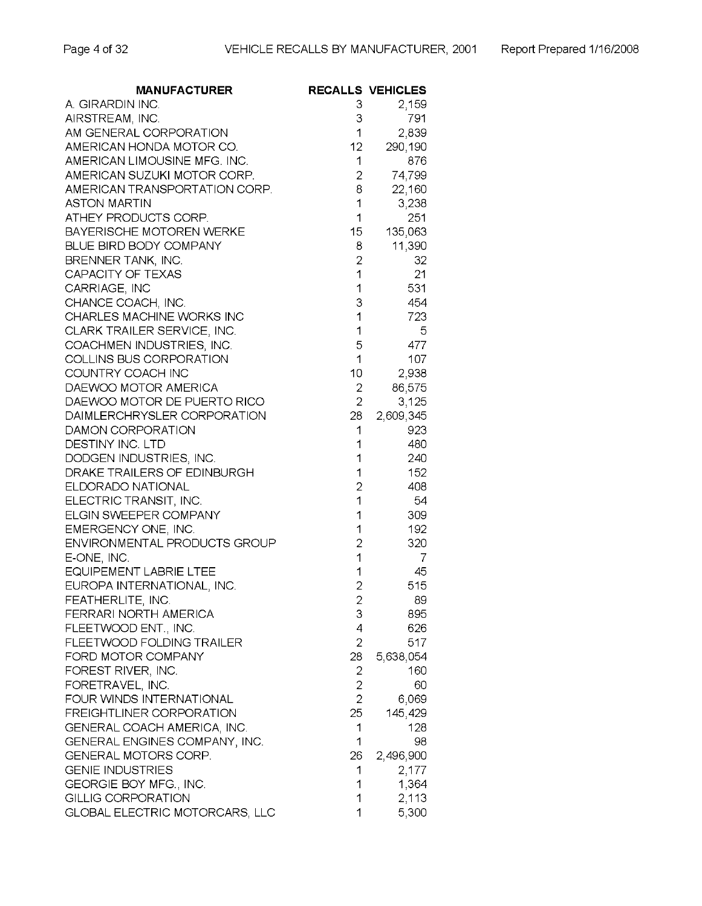| <b>MANUFACTURER</b>                               |                                  | <b>RECALLS VEHICLES</b> |
|---------------------------------------------------|----------------------------------|-------------------------|
| A. GIRARDIN INC.                                  | 3                                | 2,159                   |
| AIRSTREAM, INC.                                   | 3                                | 791                     |
| AM GENERAL CORPORATION                            | 1                                | 2,839                   |
| AMERICAN HONDA MOTOR CO.                          | $12 -$                           | 290,190                 |
| AMERICAN LIMOUSINE MFG. INC.                      | 1                                | 876                     |
| AMERICAN SUZUKI MOTOR CORP.                       | $\overline{2}$                   | 74,799                  |
| AMERICAN TRANSPORTATION CORP.                     | 8                                | 22,160                  |
| ASTON MARTIN                                      | 1                                | 3,238                   |
| ATHEY PRODUCTS CORP.                              | 1                                | 251                     |
| BAYERISCHE MOTOREN WERKE                          | $15 -$                           | 135,063                 |
| BLUE BIRD BODY COMPANY                            | 8                                | 11,390                  |
| BRENNER TANK, INC.                                | $\overline{c}$                   | 32                      |
| CAPACITY OF TEXAS                                 | 1                                | 21                      |
| CARRIAGE, INC                                     | 1                                | 531                     |
| CHANCE COACH, INC.                                | 3                                | 454                     |
| CHARLES MACHINE WORKS INC                         | 1                                | 723                     |
| CLARK TRAILER SERVICE, INC.                       | 1                                | 5.                      |
| COACHMEN INDUSTRIES, INC.                         | 5                                | 477                     |
| COLLINS BUS CORPORATION                           | 1                                | 107                     |
| COUNTRY COACH INC                                 | 10                               | 2,938                   |
| DAEWOO MOTOR AMERICA                              | $\overline{c}$                   | 86,575                  |
| DAEWOO MOTOR DE PUERTO RICO                       | $\overline{2}$                   | 3,125                   |
| DAIMLERCHRYSLER CORPORATION                       | 28                               | 2,609,345               |
| DAMON CORPORATION                                 | 1                                | 923                     |
| DESTINY INC. LTD                                  | 1                                | 480                     |
| DODGEN INDUSTRIES, INC.                           | 1                                | 240                     |
| DRAKE TRAILERS OF EDINBURGH                       | 1                                | 152                     |
| ELDORADO NATIONAL                                 | $\overline{c}$                   | 408                     |
| ELECTRIC TRANSIT, INC.                            | 1                                | 54                      |
| ELGIN SWEEPER COMPANY                             | 1                                | 309                     |
| EMERGENCY ONE, INC.                               | 1                                | 192                     |
| ENVIRONMENTAL PRODUCTS GROUP                      | $\overline{c}$                   | 320                     |
| E-ONE, INC.                                       | $\overline{1}$                   | 7                       |
| <b>EQUIPEMENT LABRIE LTEE</b>                     | 1                                | 45                      |
| EUROPA INTERNATIONAL, INC.                        | $\overline{2}$                   | 515                     |
| FEATHERLITE, INC.                                 |                                  | 89                      |
| FERRARI NORTH AMERICA                             | ۷<br>3                           | 895                     |
|                                                   | 4                                | 626                     |
| FLEETWOOD ENT., INC.<br>FLEETWOOD FOLDING TRAILER | $\overline{2}$                   | 517                     |
| FORD MOTOR COMPANY                                |                                  |                         |
|                                                   | 28                               | 5,638,054               |
| FOREST RIVER, INC.                                | 2                                | 160                     |
| FORETRAVEL, INC.                                  | $\overline{2}$<br>$\overline{2}$ | 60                      |
| FOUR WINDS INTERNATIONAL                          |                                  | 6,069                   |
| FREIGHTLINER CORPORATION                          | 25                               | 145,429                 |
| GENERAL COACH AMERICA, INC.                       | 1                                | 128                     |
| GENERAL ENGINES COMPANY, INC.                     | 1                                | 98                      |
| GENERAL MOTORS CORP.                              | 26                               | 2,496,900               |
| <b>GENIE INDUSTRIES</b>                           | 1                                | 2,177                   |
| GEORGIE BOY MFG., INC.                            | 1                                | 1,364                   |
| <b>GILLIG CORPORATION</b>                         | 1                                | 2,113                   |
| <b>GLOBAL ELECTRIC MOTORCARS, LLC</b>             | 1                                | 5,300                   |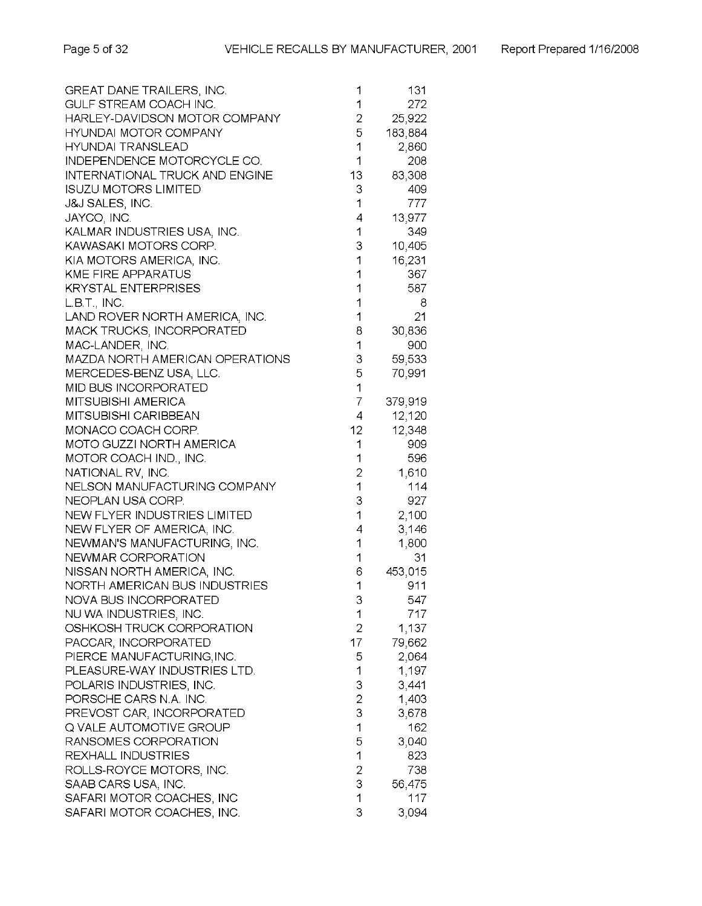| GREAT DANE TRAILERS, INC.             | 1              | 131     |
|---------------------------------------|----------------|---------|
| GULF STREAM COACH INC.                | 1              | 272     |
| HARLEY-DAVIDSON MOTOR COMPANY         | $\overline{c}$ | 25,922  |
| <b>HYUNDAI MOTOR COMPANY</b>          | 5              | 183,884 |
| <b>HYUNDAI TRANSLEAD</b>              | 1              | 2,860   |
| INDEPENDENCE MOTORCYCLE CO.           | 1              | 208     |
| <b>INTERNATIONAL TRUCK AND ENGINE</b> | 13             | 83,308  |
| <b>ISUZU MOTORS LIMITED</b>           | 3              | 409     |
| <b>J&amp;J SALES, INC.</b>            | 1              | 777     |
| JAYCO, INC.                           | 4              | 13,977  |
| KALMAR INDUSTRIES USA, INC.           | 1              | 349     |
| KAWASAKI MOTORS CORP.                 | 3              | 10,405  |
|                                       | 1              |         |
| KIA MOTORS AMERICA, INC.              |                | 16,231  |
| <b>KME FIRE APPARATUS</b>             | 1              | 367     |
| <b>KRYSTAL ENTERPRISES</b>            | 1              | 587     |
| L.B.T., INC.                          | 1              | 8       |
| LAND ROVER NORTH AMERICA, INC.        | 1              | 21      |
| MACK TRUCKS, INCORPORATED             | 8              | 30,836  |
| MAC-LANDER, INC.                      | 1              | 900     |
| MAZDA NORTH AMERICAN OPERATIONS       | 3              | 59,533  |
| MERCEDES-BENZ USA, LLC.               | 5              | 70,991  |
| <b>MID BUS INCORPORATED</b>           | 1              |         |
| <b>MITSUBISHI AMERICA</b>             | $\overline{7}$ | 379,919 |
| MITSUBISHI CARIBBEAN                  | 4              | 12,120  |
| MONACO COACH CORP.                    | 12             | 12,348  |
| MOTO GUZZI NORTH AMERICA              | 1              | 909     |
| MOTOR COACH IND., INC.                | 1              | 596     |
| NATIONAL RV, INC.                     | $\overline{c}$ | 1,610   |
| NELSON MANUFACTURING COMPANY          | 1              | 114     |
| NEOPLAN USA CORP.                     | 3              | 927     |
| NEW FLYER INDUSTRIES LIMITED          | 1              | 2,100   |
| NEW FLYER OF AMERICA, INC.            | 4              | 3,146   |
| NEWMAN'S MANUFACTURING, INC.          | 1              | 1,800   |
| NEWMAR CORPORATION                    | 1              | 31      |
| NISSAN NORTH AMERICA, INC.            | 6              | 453,015 |
| NORTH AMERICAN BUS INDUSTRIES         | 1              | 911     |
| NOVA BUS INCORPORATED                 | 3              | 547.    |
| NU WA INDUSTRIES, INC.                | 1              | 717     |
| OSHKOSH TRUCK CORPORATION             | $\overline{c}$ | 1,137   |
| PACCAR INCORPORATED                   | 17             | 79,662  |
| PIERCE MANUFACTURING, INC.            | 5              | 2,064   |
| PLEASURE-WAY INDUSTRIES LTD.          | 1              | 1,197   |
| POLARIS INDUSTRIES, INC.              | 3              | 3,441   |
| PORSCHE CARS N.A. INC.                | $\overline{c}$ | 1,403   |
| PREVOST CAR, INCORPORATED             | 3              | 3,678   |
| Q VALE AUTOMOTIVE GROUP               | 1              | 162     |
| RANSOMES CORPORATION                  | 5              | 3,040   |
| REXHALL INDUSTRIES                    | 1              | 823     |
| ROLLS-ROYCE MOTORS, INC.              | 2              | 738     |
| SAAB CARS USA, INC.                   | 3              | 56,475  |
| SAFARI MOTOR COACHES, INC             | 1              | 117     |
| SAFARI MOTOR COACHES, INC.            | 3              | 3,094   |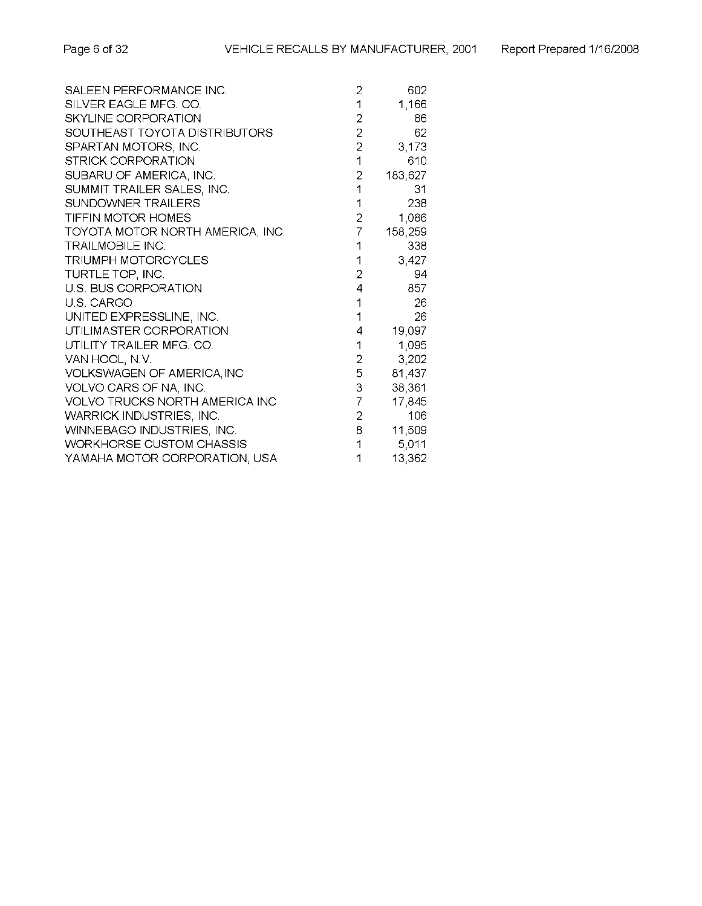| SALEEN PERFORMANCE INC.               | $\overline{c}$           | 602     |
|---------------------------------------|--------------------------|---------|
| SILVER EAGLE MFG. CO.                 |                          | 1,166   |
| <b>SKYLINE CORPORATION</b>            | $\overline{2}$           | 86      |
| SOUTHEAST TOYOTA DISTRIBUTORS         | $\overline{2}$           | 62      |
| SPARTAN MOTORS, INC.                  | $\overline{2}$           | 3,173   |
| <b>STRICK CORPORATION</b>             | $\overline{1}$           | 610     |
| SUBARU OF AMERICA, INC.               | $\mathbf 2$              | 183,627 |
| SUMMIT TRAILER SALES, INC.            | 1                        | 31      |
| SUNDOWNER TRAILERS                    | 1                        | 238     |
| TIFFIN MOTOR HOMES                    | $\overline{2}$           | 1,086   |
| TOYOTA MOTOR NORTH AMERICA, INC.      | $\overline{7}$           | 158,259 |
| <b>TRAILMOBILE INC.</b>               | 1                        | 338     |
| TRIUMPH MOTORCYCLES                   | 1                        | 3,427   |
| TURTLE TOP, INC.                      | $\overline{2}$           | 94      |
| U.S. BUS CORPORATION                  | $\overline{\mathcal{L}}$ | 857     |
| U.S. CARGO                            | 1                        | 26      |
| UNITED EXPRESSLINE, INC.              | 1                        | 26      |
| UTILIMASTER CORPORATION               | 4                        | 19,097  |
| UTILITY TRAILER MFG. CO.              | 1                        | 1,095   |
| VAN HOOL, N.V.                        | $\overline{2}$           | 3,202   |
| <b>VOLKSWAGEN OF AMERICA, INC</b>     | 5                        | 81,437  |
| VOLVO CARS OF NA, INC.                | 3                        | 38,361  |
| <b>VOLVO TRUCKS NORTH AMERICA INC</b> | $\overline{7}$           | 17,845  |
| WARRICK INDUSTRIES, INC.              | 2 <sup>1</sup>           | 106     |
| WINNEBAGO INDUSTRIES, INC.            | 8                        | 11,509  |
| <b>WORKHORSE CUSTOM CHASSIS</b>       | 1                        | 5,011   |
| YAMAHA MOTOR CORPORATION, USA         | 1                        | 13,362  |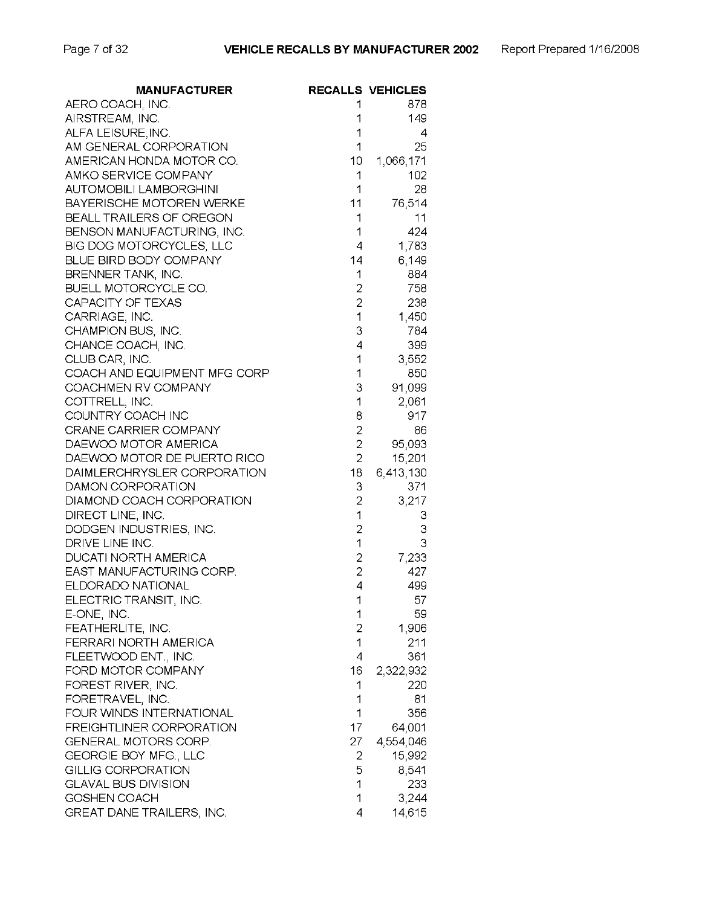| <b>MANUFACTURER</b>             |                | <b>RECALLS VEHICLES</b> |
|---------------------------------|----------------|-------------------------|
| AERO COACH, INC.                | 1              | 878                     |
| AIRSTREAM, INC.                 | 1              | 149                     |
| ALFA LEISURE, INC.              | 1              | 4                       |
| AM GENERAL CORPORATION          | 1              | 25                      |
| AMERICAN HONDA MOTOR CO.        | 10             | 1,066,171               |
| AMKO SERVICE COMPANY            | 1              | 102                     |
| <b>AUTOMOBILI LAMBORGHINI</b>   | 1              | 28                      |
| <b>BAYERISCHE MOTOREN WERKE</b> | 11             | 76,514                  |
| BEALL TRAILERS OF OREGON        | 1              | 11                      |
| BENSON MANUFACTURING, INC.      | 1              | 424                     |
| BIG DOG MOTORCYCLES, LLC        | 4              | 1,783                   |
| BLUE BIRD BODY COMPANY          | 14             | 6,149                   |
| BRENNER TANK, INC.              | 1              | 884                     |
| BUELL MOTORCYCLE CO.            | $\overline{c}$ | 758                     |
| CAPACITY OF TEXAS               | $\overline{2}$ | 238                     |
| CARRIAGE, INC.                  | 1              | 1,450                   |
| CHAMPION BUS, INC.              | 3              | 784                     |
| CHANCE COACH, INC.              | 4              | 399                     |
| CLUB CAR, INC.                  | 1              | 3,552                   |
| COACH AND EQUIPMENT MFG CORP    | 1              | 850                     |
| COACHMEN RV COMPANY             | 3              | 91,099                  |
| COTTRELL, INC.                  | 1              | 2,061                   |
| COUNTRY COACH INC               | 8              | 917                     |
| <b>CRANE CARRIER COMPANY</b>    | $\overline{c}$ | 86                      |
| DAEWOO MOTOR AMERICA            | $\overline{2}$ | 95,093                  |
| DAEWOO MOTOR DE PUERTO RICO     | $\overline{2}$ | 15,201                  |
| DAIMLERCHRYSLER CORPORATION     | 18             | 6,413,130               |
| DAMON CORPORATION               | 3              | 371                     |
| DIAMOND COACH CORPORATION       | $\overline{2}$ | 3,217                   |
| DIRECT LINE, INC.               | 1              | 3                       |
| DODGEN INDUSTRIES, INC.         | $\overline{c}$ | 3                       |
| DRIVE LINE INC.                 | 1              | 3                       |
| <b>DUCATI NORTH AMERICA</b>     | $\overline{c}$ | 7,233                   |
| EAST MANUFACTURING CORP.        | $\overline{2}$ | 427                     |
| ELDORADO NATIONAL               | 4              | 499                     |
| ELECTRIC TRANSIT, INC.          | 1              | 57                      |
| E-ONE, INC.                     | 1              | 59                      |
| FEATHERLITE, INC.               | $\overline{c}$ | 1,906                   |
| FERRARI NORTH AMERICA           | 1              | 211                     |
| FLEETWOOD ENT., INC.            | 4              | 361                     |
| FORD MOTOR COMPANY              | 16             | 2,322,932               |
| FOREST RIVER, INC.              | 1              | 220                     |
| FORETRAVEL, INC.                | 1              | 81                      |
| FOUR WINDS INTERNATIONAL        | 1              | 356                     |
| FREIGHTLINER CORPORATION        | 17             | 64,001                  |
| GENERAL MOTORS CORP.            | 27             | 4,554,046               |
| GEORGIE BOY MFG., LLC           | 2              | 15,992                  |
| <b>GILLIG CORPORATION</b>       | 5              | 8,541                   |
| <b>GLAVAL BUS DIVISION</b>      | 1              | 233                     |
| GOSHEN COACH                    | 1              | 3,244                   |
| GREAT DANE TRAILERS, INC.       | 4              | 14,615                  |
|                                 |                |                         |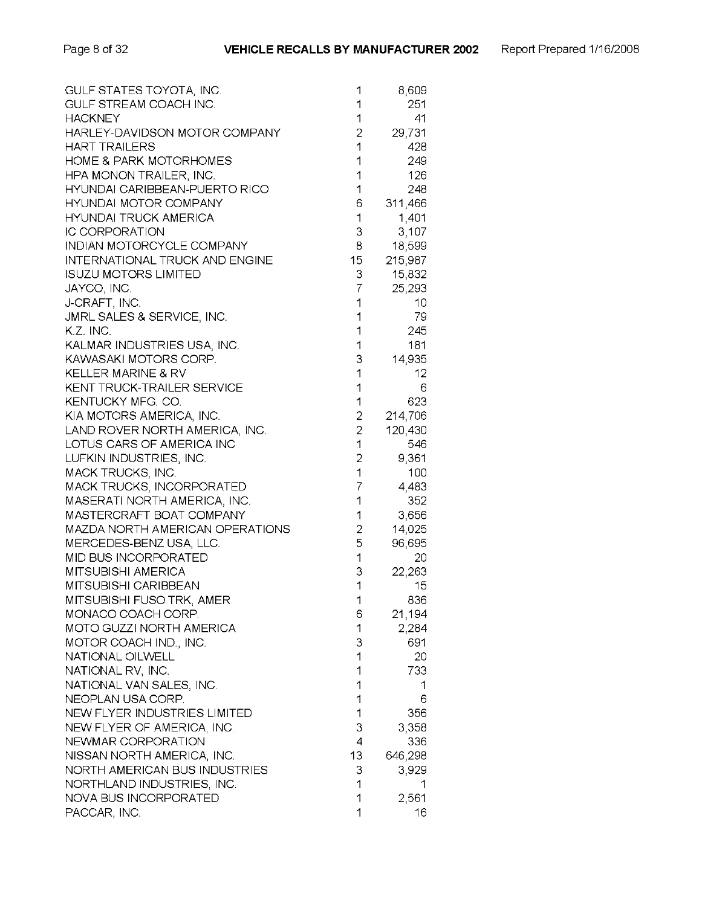| GULF STATES TOYOTA, INC.              | 1                | 8,609           |
|---------------------------------------|------------------|-----------------|
| GULF STREAM COACH INC.                | 1                | 251             |
| <b>HACKNEY</b>                        | 1                | 41              |
| HARLEY-DAVIDSON MOTOR COMPANY         | $\overline{c}$   | 29,731          |
| <b>HART TRAILERS</b>                  | 1                | 428             |
| <b>HOME &amp; PARK MOTORHOMES</b>     | 1                | 249             |
| <b>HPA MONON TRAILER, INC.</b>        | 1                | 126             |
| HYUNDAI CARIBBEAN-PUERTO RICO         | 1                | 248             |
| <b>HYUNDAI MOTOR COMPANY</b>          | 6                | 311,466         |
|                                       |                  |                 |
| <b>HYUNDAI TRUCK AMERICA</b>          | 1                | 1,401           |
| <b>IC CORPORATION</b>                 | 3                | 3,107           |
| INDIAN MOTORCYCLE COMPANY             | 8                | 18,599          |
| <b>INTERNATIONAL TRUCK AND ENGINE</b> | 15 <sup>15</sup> | 215,987         |
| <b>ISUZU MOTORS LIMITED</b>           | 3                | 15,832          |
| JAYCO, INC.                           | $\overline{7}$   | 25,293          |
| J-CRAFT, INC.                         | 1                | 10              |
| JMRL SALES & SERVICE, INC.            | 1                | 79              |
| K.Z. INC.                             | 1                | 245             |
| KALMAR INDUSTRIES USA, INC.           | 1                | 181             |
| KAWASAKI MOTORS CORP.                 | 3                | 14,935          |
| <b>KELLER MARINE &amp; RV</b>         | 1                | 12 <sub>2</sub> |
| KENT TRUCK-TRAILER SERVICE            | 1                | 6               |
| KENTUCKY MFG. CO.                     | 1                | 623             |
| KIA MOTORS AMERICA, INC.              | $\overline{2}$   | 214,706         |
| LAND ROVER NORTH AMERICA, INC.        | $\overline{2}$   | 120,430         |
|                                       | 1                |                 |
| LOTUS CARS OF AMERICA INC             |                  | 546             |
| LUFKIN INDUSTRIES, INC.               | 2                | 9,361           |
| MACK TRUCKS, INC.                     | 1                | 100             |
| MACK TRUCKS, INCORPORATED             | 7                | 4,483           |
| MASERATI NORTH AMERICA, INC.          | 1                | 352             |
| MASTERCRAFT BOAT COMPANY              | 1                | 3,656           |
| MAZDA NORTH AMERICAN OPERATIONS       | $\overline{c}$   | 14,025          |
| MERCEDES-BENZ USA, LLC.               | 5                | 96,695          |
| MID BUS INCORPORATED                  | 1                | 20              |
| MITSUBISHI AMERICA                    | 3                | 22,263          |
| MITSUBISHI CARIBBEAN                  | 1                | 15              |
| MITSUBISHI FUSO TRK, AMER             | 1                | 836             |
| MONACO COACH CORP.                    | 6                | 21,194          |
| <b>MOTO GUZZI NORTH AMERICA</b>       | 1                | 2,284           |
| MOTOR COACH IND., INC.                | 3                | 691             |
| <b>NATIONAL OILWELL</b>               | 1                | 20              |
| NATIONAL RV, INC.                     | 1                | 733.            |
| NATIONAL VAN SALES, INC.              | 1                |                 |
|                                       | 1                | 1               |
| NEOPLAN USA CORP.                     |                  | 6               |
| NEW FLYER INDUSTRIES LIMITED          | 1                | 356             |
| NEW FLYER OF AMERICA, INC.            | 3                | 3,358           |
| NEWMAR CORPORATION                    | 4                | 336             |
| NISSAN NORTH AMERICA, INC.            | 13               | 646,298         |
| NORTH AMERICAN BUS INDUSTRIES         | З                | 3,929           |
| NORTHLAND INDUSTRIES, INC.            | 1                |                 |
| NOVA BUS INCORPORATED                 | 1                | 2,561           |
| PACCAR, INC.                          | 1                | 16              |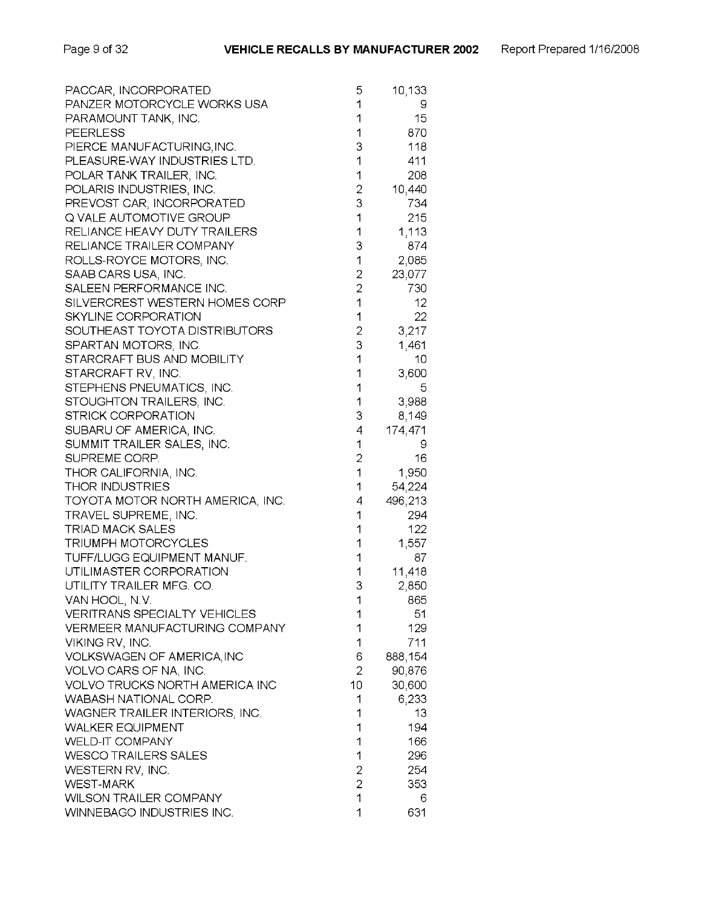| PACCAR, INCORPORATED                  | 5              | 10,133  |
|---------------------------------------|----------------|---------|
| PANZER MOTORCYCLE WORKS USA           | 1              | 9       |
| PARAMOUNT TANK, INC.                  | 1              | 15      |
| <b>PEERLESS</b>                       | 1              | 870     |
| PIERCE MANUFACTURING, INC.            | 3              | 118     |
| PLEASURE-WAY INDUSTRIES LTD.          | 1              | 411     |
| POLAR TANK TRAILER, INC.              | 1              | 208     |
| POLARIS INDUSTRIES, INC.              | $\overline{2}$ | 10,440  |
| PREVOST CAR, INCORPORATED             | 3              | 734     |
|                                       | 1              |         |
| Q VALE AUTOMOTIVE GROUP               |                | 215     |
| RELIANCE HEAVY DUTY TRAILERS          | 1              | 1,113   |
| RELIANCE TRAILER COMPANY              | 3              | 874     |
| ROLLS-ROYCE MOTORS, INC.              | 1              | 2,085   |
| SAAB CARS USA, INC.                   | $\overline{c}$ | 23,077  |
| SALEEN PERFORMANCE INC.               | $\overline{2}$ | 730     |
| SILVERCREST WESTERN HOMES CORP        | 1              | 12.     |
| SKYLINE CORPORATION                   | 1              | 22      |
| SOUTHEAST TOYOTA DISTRIBUTORS         | $\overline{2}$ | 3,217   |
| SPARTAN MOTORS, INC.                  | 3              | 1,461   |
| STARCRAFT BUS AND MOBILITY            | 1              | 10      |
| STARCRAFT RV, INC.                    | 1              | 3,600   |
| STEPHENS PNEUMATICS, INC.             | 1              | 5       |
| STOUGHTON TRAILERS, INC.              | 1              | 3,988   |
| STRICK CORPORATION                    | 3              | 8,149   |
| SUBARU OF AMERICA, INC.               | 4              | 174,471 |
| SUMMIT TRAILER SALES, INC.            | 1              | 9       |
| SUPREME CORP.                         | $\overline{c}$ | 16      |
|                                       | 1              | 1,950   |
| THOR CALIFORNIA, INC.                 | 1              |         |
| <b>THOR INDUSTRIES</b>                |                | 54,224  |
| TOYOTA MOTOR NORTH AMERICA, INC.      | 4              | 496,213 |
| TRAVEL SUPREME, INC.                  | 1              | 294     |
| <b>TRIAD MACK SALES</b>               | 1              | 122     |
| TRIUMPH MOTORCYCLES                   | 1              | 1,557   |
| TUFF/LUGG EQUIPMENT MANUF.            | 1              | 87      |
| UTILIMASTER CORPORATION               | 1              | 11,418  |
| UTILITY TRAILER MFG. CO.              | 3              | 2,850   |
| VAN HOOL, N.V.                        | 1              | 665.    |
| <b>VERITRANS SPECIALTY VEHICLES</b>   | 1              | 51      |
| VERMEER MANUFACTURING COMPANY         | 1              | 129     |
| VIKING RV, INC.                       | 1              | 711     |
| VOLKSWAGEN OF AMERICA, INC            | 6              | 888,154 |
| VOLVO CARS OF NA, INC.                | $\overline{2}$ | 90,876  |
| <b>VOLVO TRUCKS NORTH AMERICA INC</b> | 10             | 30,600  |
| WABASH NATIONAL CORP.                 | 1              | 6,233   |
| WAGNER TRAILER INTERIORS, INC.        | 1              | 13      |
| <b>WALKER EQUIPMENT</b>               | 1              | 194     |
| <b>WELD-IT COMPANY</b>                | 1              | 166     |
| <b>WESCO TRAILERS SALES</b>           | 1              | 296     |
| WESTERN RV, INC.                      | $\overline{2}$ | 254     |
| <b>WEST-MARK</b>                      | $\overline{2}$ | 353     |
| <b>WILSON TRAILER COMPANY</b>         | 1              | 6       |
| WINNEBAGO INDUSTRIES INC.             | 1              | 631     |
|                                       |                |         |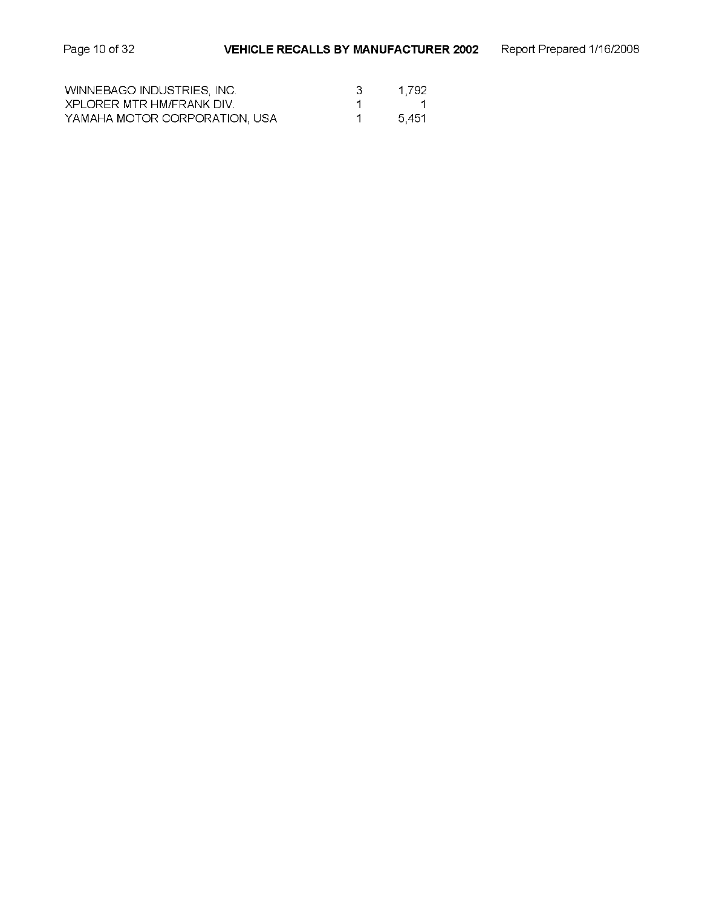| WINNEBAGO INDUSTRIES, INC.    | 1.792 |
|-------------------------------|-------|
| XPLORER MTR HM/FRANK DIV.     |       |
| YAMAHA MOTOR CORPORATION, USA | 5.451 |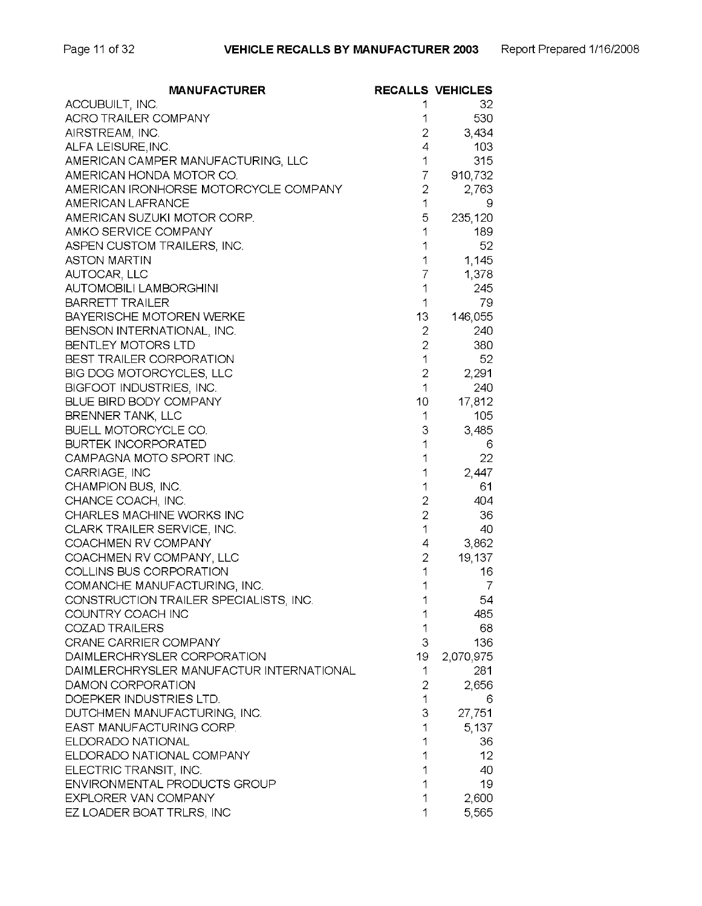| <b>MANUFACTURER</b>                      |                | <b>RECALLS VEHICLES</b> |
|------------------------------------------|----------------|-------------------------|
| ACCUBUILT, INC.                          | 1              | 32                      |
| <b>ACRO TRAILER COMPANY</b>              | 1              | 530                     |
| AIRSTREAM, INC.                          | 2              | 3,434                   |
| ALFA LEISURE, INC.                       | 4              | 103                     |
| AMERICAN CAMPER MANUFACTURING, LLC       | 1              | 315                     |
| AMERICAN HONDA MOTOR CO.                 | 7              | 910,732                 |
| AMERICAN IRONHORSE MOTORCYCLE COMPANY    | $\overline{2}$ | 2,763                   |
| AMERICAN LAFRANCE                        | 1              | 9                       |
| AMERICAN SUZUKI MOTOR CORP.              | 5              | 235,120                 |
| AMKO SERVICE COMPANY                     | 1              | 189                     |
| ASPEN CUSTOM TRAILERS, INC.              | 1              | 52                      |
| <b>ASTON MARTIN</b>                      | 1              | 1,145                   |
| AUTOCAR, LLC                             | 7              | 1,378                   |
| <b>AUTOMOBILI LAMBORGHINI</b>            | 1              | 245                     |
| <b>BARRETT TRAILER</b>                   | 1              | 79                      |
| BAYERISCHE MOTOREN WERKE                 | 13             | 146,055                 |
| BENSON INTERNATIONAL, INC.               | $\overline{c}$ | 240                     |
| <b>BENTLEY MOTORS LTD</b>                | 2              | 380                     |
| <b>BEST TRAILER CORPORATION</b>          | 1              | 52                      |
| BIG DOG MOTORCYCLES, LLC                 | $\overline{2}$ | 2,291                   |
| BIGFOOT INDUSTRIES, INC.                 | 1              | 240                     |
| BLUE BIRD BODY COMPANY                   | 10             | 17,812                  |
| BRENNER TANK, LLC                        | 1              | 105                     |
| BUELL MOTORCYCLE CO.                     | 3              | 3,485                   |
| <b>BURTEK INCORPORATED</b>               | 1              | 6                       |
| CAMPAGNA MOTO SPORT INC.                 | 1              | 22                      |
| CARRIAGE, INC                            | 1              | 2,447                   |
| CHAMPION BUS, INC.                       | 1              | 61                      |
| CHANCE COACH, INC.                       | $\overline{2}$ | 404                     |
| CHARLES MACHINE WORKS INC                | $\overline{2}$ | 36                      |
| CLARK TRAILER SERVICE, INC.              | 1              | 40                      |
| COACHMEN RV COMPANY                      | 4              | 3,862                   |
| COACHMEN RV COMPANY, LLC                 | $\overline{2}$ | 19,137                  |
| COLLINS BUS CORPORATION                  | 1              | 16                      |
| COMANCHE MANUFACTURING, INC.             | 1              | 7                       |
| CONSTRUCTION TRAILER SPECIALISTS, INC.   | 1              | 54                      |
| COUNTRY COACH INC                        |                | 485                     |
| <b>COZAD TRAILERS</b>                    | 1              | 68                      |
| CRANE CARRIER COMPANY                    | 3              | 136                     |
| DAIMLERCHRYSLER CORPORATION              | 19             | 2,070,975               |
| DAIMLERCHRYSLER MANUFACTUR INTERNATIONAL | 1              | 281                     |
| DAMON CORPORATION                        | 2              | 2,656                   |
| DOEPKER INDUSTRIES LTD.                  | 1              | 6                       |
| DUTCHMEN MANUFACTURING, INC.             | 3              | 27,751                  |
| EAST MANUFACTURING CORP.                 | 1              | 5,137                   |
| ELDORADO NATIONAL                        | 1              | 36                      |
| ELDORADO NATIONAL COMPANY                | 1              | 12                      |
| ELECTRIC TRANSIT, INC.                   | 1              | 40                      |
| <b>ENVIRONMENTAL PRODUCTS GROUP</b>      | 1              | 19                      |
| EXPLORER VAN COMPANY                     | 1              | 2,600                   |
| EZ LOADER BOAT TRLRS, INC                | 1              | 5,565                   |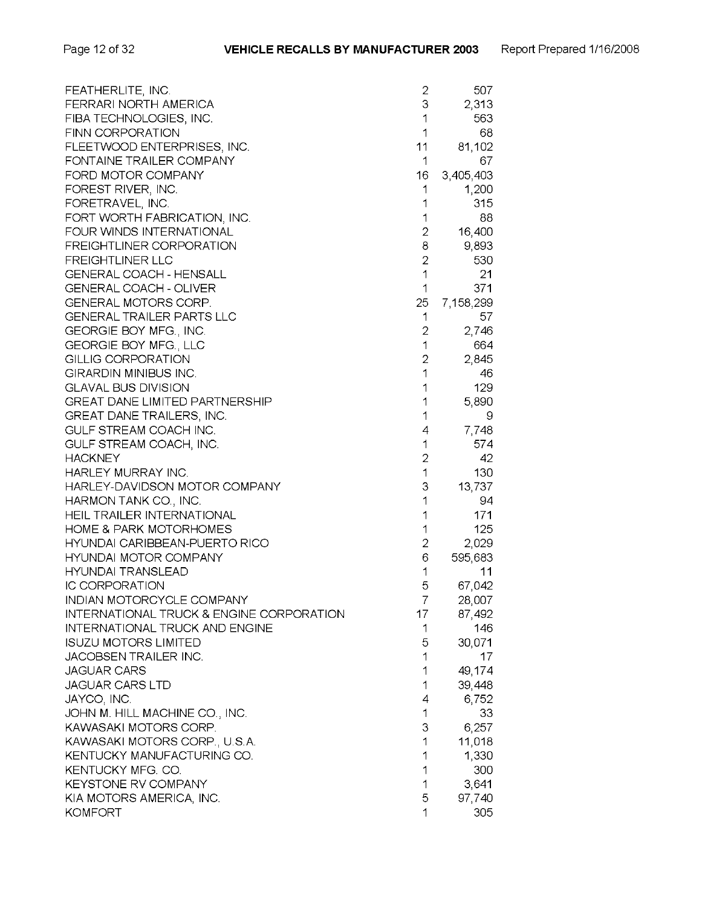| 3<br>2,313<br>FERRARI NORTH AMERICA<br>1<br>FIBA TECHNOLOGIES, INC.<br>563<br>FINN CORPORATION<br>1<br>68<br>FLEETWOOD ENTERPRISES, INC.<br>11<br>81,102<br>FONTAINE TRAILER COMPANY<br>67<br>1 |  |
|-------------------------------------------------------------------------------------------------------------------------------------------------------------------------------------------------|--|
|                                                                                                                                                                                                 |  |
|                                                                                                                                                                                                 |  |
|                                                                                                                                                                                                 |  |
|                                                                                                                                                                                                 |  |
|                                                                                                                                                                                                 |  |
| FORD MOTOR COMPANY<br>3,405,403<br>16                                                                                                                                                           |  |
| FOREST RIVER, INC.<br>1<br>1,200                                                                                                                                                                |  |
| FORETRAVEL, INC.<br>1<br>315                                                                                                                                                                    |  |
| 1<br>88<br>FORT WORTH FABRICATION, INC.                                                                                                                                                         |  |
| 2<br>16,400<br>FOUR WINDS INTERNATIONAL                                                                                                                                                         |  |
| 8<br><b>FREIGHTLINER CORPORATION</b><br>9,893                                                                                                                                                   |  |
| $\overline{c}$<br>530<br><b>FREIGHTLINER LLC</b>                                                                                                                                                |  |
| 1<br>21<br><b>GENERAL COACH - HENSALL</b>                                                                                                                                                       |  |
| 1<br><b>GENERAL COACH - OLIVER</b><br>371                                                                                                                                                       |  |
| GENERAL MOTORS CORP.<br>25<br>7,158,299                                                                                                                                                         |  |
| <b>GENERAL TRAILER PARTS LLC</b><br>1<br>57                                                                                                                                                     |  |
| 2<br>GEORGIE BOY MFG., INC.<br>2,746                                                                                                                                                            |  |
| 1<br>GEORGIE BOY MFG., LLC<br>664                                                                                                                                                               |  |
| $\overline{2}$<br><b>GILLIG CORPORATION</b><br>2,845                                                                                                                                            |  |
| 1<br>GIRARDIN MINIBUS INC.<br>46                                                                                                                                                                |  |
| 129<br><b>GLAVAL BUS DIVISION</b><br>1                                                                                                                                                          |  |
| <b>GREAT DANE LIMITED PARTNERSHIP</b><br>1<br>5,890                                                                                                                                             |  |
| 1<br><b>GREAT DANE TRAILERS, INC.</b><br>9                                                                                                                                                      |  |
| GULF STREAM COACH INC.<br>7,748<br>4                                                                                                                                                            |  |
| 1<br>574<br>GULF STREAM COACH, INC.                                                                                                                                                             |  |
| $\overline{2}$<br><b>HACKNEY</b><br>42                                                                                                                                                          |  |
| 1<br>HARLEY MURRAY INC.<br>130                                                                                                                                                                  |  |
| 3<br>HARLEY-DAVIDSON MOTOR COMPANY<br>13,737                                                                                                                                                    |  |
| 1<br>HARMON TANK CO., INC.<br>94                                                                                                                                                                |  |
| 1<br><b>HEIL TRAILER INTERNATIONAL</b><br>171                                                                                                                                                   |  |
| 1<br><b>HOME &amp; PARK MOTORHOMES</b><br>125                                                                                                                                                   |  |
| 2<br>HYUNDAI CARIBBEAN-PUERTO RICO<br>2,029                                                                                                                                                     |  |
| 6<br><b>HYUNDAI MOTOR COMPANY</b><br>595,683                                                                                                                                                    |  |
| 1<br>HYUNDAI TRANSLEAD<br>11                                                                                                                                                                    |  |
| 5<br><b>IC CORPORATION</b><br>67,042                                                                                                                                                            |  |
| INDIAN MOTORCYCLE COMPANY<br>7<br>28,007                                                                                                                                                        |  |
| <b>INTERNATIONAL TRUCK &amp; ENGINE CORPORATION</b><br>17<br>87,492                                                                                                                             |  |
| <b>INTERNATIONAL TRUCK AND ENGINE</b><br>146<br>1                                                                                                                                               |  |
| <b>ISUZU MOTORS LIMITED</b><br>30,071<br>5                                                                                                                                                      |  |
| <b>JACOBSEN TRAILER INC.</b><br>1<br>17                                                                                                                                                         |  |
| <b>JAGUAR CARS</b><br>1<br>49,174                                                                                                                                                               |  |
| 1<br>39,448<br><b>JAGUAR CARS LTD</b>                                                                                                                                                           |  |
| 6,752<br>JAYCO, INC.<br>4                                                                                                                                                                       |  |
| 1<br>JOHN M. HILL MACHINE CO., INC.<br>33                                                                                                                                                       |  |
| KAWASAKI MOTORS CORP.<br>3<br>6,257                                                                                                                                                             |  |
| 1<br>11,018<br>KAWASAKI MOTORS CORP., U.S.A.                                                                                                                                                    |  |
| 1<br>KENTUCKY MANUFACTURING CO.<br>1,330                                                                                                                                                        |  |
| KENTUCKY MFG. CO.<br>1<br>300                                                                                                                                                                   |  |
| 1<br><b>KEYSTONE RV COMPANY</b><br>3,641                                                                                                                                                        |  |
| 5<br>97,740<br>KIA MOTORS AMERICA, INC.                                                                                                                                                         |  |
| 1<br><b>KOMFORT</b><br>305                                                                                                                                                                      |  |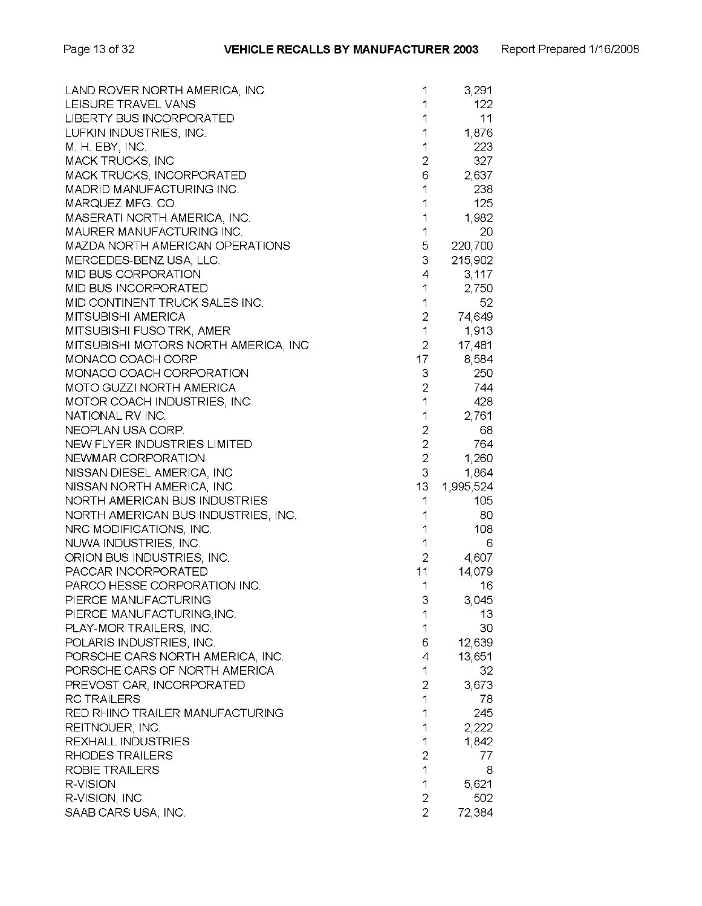| LAND ROVER NORTH AMERICA, INC.        | 1              | 3,291     |
|---------------------------------------|----------------|-----------|
| LEISURE TRAVEL VANS                   | 1              | 122       |
| <b>LIBERTY BUS INCORPORATED</b>       | 1              | 11        |
| LUFKIN INDUSTRIES, INC.               | 1              | 1,876     |
| M. H. EBY, INC.                       | 1              | 223       |
| <b>MACK TRUCKS, INC</b>               | 2              | 327       |
| MACK TRUCKS, INCORPORATED             | 6              | 2,637     |
| MADRID MANUFACTURING INC.             | 1              | 238       |
| MARQUEZ MFG. CO.                      | 1              | 125       |
| MASERATI NORTH AMERICA, INC.          | 1              | 1,982     |
| MAURER MANUFACTURING INC.             | 1              | 20        |
| MAZDA NORTH AMERICAN OPERATIONS       | 5              | 220,700   |
| MERCEDES-BENZ USA, LLC.               | 3              | 215,902   |
| <b>MID BUS CORPORATION</b>            | 4              | 3,117     |
| MID BUS INCORPORATED                  | 1              | 2,750     |
| MID CONTINENT TRUCK SALES INC.        | 1              | 52        |
| <b>MITSUBISHI AMERICA</b>             | $\overline{2}$ | 74,649    |
| MITSUBISHI FUSO TRK, AMER             | 1              | 1,913     |
| MITSUBISHI MOTORS NORTH AMERICA, INC. | $\overline{2}$ | 17,481    |
| MONACO COACH CORP.                    | 17             | 8,584     |
| MONACO COACH CORPORATION              | 3              | 250       |
| MOTO GUZZI NORTH AMERICA              | 2              | 744       |
| MOTOR COACH INDUSTRIES, INC           | 1              | 428       |
| NATIONAL RV INC.                      | 1              | 2,761     |
| NEOPLAN USA CORP.                     | $\sqrt{2}$     | 68        |
| NEW FLYER INDUSTRIES LIMITED          | $\overline{2}$ | 764       |
| NEWMAR CORPORATION                    | $\overline{2}$ | 1,260     |
| NISSAN DIESEL AMERICA, INC            | 3              | 1,864     |
| NISSAN NORTH AMERICA, INC.            | 13             | 1,995,524 |
| NORTH AMERICAN BUS INDUSTRIES         | 1              | 105       |
| NORTH AMERICAN BUS INDUSTRIES, INC.   | 1              | 80        |
| NRC MODIFICATIONS, INC.               | 1              | 108       |
| NUWA INDUSTRIES, INC.                 | 1              | 6         |
| ORION BUS INDUSTRIES, INC.            | $\overline{2}$ | 4,607     |
| PACCAR INCORPORATED                   | 11             | 14,079    |
| PARCO HESSE CORPORATION INC.          | 1              | 16        |
| PIERCE MANUFACTURING                  | 3              | 3,045     |
| PIERCE MANUFACTURING, INC.            | 1              | 13        |
| PLAY-MOR TRAILERS, INC.               | 1              | 30        |
| POLARIS INDUSTRIES, INC.              | 6              | 12,639    |
| PORSCHE CARS NORTH AMERICA, INC.      | 4              | 13,651    |
| PORSCHE CARS OF NORTH AMERICA         | 1              | 32        |
| PREVOST CAR, INCORPORATED             | $\overline{2}$ | 3,673     |
| <b>RC TRAILERS</b>                    | 1              | 78        |
| RED RHINO TRAILER MANUFACTURING       | 1              | 245       |
| REITNOUER, INC.                       | 1              | 2,222     |
| REXHALL INDUSTRIES                    | 1              | 1,842     |
| RHODES TRAILERS                       | $\overline{2}$ | 77        |
| ROBIE TRAILERS                        | 1              | 8         |
| R-VISION                              | 1              | 5,621     |
| R-VISION, INC.                        | 2              | 502       |
| SAAB CARS USA, INC.                   | $\overline{2}$ | 72,384    |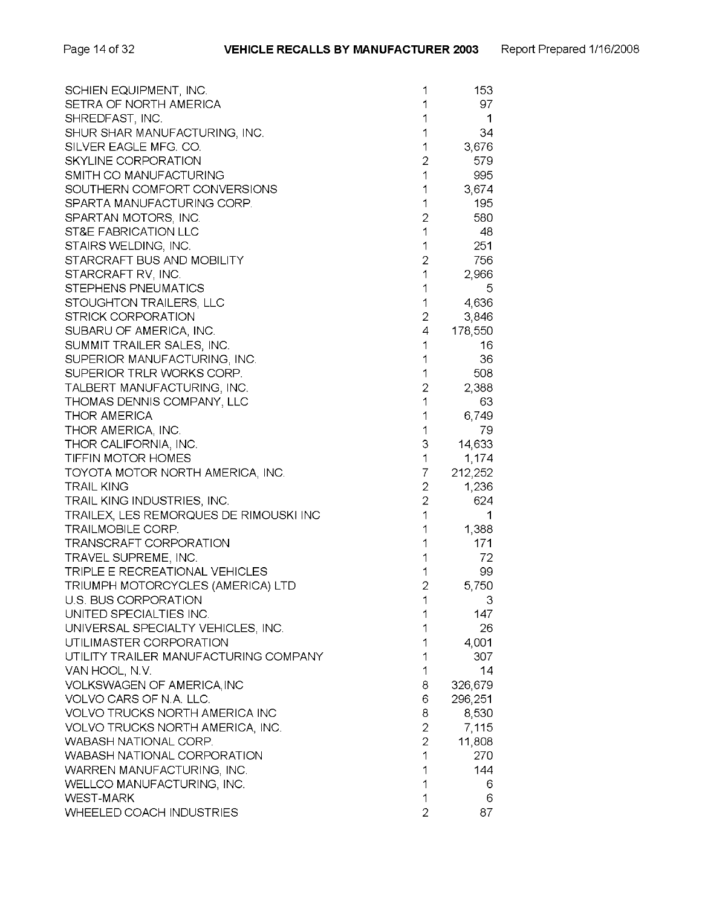| SCHIEN EQUIPMENT, INC.                 | 1                        | 153     |
|----------------------------------------|--------------------------|---------|
| SETRA OF NORTH AMERICA                 |                          | 97      |
| SHREDFAST, INC.                        | 1                        | 1       |
| SHUR SHAR MANUFACTURING, INC.          | 1                        | 34      |
| SILVER EAGLE MFG. CO.                  | 1                        | 3,676   |
| <b>SKYLINE CORPORATION</b>             | 2                        | 579     |
| SMITH CO MANUFACTURING                 | 1                        | 995     |
| SOUTHERN COMFORT CONVERSIONS           | 1                        | 3,674   |
| SPARTA MANUFACTURING CORP.             | 1                        | 195     |
| SPARTAN MOTORS, INC.                   | $\overline{c}$           | 580     |
| ST&E FABRICATION LLC                   | $\overline{\phantom{a}}$ | 48      |
| STAIRS WELDING, INC.                   | 1                        | 251     |
| STARCRAFT BUS AND MOBILITY             | $\overline{2}$           | 756     |
| STARCRAFT RV, INC.                     | 1                        | 2,966   |
| STEPHENS PNEUMATICS                    | 1                        | 5       |
| STOUGHTON TRAILERS, LLC                | 1                        | 4,636   |
| STRICK CORPORATION                     | $\overline{2}$           | 3,846   |
| SUBARU OF AMERICA, INC.                | 4                        | 178,550 |
| SUMMIT TRAILER SALES, INC.             | 1                        | 16      |
| SUPERIOR MANUFACTURING, INC.           | 1                        | 36      |
| SUPERIOR TRLR WORKS CORP.              | 1                        | 508     |
| TALBERT MANUFACTURING, INC.            | $\overline{2}$           | 2,388   |
| THOMAS DENNIS COMPANY, LLC             | 1                        | 63      |
| <b>THOR AMERICA</b>                    | 1                        | 6,749   |
| THOR AMERICA, INC.                     | 1                        | 79      |
| THOR CALIFORNIA, INC.                  | 3                        | 14,633  |
| TIFFIN MOTOR HOMES                     | 1                        | 1,174   |
| TOYOTA MOTOR NORTH AMERICA, INC.       | 7                        | 212,252 |
| <b>TRAIL KING</b>                      | $\overline{2}$           | 1,236   |
| TRAIL KING INDUSTRIES, INC.            | $\overline{2}$           | 624     |
| TRAILEX, LES REMORQUES DE RIMOUSKI INC | $\overline{1}$           | 1       |
| <b>TRAILMOBILE CORP.</b>               | 1                        | 1,388   |
| TRANSCRAFT CORPORATION                 | 1                        | 171     |
| TRAVEL SUPREME, INC.                   | 1                        | 72      |
| TRIPLE E RECREATIONAL VEHICLES         | 1                        | 99      |
| TRIUMPH MOTORCYCLES (AMERICA) LTD      | $\overline{2}$           | 5,750   |
| U.S. BUS CORPORATION                   | 1                        | 3       |
| UNITED SPECIALTIES INC.                |                          | 147     |
| UNIVERSAL SPECIALTY VEHICLES, INC.     |                          | 26      |
| UTILIMASTER CORPORATION                | 1                        | 4,001   |
| UTILITY TRAILER MANUFACTURING COMPANY  | 1                        | 307     |
| VAN HOOL, N.V.                         | 1                        | 14      |
| VOLKSWAGEN OF AMERICA, INC             | 8                        | 326,679 |
| VOLVO CARS OF N.A. LLC.                | 6                        | 296,251 |
| VOLVO TRUCKS NORTH AMERICA INC         | 8                        | 8,530   |
| VOLVO TRUCKS NORTH AMERICA, INC.       | $\overline{2}$           | 7,115   |
| <b>WABASH NATIONAL CORP.</b>           | $\overline{2}$           | 11,808  |
| WABASH NATIONAL CORPORATION            | 1                        | 270     |
| WARREN MANUFACTURING, INC.             | 1                        | 144     |
| WELLCO MANUFACTURING, INC.             | 1                        | 6       |
| <b>WEST-MARK</b>                       | 1                        | 6       |
| WHEELED COACH INDUSTRIES               | 2                        | 87      |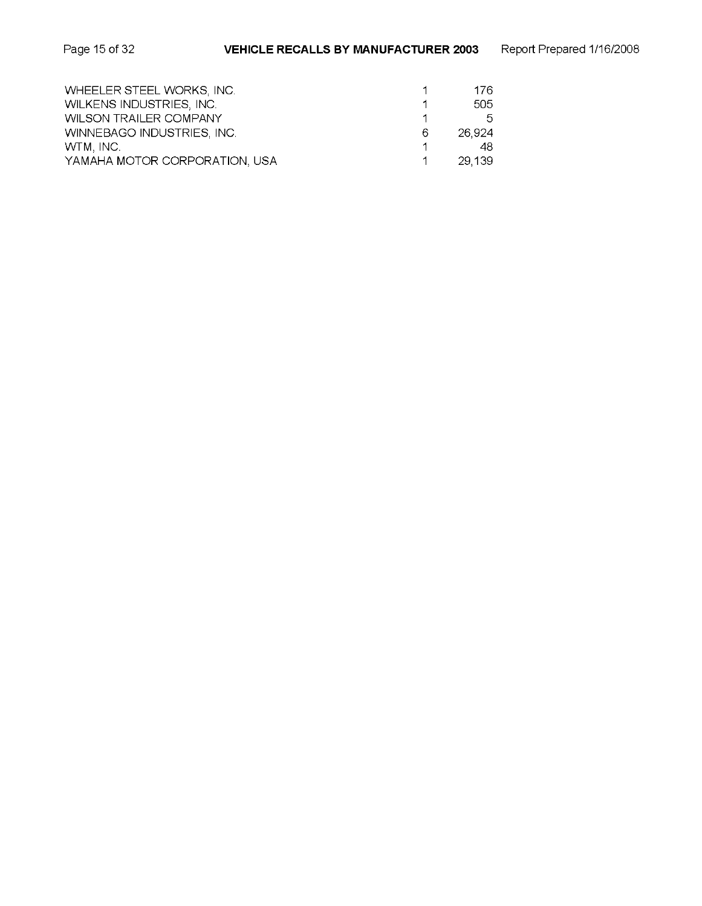| WHEELER STEEL WORKS, INC.     |   | 176.    |
|-------------------------------|---|---------|
| WILKENS INDUSTRIES, INC.      |   | 505     |
| <b>WILSON TRAILER COMPANY</b> |   | 5.      |
| WINNEBAGO INDUSTRIES, INC.    | 6 | 26.924  |
| WTM, INC.                     |   | 48.     |
| YAMAHA MOTOR CORPORATION, USA |   | -29.139 |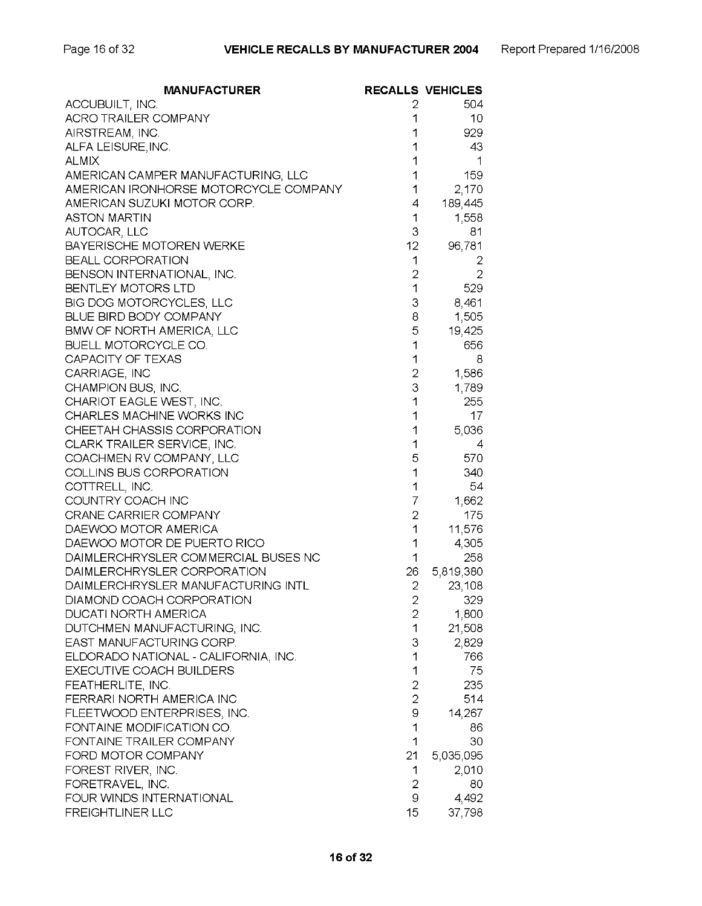| <b>MANUFACTURER</b>                                   |                                  | <b>RECALLS VEHICLES</b> |
|-------------------------------------------------------|----------------------------------|-------------------------|
| ACCUBUILT, INC.                                       | 2                                | 504                     |
| <b>ACRO TRAILER COMPANY</b>                           | 1                                | 10                      |
| AIRSTREAM, INC.                                       | 1                                | 929                     |
| ALFA LEISURE, INC.                                    | 1                                | 43                      |
| <b>ALMIX</b>                                          | 1                                | 1                       |
| AMERICAN CAMPER MANUFACTURING, LLC                    | 1                                | 159                     |
| AMERICAN IRONHORSE MOTORCYCLE COMPANY                 | 1                                | 2,170                   |
| AMERICAN SUZUKI MOTOR CORP.                           | 4                                | 189,445                 |
| <b>ASTON MARTIN</b>                                   | 1                                | 1,558                   |
| AUTOCAR, LLC                                          | 3                                | 81                      |
| BAYERISCHE MOTOREN WERKE                              | 12                               | 96,781                  |
| <b>BEALL CORPORATION</b>                              | 1                                | 2                       |
| BENSON INTERNATIONAL, INC.                            | $\overline{2}$                   | $\overline{2}$          |
| BENTLEY MOTORS LTD                                    | $\mathbf{1}$                     | 529                     |
| BIG DOG MOTORCYCLES, LLC                              | 3                                | 8,461                   |
| BLUE BIRD BODY COMPANY                                | 8                                | 1,505                   |
| BMW OF NORTH AMERICA, LLC                             | 5                                | 19,425                  |
| <b>BUELL MOTORCYCLE CO.</b>                           | 1                                | 656                     |
| CAPACITY OF TEXAS                                     | 1                                | 8                       |
| CARRIAGE, INC                                         | 2                                | 1,586                   |
| CHAMPION BUS, INC.                                    | 3                                | 1,789                   |
| CHARIOT EAGLE WEST, INC.                              | 1                                | 255                     |
| CHARLES MACHINE WORKS INC                             | 1                                | 17                      |
| CHEETAH CHASSIS CORPORATION                           | 1                                | 5,036                   |
| CLARK TRAILER SERVICE, INC.                           | 1                                | 4                       |
| COACHMEN RV COMPANY, LLC                              | 5                                | 570                     |
| COLLINS BUS CORPORATION                               | 1                                | 340                     |
| COTTRELL, INC.                                        | 1                                | 54                      |
| COUNTRY COACH INC                                     | $\overline{7}$                   | 1,662                   |
| CRANE CARRIER COMPANY                                 | $\overline{2}$                   | 175                     |
| DAEWOO MOTOR AMERICA                                  | 1                                | 11,576                  |
| DAEWOO MOTOR DE PUERTO RICO                           | 1                                | 4,305                   |
| DAIMLERCHRYSLER COMMERCIAL BUSES NC                   | 1                                | 258                     |
| DAIMLERCHRYSLER CORPORATION                           | 26                               | 5,819,380               |
| DAIMLERCHRYSLER MANUFACTURING INTL                    | $\overline{2}$                   | 23,108                  |
| DIAMOND COACH CORPORATION                             | 2                                | 329                     |
| <b>DUCATI NORTH AMERICA</b>                           | 2                                | 1,800                   |
| DUTCHMEN MANUFACTURING, INC.                          | 1                                | 21,508                  |
| EAST MANUFACTURING CORP.                              | 3                                | 2,829                   |
| ELDORADO NATIONAL - CALIFORNIA, INC.                  | 1                                | 766                     |
| EXECUTIVE COACH BUILDERS                              | 1                                | 75                      |
| FEATHERLITE, INC.                                     | $\overline{2}$<br>$\overline{2}$ | 235                     |
| FERRARI NORTH AMERICA INC                             |                                  | 514                     |
| FLEETWOOD ENTERPRISES, INC.                           | 9                                | 14,267                  |
| FONTAINE MODIFICATION CO.<br>FONTAINE TRAILER COMPANY | 1                                | 86                      |
|                                                       | $\mathbf 1$                      | 30                      |
| FORD MOTOR COMPANY                                    | 21                               | 5,035,095               |
| FOREST RIVER, INC.                                    | 1                                | 2,010                   |
| FORETRAVEL, INC.<br>FOUR WINDS INTERNATIONAL          | $\overline{2}$<br>9              | 80                      |
|                                                       |                                  | 4,492                   |
| <b>FREIGHTLINER LLC</b>                               | 15                               | 37,798                  |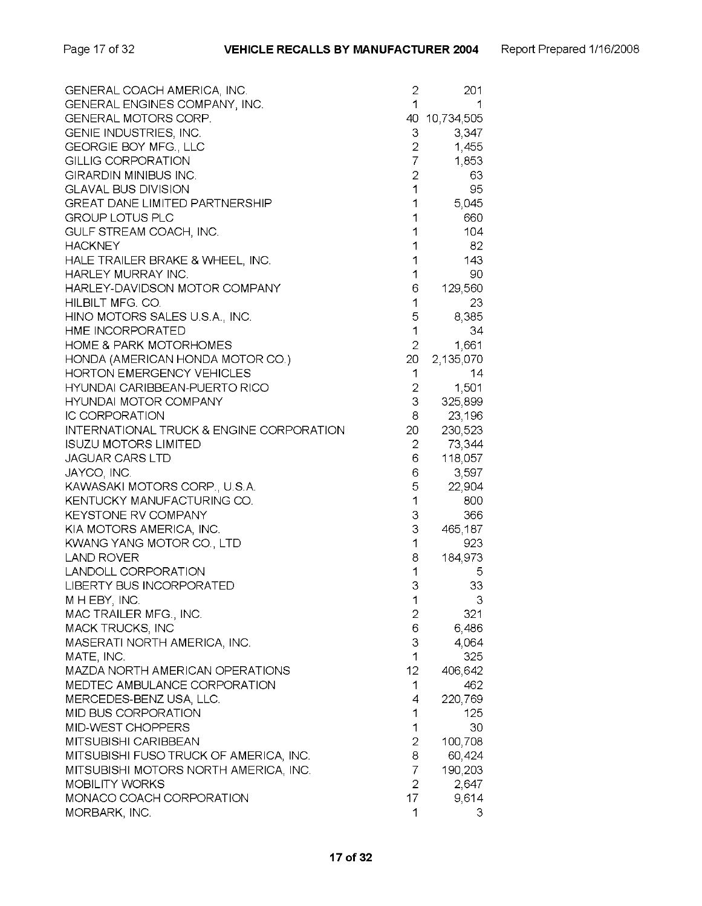| GENERAL COACH AMERICA, INC.                         | 2              | 201        |
|-----------------------------------------------------|----------------|------------|
| GENERAL ENGINES COMPANY, INC.                       | 1              |            |
| <b>GENERAL MOTORS CORP.</b>                         | 40             | 10,734,505 |
| GENIE INDUSTRIES, INC.                              | 3              | 3,347      |
| GEORGIE BOY MFG., LLC                               | $\overline{2}$ | 1,455      |
| GILLIG CORPORATION                                  | $\overline{7}$ | 1,853      |
| GIRARDIN MINIBUS INC.                               | $\overline{2}$ | 63         |
| <b>GLAVAL BUS DIVISION</b>                          | $\mathbf{1}$   | 95         |
| <b>GREAT DANE LIMITED PARTNERSHIP</b>               | 1              | 5,045      |
| <b>GROUP LOTUS PLC</b>                              | 1              | 660        |
| GULF STREAM COACH, INC.                             | 1              | 104        |
| <b>HACKNEY</b>                                      | 1              | 82         |
|                                                     |                |            |
| HALE TRAILER BRAKE & WHEEL, INC.                    | 1              | 143        |
| HARLEY MURRAY INC.                                  | 1              | 90         |
| HARLEY-DAVIDSON MOTOR COMPANY                       | 6              | 129,560    |
| HILBILT MFG. CO.                                    | 1              | 23         |
| HINO MOTORS SALES U.S.A., INC.                      | 5              | 8,385      |
| HME INCORPORATED                                    | 1              | 34         |
| <b>HOME &amp; PARK MOTORHOMES</b>                   | $\overline{2}$ | 1,661      |
| HONDA (AMERICAN HONDA MOTOR CO.)                    | 20             | 2,135,070  |
| <b>HORTON EMERGENCY VEHICLES</b>                    | 1              | 14         |
| HYUNDAI CARIBBEAN-PUERTO RICO                       | $\overline{2}$ | 1,501      |
| <b>HYUNDAI MOTOR COMPANY</b>                        | 3              | 325,899    |
| <b>IC CORPORATION</b>                               | 8              | 23,196     |
| <b>INTERNATIONAL TRUCK &amp; ENGINE CORPORATION</b> | 20             | 230,523    |
| <b>ISUZU MOTORS LIMITED</b>                         | $\overline{2}$ | 73,344     |
| <b>JAGUAR CARS LTD</b>                              | 6              | 118,057    |
| JAYCO, INC.                                         | 6              | 3,597      |
| KAWASAKI MOTORS CORP., U.S.A.                       | 5              | 22,904     |
| KENTUCKY MANUFACTURING CO.                          | 1              | 800        |
| <b>KEYSTONE RV COMPANY</b>                          | 3              | 366        |
| KIA MOTORS AMERICA, INC.                            | 3              | 465,187    |
| KWANG YANG MOTOR CO., LTD                           | $\mathbf{1}$   | 923        |
| <b>LAND ROVER</b>                                   | 8              | 184,973    |
| <b>LANDOLL CORPORATION</b>                          | 1              |            |
|                                                     | 3              | 5          |
| LIBERTY BUS INCORPORATED                            |                | 33         |
| M H EBY, INC.                                       | 1              | З          |
| MAC TRAILER MFG., INC.                              | 2              | 321        |
| MACK TRUCKS, INC                                    | 6              | 6,486      |
| MASERATI NORTH AMERICA, INC.                        | 3              | 4,064      |
| MATE, INC.                                          | 1              | 325        |
| MAZDA NORTH AMERICAN OPERATIONS                     | 12             | 406,642    |
| MEDTEC AMBULANCE CORPORATION                        | 1              | 462        |
| MERCEDES-BENZ USA, LLC.                             | 4              | 220,769    |
| MID BUS CORPORATION                                 | 1              | 125        |
| MID-WEST CHOPPERS                                   | 1              | 30         |
| MITSUBISHI CARIBBEAN                                | 2              | 100,708    |
| MITSUBISHI FUSO TRUCK OF AMERICA, INC.              | 8              | 60,424     |
| MITSUBISHI MOTORS NORTH AMERICA, INC.               | $\overline{7}$ | 190,203    |
| <b>MOBILITY WORKS</b>                               | $\overline{2}$ | 2,647      |
| MONACO COACH CORPORATION                            | 17             | 9,614      |
| MORBARK, INC.                                       | 1              | 3          |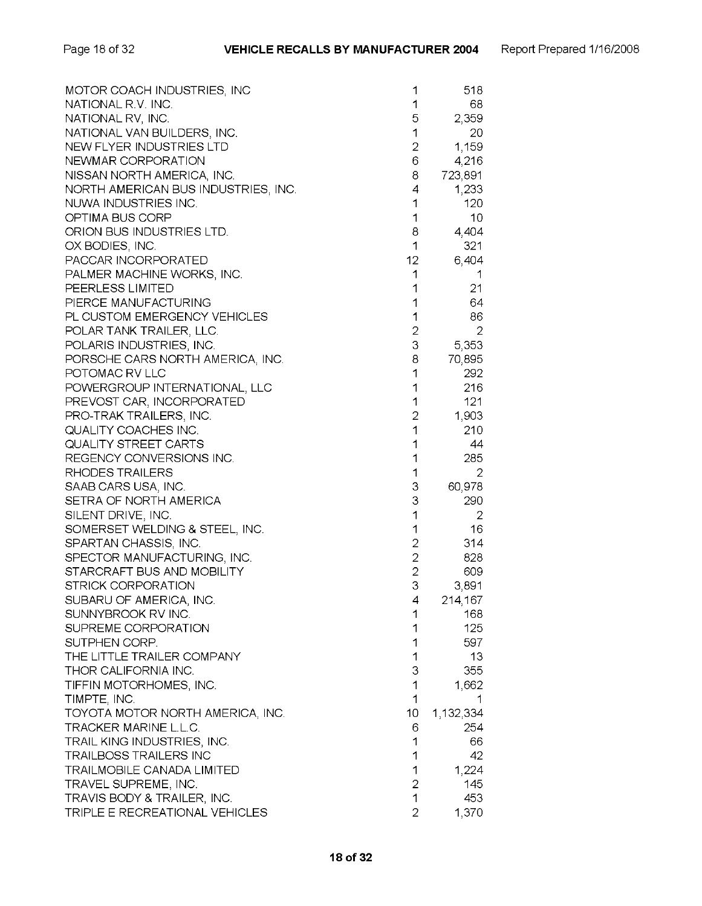| MOTOR COACH INDUSTRIES, INC         | 1              | 518       |
|-------------------------------------|----------------|-----------|
| NATIONAL R.V. INC.                  | 1              | 68        |
| NATIONAL RV, INC.                   | 5              | 2,359     |
| NATIONAL VAN BUILDERS, INC.         | 1              | 20        |
| NEW FLYER INDUSTRIES LTD            | 2              | 1,159     |
| NEWMAR CORPORATION                  | 6              | 4,216     |
| NISSAN NORTH AMERICA, INC.          | 8              | 723,891   |
| NORTH AMERICAN BUS INDUSTRIES, INC. | 4              | 1,233     |
| NUWA INDUSTRIES INC.                | 1              | 120       |
| OPTIMA BUS CORP                     | 1              | 10        |
| ORION BUS INDUSTRIES LTD.           | 8              | 4,404     |
| OX BODIES, INC.                     | 1              | 321       |
| PACCAR INCORPORATED                 | 12             | 6,404     |
| PALMER MACHINE WORKS, INC.          | 1              | 1         |
| PEERLESS LIMITED                    | 1              | 21        |
| PIERCE MANUFACTURING                | 1              | 64        |
| PL CUSTOM EMERGENCY VEHICLES        | 1              | 86        |
| POLAR TANK TRAILER, LLC.            | $\overline{c}$ | 2         |
| POLARIS INDUSTRIES, INC.            | 3              | 5,353     |
| PORSCHE CARS NORTH AMERICA, INC.    | 8              | 70,895    |
| POTOMAC RV LLC                      | 1              | 292       |
| POWERGROUP INTERNATIONAL, LLC       | 1              | 216       |
| PREVOST CAR, INCORPORATED           | 1              | 121       |
| PRO-TRAK TRAILERS, INC.             | 2              | 1,903     |
| QUALITY COACHES INC.                | 1              | 210       |
| <b>QUALITY STREET CARTS</b>         | 1              | 44        |
| REGENCY CONVERSIONS INC.            | 1              | 285       |
| RHODES TRAILERS                     | 1              | 2         |
| SAAB CARS USA, INC.                 | 3              | 60,978    |
| SETRA OF NORTH AMERICA              | 3              | 290       |
| SILENT DRIVE, INC.                  | 1              | 2         |
| SOMERSET WELDING & STEEL, INC.      | 1              | 16        |
| SPARTAN CHASSIS, INC.               | $\overline{2}$ | 314       |
| SPECTOR MANUFACTURING, INC.         | $\overline{2}$ | 828       |
| STARCRAFT BUS AND MOBILITY          | 2              | 609       |
| <b>STRICK CORPORATION</b>           | 3              | 3,891     |
| SUBARU OF AMERICA, INC.             | 4              | 214,167   |
| SUNNYBROOK RV INC.                  | 1              | 168       |
| SUPREME CORPORATION                 | 1              | 125       |
| SUTPHEN CORP.                       | 1              | 597       |
| THE LITTLE TRAILER COMPANY          | 1              | 13        |
| THOR CALIFORNIA INC.                | 3              | 355       |
| TIFFIN MOTORHOMES, INC.             | 1              | 1,662     |
| TIMPTE, INC.                        | 1              |           |
| TOYOTA MOTOR NORTH AMERICA, INC.    | 10             | 1,132,334 |
| TRACKER MARINE L.L.C.               | 6              | 254       |
| TRAIL KING INDUSTRIES, INC.         | 1              | 66        |
| TRAILBOSS TRAILERS INC              | 1              | 42        |
| <b>TRAILMOBILE CANADA LIMITED</b>   | 1              | 1,224     |
| TRAVEL SUPREME, INC.                | $\overline{2}$ | 145       |
| TRAVIS BODY & TRAILER, INC.         | 1              | 453       |
| TRIPLE E RECREATIONAL VEHICLES      | $\overline{2}$ | 1,370     |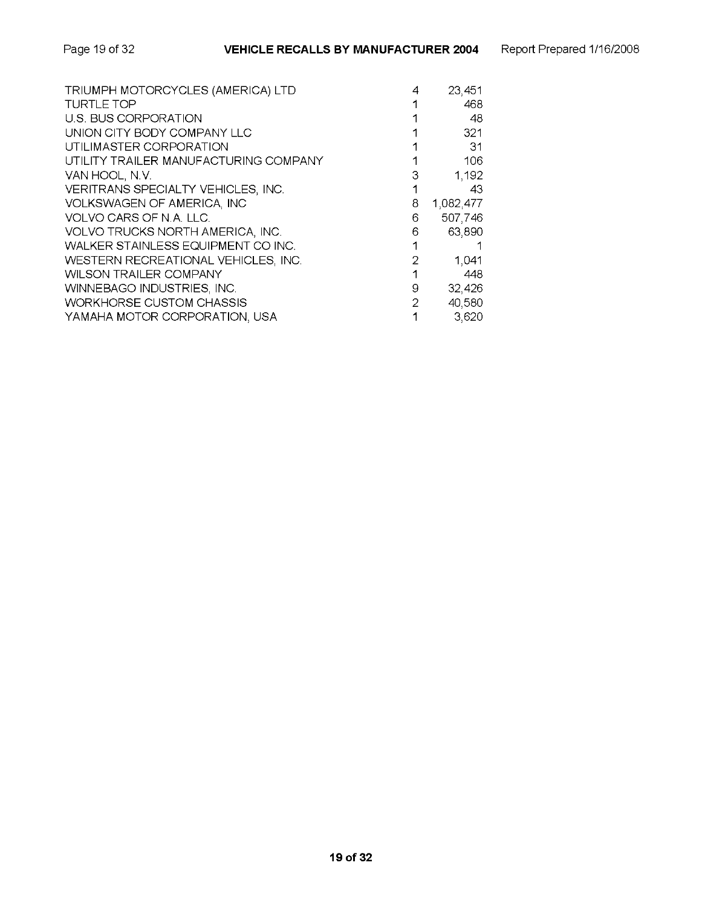| TRIUMPH MOTORCYCLES (AMERICA) LTD     | 4 | 23,451    |
|---------------------------------------|---|-----------|
| TURTLE TOP                            |   | 468       |
| U.S. BUS CORPORATION                  |   | 48        |
| UNION CITY BODY COMPANY LLC           |   | 321       |
| UTILIMASTER CORPORATION               |   | -31       |
| UTILITY TRAILER MANUFACTURING COMPANY |   | 106       |
| VAN HOOL, N.V.                        | З | 1,192     |
| VERITRANS SPECIALTY VEHICLES, INC.    |   | 43        |
| VOLKSWAGEN OF AMERICA, INC            | 8 | 1,082,477 |
| VOLVO CARS OF N.A. LLC.               | 6 | 507,746   |
| VOLVO TRUCKS NORTH AMERICA, INC.      | 6 | 63,890    |
| WALKER STAINLESS EQUIPMENT CO INC.    | 1 |           |
| WESTERN RECREATIONAL VEHICLES, INC.   | 2 | 1,041     |
| <b>WILSON TRAILER COMPANY</b>         |   | 448       |
| WINNEBAGO INDUSTRIES, INC.            | 9 | 32,426    |
| <b>WORKHORSE CUSTOM CHASSIS</b>       | 2 | 40,580    |
| YAMAHA MOTOR CORPORATION, USA         | 1 | 3,620     |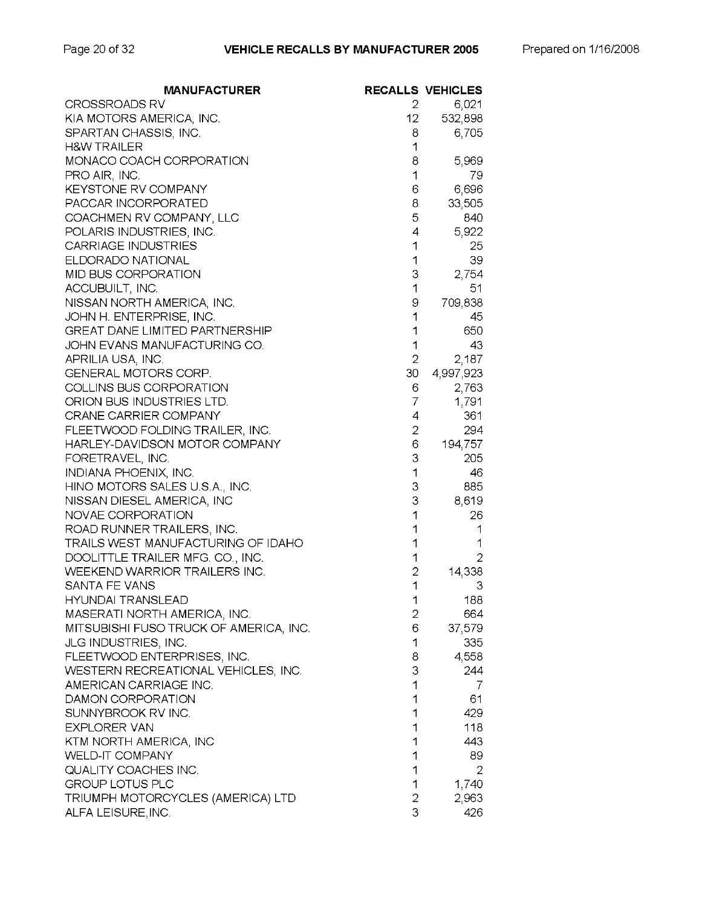| MANUFACTURER                           |                 | <b>RECALLS VEHICLES</b> |
|----------------------------------------|-----------------|-------------------------|
| CROSSROADS RV                          | 2               | 6,021                   |
| KIA MOTORS AMERICA, INC.               | 12 <sub>2</sub> | 532,898                 |
| SPARTAN CHASSIS, INC.                  | 8               | 6,705                   |
| <b>H&amp;W TRAILER</b>                 | 1               |                         |
| MONACO COACH CORPORATION               | 8               | 5,969                   |
| PRO AIR, INC.                          | 1               | 79                      |
| <b>KEYSTONE RV COMPANY</b>             | 6               | 6,696                   |
| PACCAR INCORPORATED                    | 8               | 33,505                  |
| COACHMEN RV COMPANY, LLC               | 5               | 840                     |
| POLARIS INDUSTRIES, INC.               | 4               | 5,922                   |
| <b>CARRIAGE INDUSTRIES</b>             | 1               | 25                      |
| ELDORADO NATIONAL                      | 1               | 39                      |
| MID BUS CORPORATION                    | 3               | 2,754                   |
| ACCUBUILT, INC.                        | 1               | 51                      |
| NISSAN NORTH AMERICA, INC.             | 9               | 709,838                 |
| JOHN H. ENTERPRISE, INC.               | 1               | 45                      |
| <b>GREAT DANE LIMITED PARTNERSHIP</b>  | 1               | 650                     |
| JOHN EVANS MANUFACTURING CO.           | 1               | 43                      |
| APRILIA USA, INC.                      | $\overline{2}$  | 2,187                   |
| <b>GENERAL MOTORS CORP.</b>            | 30              | 4,997,923               |
| COLLINS BUS CORPORATION                | 6               | 2,763                   |
| ORION BUS INDUSTRIES LTD.              | 7               | 1,791                   |
| CRANE CARRIER COMPANY                  | 4               | 361                     |
| FLEETWOOD FOLDING TRAILER, INC.        | 2               | 294                     |
| HARLEY-DAVIDSON MOTOR COMPANY          | 6               | 194,757                 |
| FORETRAVEL, INC.                       | 3               | 205                     |
| INDIANA PHOENIX, INC.                  | 1               | 46                      |
| HINO MOTORS SALES U.S.A., INC.         | 3               | 885                     |
| NISSAN DIESEL AMERICA, INC             | 3               | 8,619                   |
| NOVAE CORPORATION                      | 1               | 26                      |
| ROAD RUNNER TRAILERS, INC.             | 1               | 1                       |
| TRAILS WEST MANUFACTURING OF IDAHO     | 1               | 1                       |
| DOOLITTLE TRAILER MFG. CO., INC.       | 1               | 2                       |
| WEEKEND WARRIOR TRAILERS INC.          | $\overline{2}$  | 14,338                  |
| SANTA FE VANS                          | 1               | 3                       |
| <b>HYUNDAI TRANSLEAD</b>               | 1               | 188                     |
| MASERATI NORTH AMERICA, INC.           | 2               | 664                     |
| MITSUBISHI FUSO TRUCK OF AMERICA, INC. | 6               | 37,579                  |
| JLG INDUSTRIES, INC.                   | 1               | 335                     |
| FLEETWOOD ENTERPRISES, INC.            | 8               | 4,558                   |
| WESTERN RECREATIONAL VEHICLES, INC.    | 3               | 244                     |
| AMERICAN CARRIAGE INC.                 | 1               | 7                       |
| DAMON CORPORATION                      | 1               | 61                      |
| SUNNYBROOK RV INC.                     | 1               | 429                     |
| <b>EXPLORER VAN</b>                    | 1               | 118                     |
| KTM NORTH AMERICA, INC                 | 1               | 443                     |
| <b>WELD-IT COMPANY</b>                 | 1               | 89                      |
| QUALITY COACHES INC.                   | 1               | 2                       |
| <b>GROUP LOTUS PLC</b>                 | 1               | 1,740                   |
| TRIUMPH MOTORCYCLES (AMERICA) LTD      | 2               | 2,963                   |
| ALFA LEISURE, INC.                     | 3               | 426                     |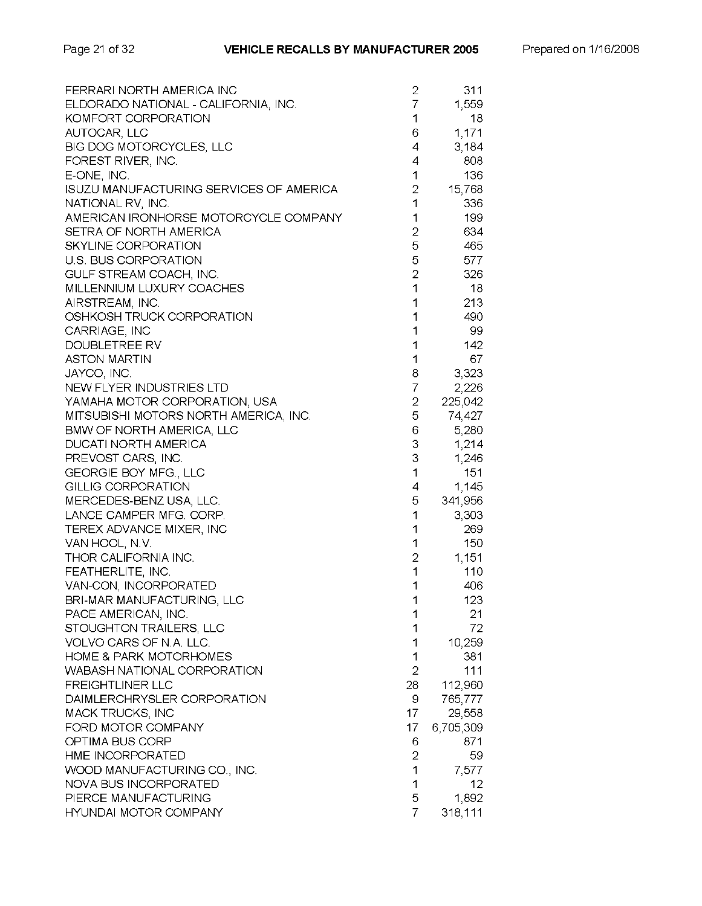| FERRARI NORTH AMERICA INC               | 2              | 311       |
|-----------------------------------------|----------------|-----------|
| ELDORADO NATIONAL - CALIFORNIA, INC.    | 7              | 1,559     |
| KOMFORT CORPORATION                     | 1              | 18        |
| AUTOCAR, LLC                            | 6              | 1,171     |
| BIG DOG MOTORCYCLES, LLC                | 4              | 3,184     |
| FOREST RIVER, INC.                      | 4              | 808       |
| E-ONE, INC.                             | 1              | 136       |
| ISUZU MANUFACTURING SERVICES OF AMERICA | 2              | 15,768    |
| NATIONAL RV, INC.                       | 1              | 336       |
| AMERICAN IRONHORSE MOTORCYCLE COMPANY   | 1              | 199       |
| SETRA OF NORTH AMERICA                  | $\overline{c}$ | 634       |
| SKYLINE CORPORATION                     | 5              | 465       |
| U.S. BUS CORPORATION                    | 5              | 577       |
| GULF STREAM COACH, INC.                 | $\overline{2}$ | 326       |
| MILLENNIUM LUXURY COACHES               | 1              | 18        |
| AIRSTREAM, INC.                         | 1              | 213       |
| OSHKOSH TRUCK CORPORATION               | 1              | 490       |
| CARRIAGE, INC                           | 1              | 99        |
| DOUBLETREE RV                           | 1              | 142       |
| <b>ASTON MARTIN</b>                     | 1              | 67        |
| JAYCO, INC.                             | 8              | 3,323     |
| NEW FLYER INDUSTRIES LTD                | 7              | 2,226     |
| YAMAHA MOTOR CORPORATION, USA           | 2              | 225,042   |
| MITSUBISHI MOTORS NORTH AMERICA, INC.   | 5              | 74,427    |
| <b>BMW OF NORTH AMERICA, LLC</b>        | 6              | 5,280     |
| DUCATI NORTH AMERICA                    | 3              | 1,214     |
| PREVOST CARS, INC.                      | 3              | 1,246     |
| GEORGIE BOY MFG., LLC                   | 1              | 151       |
| <b>GILLIG CORPORATION</b>               | 4              | 1,145     |
| MERCEDES-BENZ USA, LLC.                 | 5              | 341,956   |
| LANCE CAMPER MFG. CORP.                 | 1              | 3,303     |
| TEREX ADVANCE MIXER, INC                | 1              | 269       |
| VAN HOOL, N.V.                          | 1              | 150       |
| THOR CALIFORNIA INC.                    | $\overline{2}$ | 1,151     |
| FEATHERLITE, INC.                       | 1              | 110       |
| VAN-CON, INCORPORATED                   | 1              | 406       |
| BRI-MAR MANUFACTURING, LLC              | 1              | 123       |
| PACE AMERICAN, INC.                     | 1              | 21        |
| STOUGHTON TRAILERS, LLC                 | 1              | 72        |
| VOLVO CARS OF N.A. LLC.                 | 1              | 10,259    |
| <b>HOME &amp; PARK MOTORHOMES</b>       | 1              | 381       |
| WABASH NATIONAL CORPORATION             | $\overline{2}$ | 111       |
| <b>FREIGHTLINER LLC</b>                 | 28             | 112,960   |
| DAIMLERCHRYSLER CORPORATION             | 9              | 765,777   |
| MACK TRUCKS, INC                        | 17             | 29,558    |
| FORD MOTOR COMPANY                      | 17             | 6,705,309 |
| OPTIMA BUS CORP                         | 6              | 871       |
| HME INCORPORATED                        | $\overline{2}$ | 59        |
| WOOD MANUFACTURING CO., INC.            | 1              | 7,577     |
| NOVA BUS INCORPORATED                   | 1              | 12        |
| PIERCE MANUFACTURING                    | 5              | 1,892     |
| <b>HYUNDAI MOTOR COMPANY</b>            | 7              | 318,111   |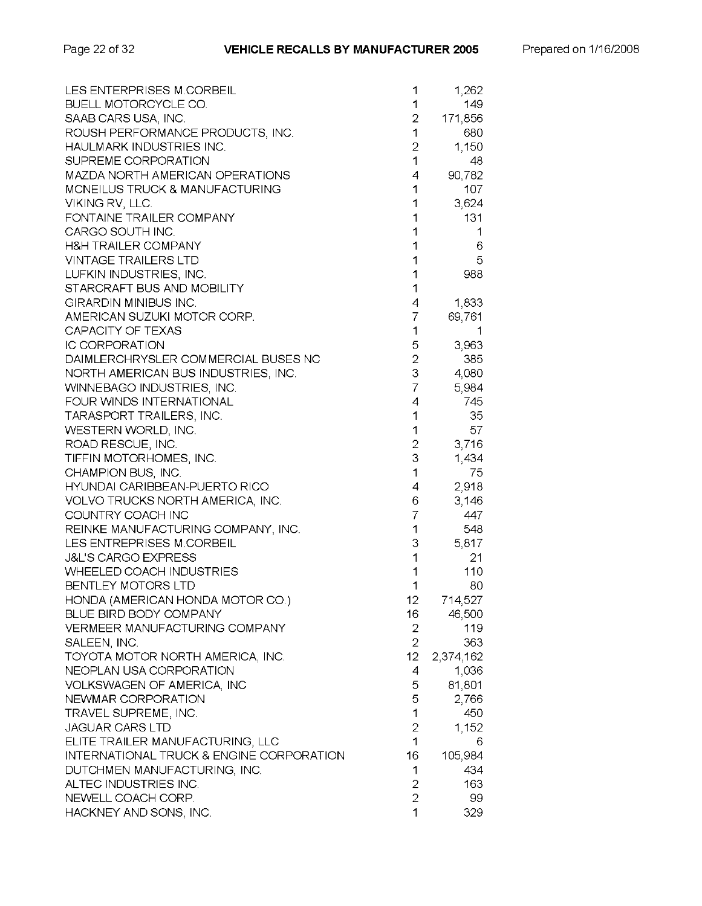| LES ENTERPRISES M.CORBEIL                | 1              | 1,262     |
|------------------------------------------|----------------|-----------|
| BUELL MOTORCYCLE CO.                     | 1              | 149       |
| SAAB CARS USA, INC.                      | 2              | 171,856   |
| ROUSH PERFORMANCE PRODUCTS, INC.         | 1              | 680       |
| HAULMARK INDUSTRIES INC.                 | 2              | 1,150     |
| SUPREME CORPORATION                      | 1              | 48        |
| MAZDA NORTH AMERICAN OPERATIONS          | 4              | 90,782    |
| MCNEILUS TRUCK & MANUFACTURING           | 1              | 107       |
| VIKING RV, LLC.                          | 1              | 3,624     |
| FONTAINE TRAILER COMPANY                 | 1              | 131       |
| CARGO SOUTH INC.                         | 1              | 1         |
| <b>H&amp;H TRAILER COMPANY</b>           | 1              | 6         |
| <b>VINTAGE TRAILERS LTD</b>              | 1              | 5         |
| LUFKIN INDUSTRIES, INC.                  | $\mathbf{1}$   | 988       |
| STARCRAFT BUS AND MOBILITY               | 1              |           |
| GIRARDIN MINIBUS INC.                    | 4              | 1,833     |
| AMERICAN SUZUKI MOTOR CORP.              | 7              | 69,761    |
| CAPACITY OF TEXAS                        | 1              | 1         |
| <b>IC CORPORATION</b>                    | 5              | 3,963     |
| DAIMLERCHRYSLER COMMERCIAL BUSES NC      | $\overline{2}$ | 385       |
| NORTH AMERICAN BUS INDUSTRIES, INC.      | 3              | 4,080     |
| WINNEBAGO INDUSTRIES, INC.               | 7              | 5,984     |
| FOUR WINDS INTERNATIONAL                 | 4              | 745       |
| TARASPORT TRAILERS, INC.                 | 1              | 35        |
| WESTERN WORLD, INC.                      | 1              | 57        |
| ROAD RESCUE, INC.                        | 2              | 3,716     |
| TIFFIN MOTORHOMES, INC.                  | 3              | 1,434     |
| CHAMPION BUS, INC.                       | $\mathbf{1}$   | 75        |
| HYUNDAI CARIBBEAN-PUERTO RICO            | 4              | 2,918     |
| VOLVO TRUCKS NORTH AMERICA, INC.         | 6              | 3,146     |
| COUNTRY COACH INC                        | 7              | 447       |
| REINKE MANUFACTURING COMPANY, INC.       | 1              | 548       |
| LES ENTREPRISES M.CORBEIL                | 3              | 5,817     |
| <b>J&amp;L'S CARGO EXPRESS</b>           | 1              | 21        |
| <b>WHEELED COACH INDUSTRIES</b>          | 1              | 110       |
| BENTLEY MOTORS LTD                       | 1              | 80        |
| HONDA (AMERICAN HONDA MOTOR CO.)         | 12             | 714,527   |
| BLUE BIRD BODY COMPANY                   | 16             | 46,500    |
| VERMEER MANUFACTURING COMPANY            | 2              | 119       |
| SALEEN, INC.                             | $\overline{2}$ | 363       |
| TOYOTA MOTOR NORTH AMERICA, INC.         | 12             | 2,374,162 |
| NEOPLAN USA CORPORATION                  | 4              | 1,036     |
| VOLKSWAGEN OF AMERICA, INC               | 5              | 81,801    |
| NEWMAR CORPORATION                       | 5              | 2,766     |
| TRAVEL SUPREME, INC.                     | $\mathbf{1}$   | 450       |
| <b>JAGUAR CARS LTD</b>                   | $\overline{2}$ | 1,152     |
| ELITE TRAILER MANUFACTURING, LLC         | 1              | 6         |
| INTERNATIONAL TRUCK & ENGINE CORPORATION | 16             | 105,984   |
| DUTCHMEN MANUFACTURING, INC.             | 1              | 434       |
| ALTEC INDUSTRIES INC.                    | 2              | 163       |
| NEWELL COACH CORP.                       | $\overline{2}$ | 99        |
| HACKNEY AND SONS, INC.                   | 1              | 329       |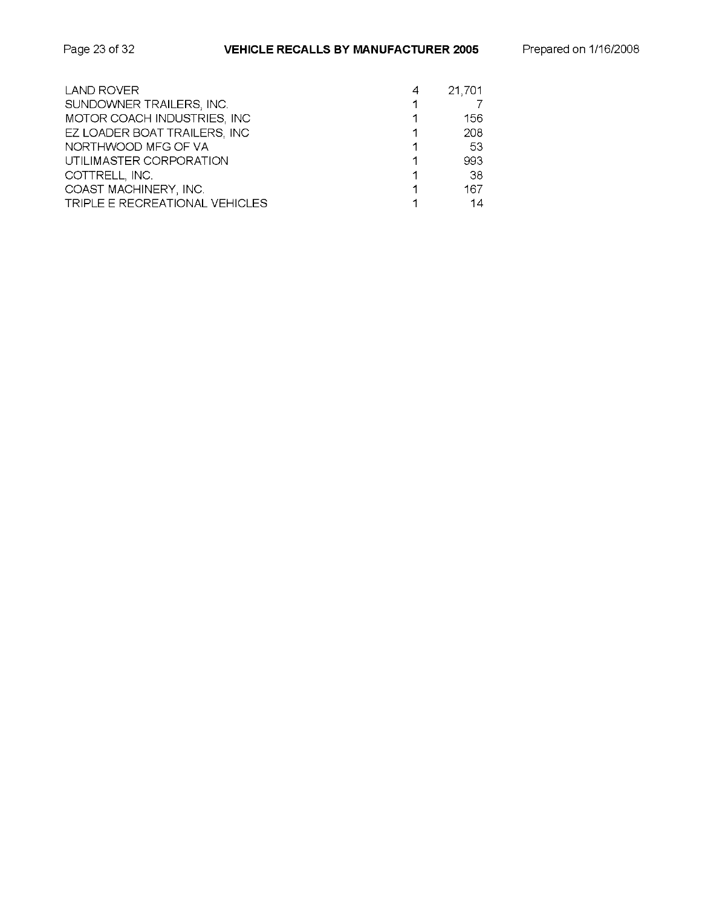| Page 23 of 32 |  |  |
|---------------|--|--|
|---------------|--|--|

| <b>LAND ROVER</b>              | 4 | 21,701 |
|--------------------------------|---|--------|
| SUNDOWNER TRAILERS, INC.       |   |        |
| MOTOR COACH INDUSTRIES, INC    |   | 156    |
| EZ LOADER BOAT TRAILERS, INC   |   | 208    |
| NORTHWOOD MFG OF VA            |   | -53    |
| UTILIMASTER CORPORATION        |   | 993    |
| COTTRELL, INC.                 |   | -38    |
| COAST MACHINERY, INC.          |   | 167    |
| TRIPLE E RECREATIONAL VEHICLES |   | 14     |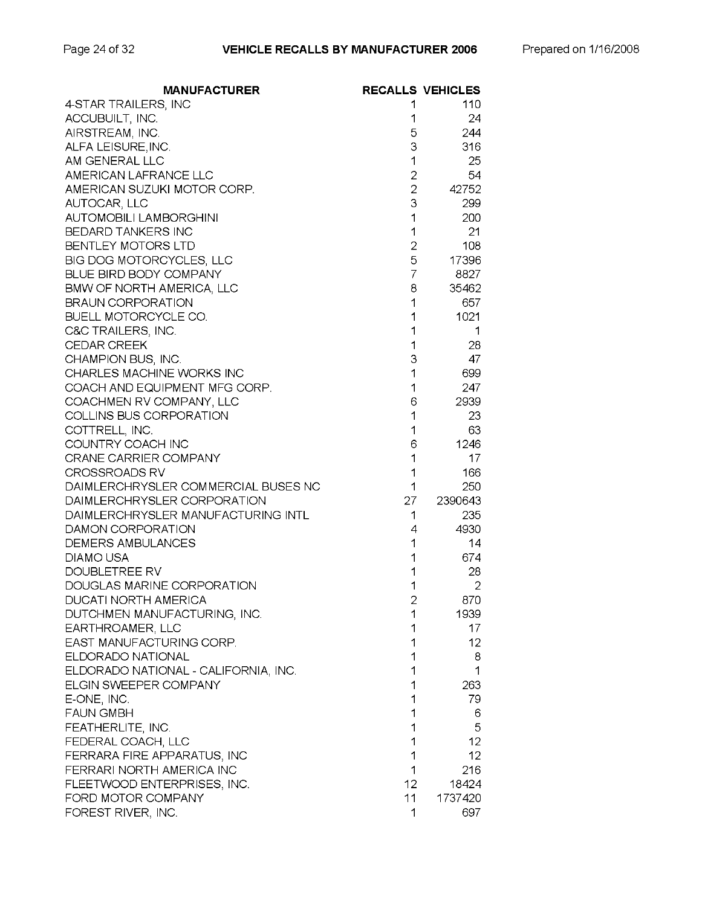| <b>MANUFACTURER</b>                          |                | <b>RECALLS VEHICLES</b> |
|----------------------------------------------|----------------|-------------------------|
| 4-STAR TRAILERS, INC                         | 1              | 110                     |
| ACCUBUILT, INC.                              | 1              | 24                      |
| AIRSTREAM, INC.                              | 5              | 244                     |
| ALFA LEISURE, INC.                           | 3              | 316                     |
| AM GENERAL LLC                               | 1              | 25                      |
| AMERICAN LAFRANCE LLC                        | $\overline{2}$ | 54                      |
| AMERICAN SUZUKI MOTOR CORP.                  | $\overline{2}$ | 42752                   |
| AUTOCAR, LLC                                 | 3              | 299                     |
| <b>AUTOMOBILI LAMBORGHINI</b>                | 1              | 200                     |
| BEDARD TANKERS INC                           | 1              | 21                      |
| BENTLEY MOTORS LTD                           | $\mathbf{2}$   | 108                     |
| BIG DOG MOTORCYCLES, LLC                     | 5              | 17396                   |
| BLUE BIRD BODY COMPANY                       | 7              | 8827                    |
| BMW OF NORTH AMERICA, LLC                    | 8              | 35462                   |
| <b>BRAUN CORPORATION</b>                     | 1              | 657                     |
| <b>BUELL MOTORCYCLE CO.</b>                  | 1              | 1021                    |
| C&C TRAILERS, INC.                           | 1              | 1                       |
| <b>CEDAR CREEK</b>                           | 1              | 28                      |
| CHAMPION BUS, INC.                           | 3              | 47                      |
| CHARLES MACHINE WORKS INC                    | 1              | 699                     |
| COACH AND EQUIPMENT MFG CORP.                | 1              | 247                     |
| COACHMEN RV COMPANY, LLC                     | 6              | 2939                    |
| COLLINS BUS CORPORATION                      | 1              | 23                      |
| COTTRELL, INC.                               | 1              | 63                      |
| COUNTRY COACH INC                            | 6              | 1246                    |
| CRANE CARRIER COMPANY                        | 1              | 17                      |
| <b>CROSSROADS RV</b>                         | 1              | 166                     |
| DAIMLERCHRYSLER COMMERCIAL BUSES NC          | 1              | 250                     |
| DAIMLERCHRYSLER CORPORATION                  | 27             | 2390643                 |
| DAIMLERCHRYSLER MANUFACTURING INTL           | 1              | 235                     |
| DAMON CORPORATION                            | 4              | 4930                    |
| <b>DEMERS AMBULANCES</b>                     | 1              | 14                      |
| <b>DIAMO USA</b>                             | 1              | 674                     |
| DOUBLETREE RV                                | 1              | 28                      |
| DOUGLAS MARINE CORPORATION                   | 1              | $\overline{2}$          |
| DUCATI NORTH AMERICA                         | 2              | 870                     |
| DUTCHMEN MANUFACTURING, INC.                 | 1              | 1939                    |
|                                              | 1              | 17                      |
| EARTHROAMER, LLC<br>EAST MANUFACTURING CORP. | 1              | 12                      |
| ELDORADO NATIONAL                            |                |                         |
|                                              | 1              | 8                       |
| ELDORADO NATIONAL - CALIFORNIA, INC.         | 1              | 1                       |
| ELGIN SWEEPER COMPANY                        | 1              | 263                     |
| E-ONE, INC.                                  | 1              | 79                      |
| <b>FAUN GMBH</b>                             | 1              | 6                       |
| FEATHERLITE, INC.                            | 1              | 5                       |
| FEDERAL COACH, LLC                           | 1              | $12 \overline{ }$       |
| FERRARA FIRE APPARATUS, INC                  | 1              | 12                      |
| FERRARI NORTH AMERICA INC                    | 1              | 216                     |
| FLEETWOOD ENTERPRISES, INC.                  | 12             | 18424                   |
| FORD MOTOR COMPANY                           | 11             | 1737420                 |
| FOREST RIVER, INC.                           | 1              | 697                     |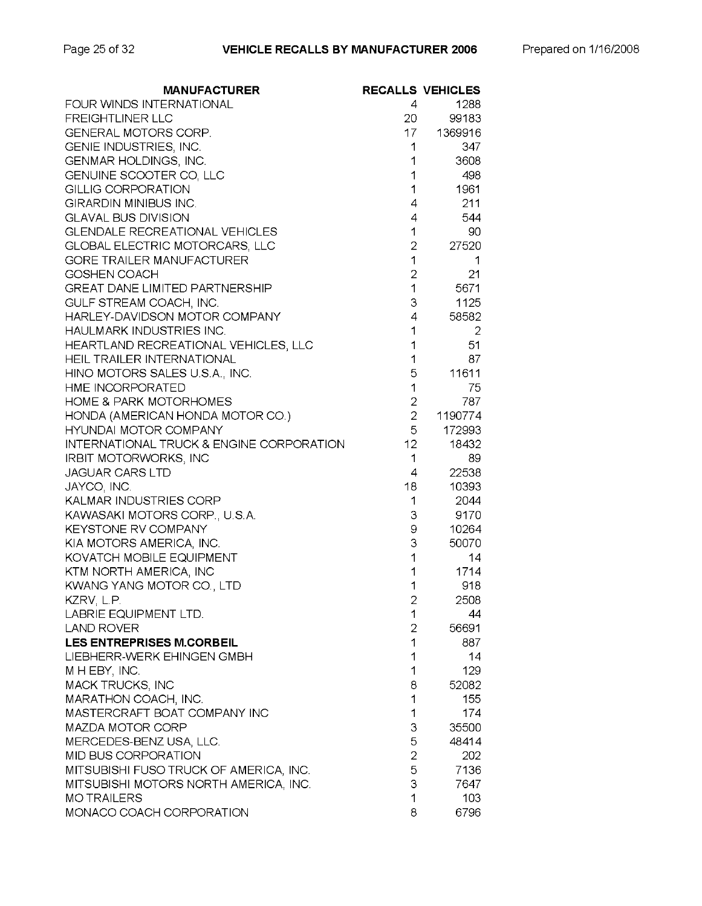| <b>MANUFACTURER</b>                                 |                 | <b>RECALLS VEHICLES</b> |
|-----------------------------------------------------|-----------------|-------------------------|
| FOUR WINDS INTERNATIONAL                            | 4               | 1288                    |
| <b>FREIGHTLINER LLC</b>                             | 20              | 99183                   |
| GENERAL MOTORS CORP.                                | 17 -            | 1369916                 |
| GENIE INDUSTRIES, INC.                              | 1               | 347                     |
| GENMAR HOLDINGS, INC.                               | 1               | 3608                    |
| GENUINE SCOOTER CO, LLC                             | 1               | 498                     |
| <b>GILLIG CORPORATION</b>                           | 1               | 1961                    |
| GIRARDIN MINIBUS INC.                               | 4               | 211                     |
| <b>GLAVAL BUS DIVISION</b>                          | 4               | 544                     |
| <b>GLENDALE RECREATIONAL VEHICLES</b>               | 1               | 90                      |
| GLOBAL ELECTRIC MOTORCARS, LLC                      | $\overline{2}$  | 27520                   |
| <b>GORE TRAILER MANUFACTURER</b>                    | 1               | 1                       |
| GOSHEN COACH                                        | $\overline{2}$  | 21                      |
| <b>GREAT DANE LIMITED PARTNERSHIP</b>               | 1               | 5671                    |
| GULF STREAM COACH, INC.                             | 3               | 1125                    |
| HARLEY-DAVIDSON MOTOR COMPANY                       | 4               | 58582                   |
| HAULMARK INDUSTRIES INC.                            | 1               | 2                       |
| HEARTLAND RECREATIONAL VEHICLES, LLC                | 1               | 51                      |
| HEIL TRAILER INTERNATIONAL                          | 1               | 87                      |
| HINO MOTORS SALES U.S.A., INC.                      | 5               | 11611                   |
| HME INCORPORATED                                    | 1               | 75                      |
| <b>HOME &amp; PARK MOTORHOMES</b>                   | $\overline{2}$  | 787                     |
| HONDA (AMERICAN HONDA MOTOR CO.)                    | $\overline{2}$  | 1190774                 |
| HYUNDAI MOTOR COMPANY                               | 5               | 172993                  |
| <b>INTERNATIONAL TRUCK &amp; ENGINE CORPORATION</b> | 12 <sub>2</sub> | 18432                   |
| IRBIT MOTORWORKS, INC                               | 1               | 89                      |
| <b>JAGUAR CARS LTD</b>                              | 4               | 22538                   |
| JAYCO, INC.                                         | 18              | 10393                   |
| KALMAR INDUSTRIES CORP                              | 1               | 2044                    |
| KAWASAKI MOTORS CORP., U.S.A.                       | З               | 9170                    |
| <b>KEYSTONE RV COMPANY</b>                          | 9               | 10264                   |
| KIA MOTORS AMERICA, INC.                            | 3               | 50070                   |
| KOVATCH MOBILE EQUIPMENT                            | 1               | 14                      |
| KTM NORTH AMERICA, INC                              | 1               | 1714                    |
| KWANG YANG MOTOR CO., LTD                           | 1               | 918                     |
| KZRV, L.P.                                          | ۷               | 2508                    |
| LABRIE EQUIPMENT LTD.                               | 1               | 44                      |
| <b>LAND ROVER</b>                                   | $\overline{2}$  | 56691                   |
| <b>LES ENTREPRISES M.CORBEIL</b>                    | 1               | 887                     |
| LIEBHERR-WERK EHINGEN GMBH                          | 1               | 14                      |
| M H EBY, INC.                                       | 1               | 129                     |
| <b>MACK TRUCKS, INC</b>                             | 8               | 52082                   |
| MARATHON COACH, INC.                                | 1               | 155                     |
| MASTERCRAFT BOAT COMPANY INC                        | 1               | 174                     |
| MAZDA MOTOR CORP                                    | 3               | 35500                   |
| MERCEDES-BENZ USA, LLC.                             | 5               | 48414                   |
| MID BUS CORPORATION                                 | 2               | 202                     |
| MITSUBISHI FUSO TRUCK OF AMERICA, INC.              | 5               | 7136                    |
| MITSUBISHI MOTORS NORTH AMERICA, INC.               | 3               | 7647                    |
| <b>MOTRAILERS</b>                                   | 1               | 103                     |
| MONACO COACH CORPORATION                            | 8               | 6796                    |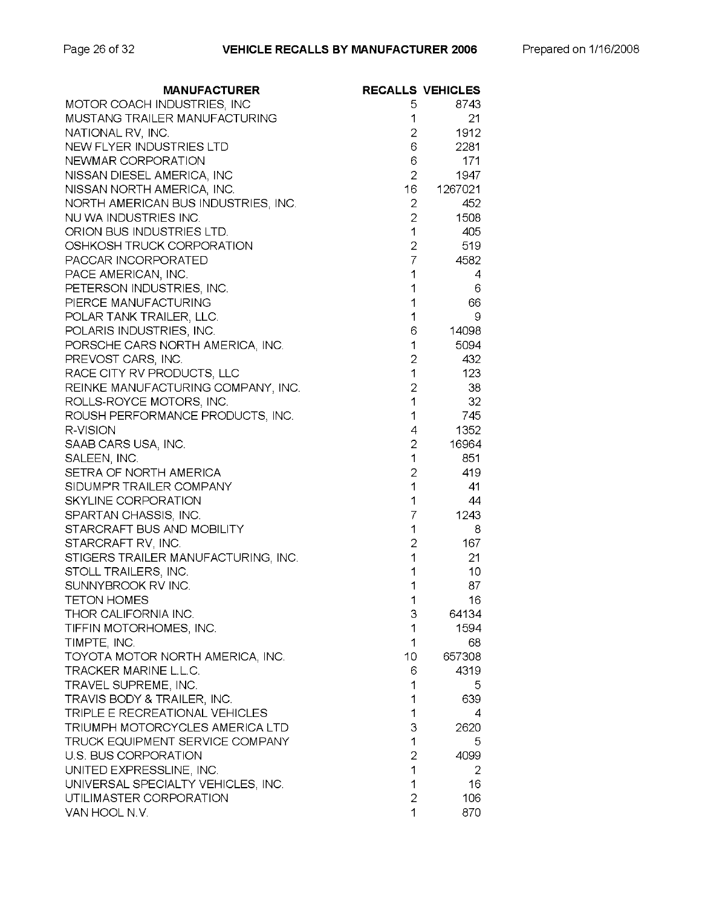| <b>MANUFACTURER</b>                 |                | <b>RECALLS VEHICLES</b> |
|-------------------------------------|----------------|-------------------------|
| MOTOR COACH INDUSTRIES, INC         | 5              | 8743                    |
| MUSTANG TRAILER MANUFACTURING       | 1              | 21                      |
| NATIONAL RV, INC.                   | 2              | 1912                    |
| NEW FLYER INDUSTRIES LTD            | 6              | 2281                    |
| NEWMAR CORPORATION                  | 6              | 171                     |
| NISSAN DIESEL AMERICA, INC          | $\overline{2}$ | 1947                    |
| NISSAN NORTH AMERICA, INC.          | 16             | 1267021                 |
| NORTH AMERICAN BUS INDUSTRIES, INC. | 2              | 452                     |
| NU WA INDUSTRIES INC.               | $\overline{2}$ | 1508                    |
| ORION BUS INDUSTRIES LTD.           | 1              | 405                     |
| OSHKOSH TRUCK CORPORATION           | $\overline{2}$ | 519                     |
| PACCAR INCORPORATED                 | $\overline{7}$ | 4582                    |
| PACE AMERICAN, INC.                 | 1              | 4                       |
| PETERSON INDUSTRIES, INC.           | 1              | 6                       |
| PIERCE MANUFACTURING                | 1              | 66                      |
| POLAR TANK TRAILER, LLC.            | 1              | 9                       |
| POLARIS INDUSTRIES, INC.            | 6              | 14098                   |
| PORSCHE CARS NORTH AMERICA, INC.    | 1              | 5094                    |
| PREVOST CARS, INC.                  | 2              | 432                     |
| RACE CITY RV PRODUCTS, LLC          | 1              | 123                     |
| REINKE MANUFACTURING COMPANY, INC.  | 2              | 38                      |
| ROLLS-ROYCE MOTORS, INC.            | 1              | 32                      |
| ROUSH PERFORMANCE PRODUCTS, INC.    | 1              | 745                     |
| R-VISION                            | 4              | 1352                    |
| SAAB CARS USA, INC.                 | $\overline{2}$ | 16964                   |
| SALEEN, INC.                        | 1              | 851                     |
| SETRA OF NORTH AMERICA              | $\overline{c}$ | 419                     |
| SIDUMP'R TRAILER COMPANY            | 1              | 41                      |
| SKYLINE CORPORATION                 | 1              | 44                      |
| SPARTAN CHASSIS, INC.               | 7              | 1243                    |
| STARCRAFT BUS AND MOBILITY          | 1              | 8                       |
| STARCRAFT RV, INC.                  | 2              | 167                     |
| STIGERS TRAILER MANUFACTURING, INC. | 1              | 21                      |
| STOLL TRAILERS, INC.                | 1              | 10                      |
| SUNNYBROOK RV INC.                  | 1              | 87                      |
| <b>TETON HOMES</b>                  | 1              | 16                      |
| THOR CALIFORNIA INC.                | 3              | 64134                   |
| TIFFIN MOTORHOMES, INC.             | 1              | 1594                    |
| TIMPTE, INC.                        | 1              | 68                      |
| TOYOTA MOTOR NORTH AMERICA, INC.    | 10             | 657308                  |
| TRACKER MARINE L.L.C.               | 6              | 4319                    |
| TRAVEL SUPREME, INC.                | 1              | 5                       |
| TRAVIS BODY & TRAILER, INC.         | 1              | 639                     |
| TRIPLE E RECREATIONAL VEHICLES      | 1              | 4                       |
| TRIUMPH MOTORCYCLES AMERICA LTD     | 3              | 2620                    |
| TRUCK EQUIPMENT SERVICE COMPANY     | 1              | 5                       |
| U.S. BUS CORPORATION                | $\overline{2}$ | 4099                    |
| UNITED EXPRESSLINE, INC.            | 1              | 2                       |
| UNIVERSAL SPECIALTY VEHICLES, INC.  | 1              | 16                      |
| UTILIMASTER CORPORATION             | $\overline{2}$ | 106                     |
| VAN HOOL N.V.                       | 1              | 870                     |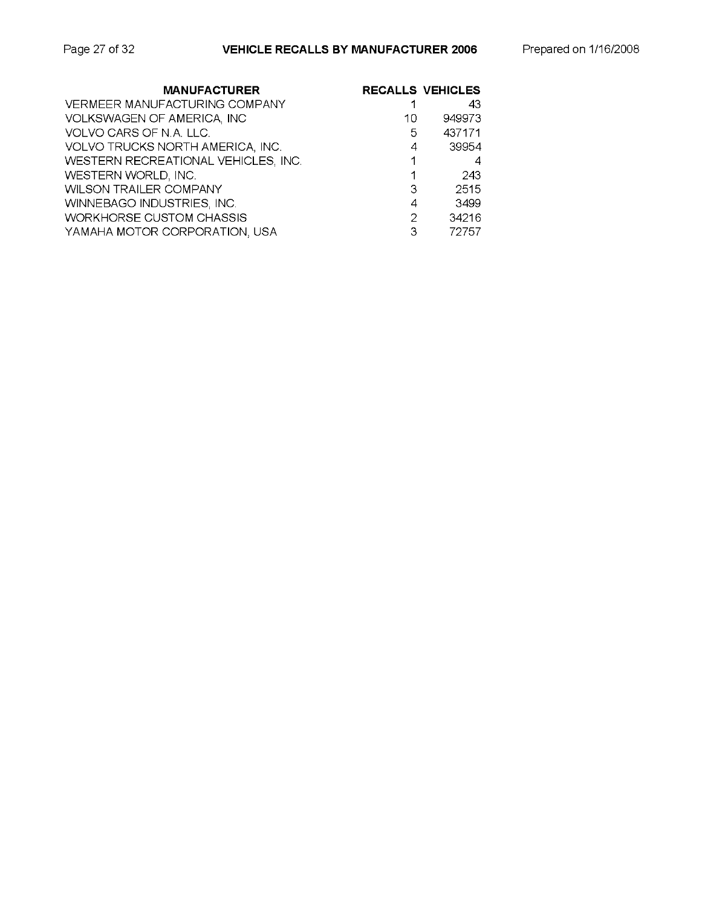| <b>MANUFACTURER</b>                 |    | <b>RECALLS VEHICLES</b> |
|-------------------------------------|----|-------------------------|
| VERMEER MANUFACTURING COMPANY       |    | 43                      |
| VOLKSWAGEN OF AMERICA, INC          | 10 | 949973                  |
| VOLVO CARS OF N.A. LLC.             | 5. | 437171                  |
| VOLVO TRUCKS NORTH AMERICA, INC.    | 4  | 39954                   |
| WESTERN RECREATIONAL VEHICLES, INC. |    | 4                       |
| WESTERN WORLD, INC.                 |    | 243                     |
| WILSON TRAILER COMPANY              | 3  | 2515                    |
| WINNEBAGO INDUSTRIES, INC.          | 4  | 3499                    |
| <b>WORKHORSE CUSTOM CHASSIS</b>     | 2  | 34216                   |
| YAMAHA MOTOR CORPORATION, USA       | 3  | 72757                   |
|                                     |    |                         |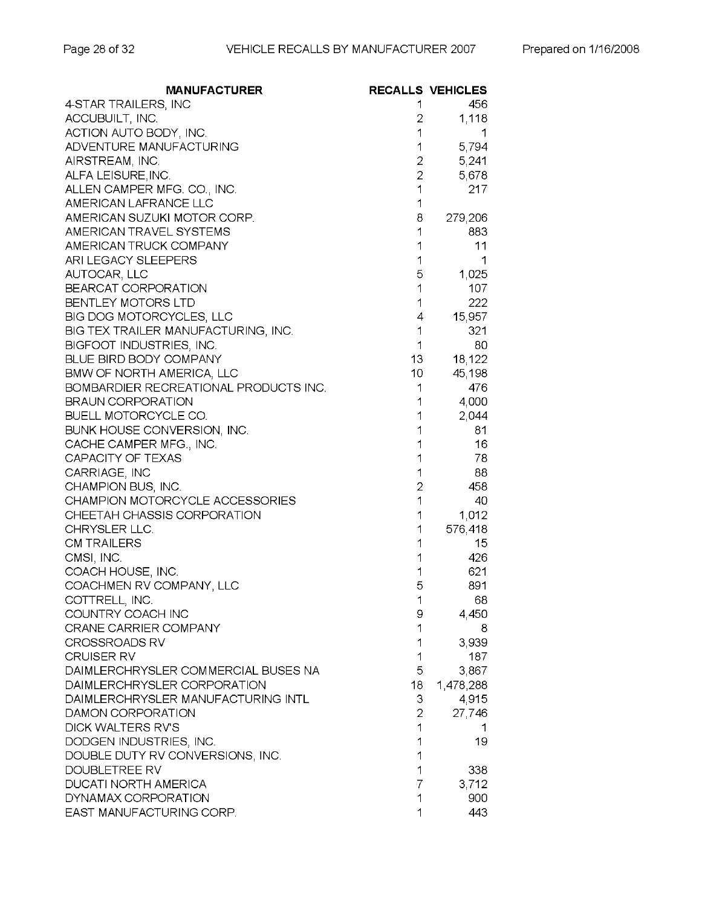| <b>MANUFACTURER</b>                        |                | <b>RECALLS VEHICLES</b> |
|--------------------------------------------|----------------|-------------------------|
| 4-STAR TRAILERS, INC                       | 1              | 456                     |
| ACCUBUILT, INC.                            | 2              | 1,118                   |
| ACTION AUTO BODY, INC.                     | 1              | 1                       |
| ADVENTURE MANUFACTURING                    | 1              | 5,794                   |
| AIRSTREAM, INC.                            | 2              | 5,241                   |
| ALFA LEISURE, INC.                         | $\overline{2}$ | 5,678                   |
| ALLEN CAMPER MFG. CO., INC.                | 1              | 217                     |
| AMERICAN LAFRANCE LLC                      | 1              |                         |
| AMERICAN SUZUKI MOTOR CORP.                | 8              | 279,206                 |
| AMERICAN TRAVEL SYSTEMS                    | 1              | 883                     |
| AMERICAN TRUCK COMPANY                     | 1              | 11                      |
| ARI LEGACY SLEEPERS                        | 1              | 1                       |
| AUTOCAR, LLC                               | 5              | 1,025                   |
| BEARCAT CORPORATION                        | 1              | 107                     |
| BENTLEY MOTORS LTD                         | 1              | 222                     |
| BIG DOG MOTORCYCLES, LLC                   | 4              | 15,957                  |
| BIG TEX TRAILER MANUFACTURING, INC.        | 1              | 321                     |
| BIGFOOT INDUSTRIES, INC.                   | 1              | 80                      |
| BLUE BIRD BODY COMPANY                     | $13 -$         | 18,122                  |
| <b>BMW OF NORTH AMERICA, LLC</b>           | 10             | 45,198                  |
| BOMBARDIER RECREATIONAL PRODUCTS INC.      | 1              | 476                     |
| <b>BRAUN CORPORATION</b>                   | 1              | 4,000                   |
| <b>BUELL MOTORCYCLE CO.</b>                | 1              | 2,044                   |
| BUNK HOUSE CONVERSION, INC.                | 1              | 81                      |
| CACHE CAMPER MFG., INC.                    | 1              | 16                      |
| CAPACITY OF TEXAS                          | 1              | 78                      |
| CARRIAGE, INC                              | 1              | 88                      |
| CHAMPION BUS, INC.                         | 2              | 458                     |
| CHAMPION MOTORCYCLE ACCESSORIES            | 1              | 40                      |
| CHEETAH CHASSIS CORPORATION                | 1              |                         |
| CHRYSLER LLC.                              | 1              | 1,012<br>576,418        |
| <b>CM TRAILERS</b>                         | 1              | 15                      |
|                                            | 1              |                         |
| CMSI, INC.                                 | 1              | 426<br>621              |
| COACH HOUSE, INC.                          | 5              |                         |
| COACHMEN RV COMPANY, LLC                   |                | 891                     |
| COTTRELL, INC.                             | 1              | 68                      |
| COUNTRY COACH INC<br>CRANE CARRIER COMPANY | 9<br>1         | 4,450                   |
|                                            |                | 8                       |
| <b>CROSSROADS RV</b><br><b>CRUISER RV</b>  | 1              | 3,939                   |
| DAIMLERCHRYSLER COMMERCIAL BUSES NA        | 1              | 187                     |
|                                            | 5              | 3,867                   |
| DAIMLERCHRYSLER CORPORATION                | 18             | 1,478,288               |
| DAIMLERCHRYSLER MANUFACTURING INTL         | 3              | 4,915                   |
| DAMON CORPORATION                          | 2              | 27,746                  |
| DICK WALTERS RV'S                          | 1              | 1                       |
| DODGEN INDUSTRIES, INC.                    | 1              | 19                      |
| DOUBLE DUTY RV CONVERSIONS, INC.           | 1              |                         |
| DOUBLETREE RV                              | 1              | 338                     |
| <b>DUCATI NORTH AMERICA</b>                | 7              | 3,712                   |
| DYNAMAX CORPORATION                        | 1              | 900                     |
| EAST MANUFACTURING CORP.                   | 1              | 443                     |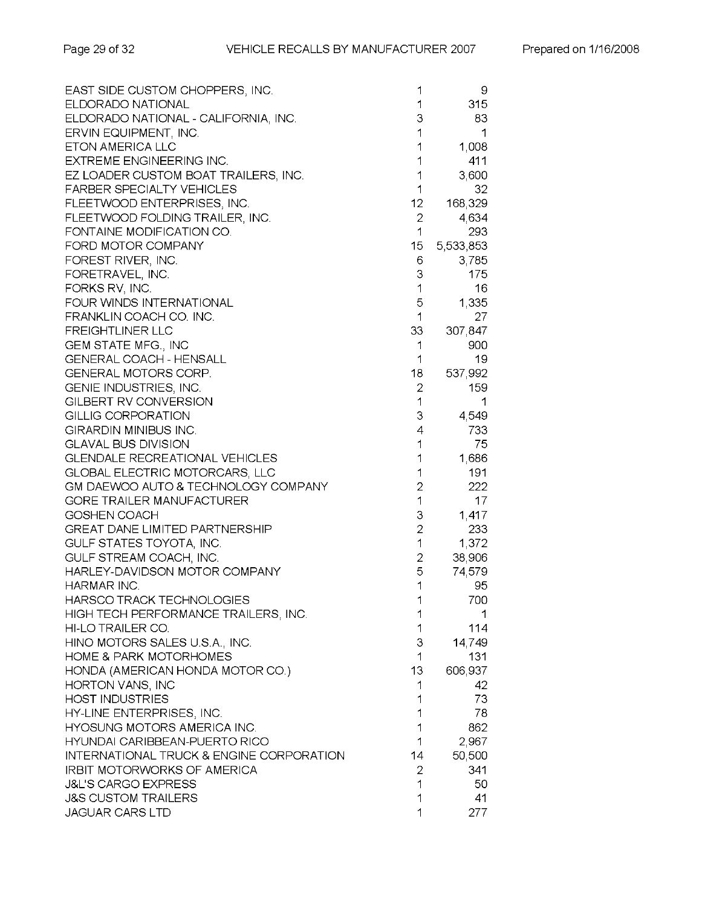| EAST SIDE CUSTOM CHOPPERS, INC.          | 1              | 9         |
|------------------------------------------|----------------|-----------|
| ELDORADO NATIONAL                        | 1              | 315       |
| ELDORADO NATIONAL - CALIFORNIA, INC.     | 3              | 83        |
| ERVIN EQUIPMENT, INC.                    | 1              | 1         |
| ETON AMERICA LLC                         | 1              | 1,008     |
| <b>EXTREME ENGINEERING INC.</b>          | 1              | 411       |
| EZ LOADER CUSTOM BOAT TRAILERS, INC.     | 1              | 3,600     |
| <b>FARBER SPECIALTY VEHICLES</b>         | 1              | 32        |
| FLEETWOOD ENTERPRISES, INC.              | 12             | 168,329   |
| FLEETWOOD FOLDING TRAILER, INC.          | $\overline{2}$ | 4,634     |
| FONTAINE MODIFICATION CO.                | 1              | 293       |
| FORD MOTOR COMPANY                       | 15             | 5,533,853 |
| FOREST RIVER, INC.                       | 6              | 3,785     |
| FORETRAVEL, INC.                         | З              | 175       |
| FORKS RV, INC.                           | 1              | 16        |
| FOUR WINDS INTERNATIONAL                 | 5              | 1,335     |
| FRANKLIN COACH CO. INC.                  | 1              | 27        |
| <b>FREIGHTLINER LLC</b>                  | 33             | 307,847   |
| <b>GEM STATE MFG., INC</b>               | 1              | 900       |
| <b>GENERAL COACH - HENSALL</b>           | 1              | 19        |
| GENERAL MOTORS CORP.                     | 18             | 537,992   |
| GENIE INDUSTRIES, INC.                   | 2              | 159       |
| GILBERT RV CONVERSION                    | 1              | 1         |
| GILLIG CORPORATION                       | 3              | 4,549     |
| <b>GIRARDIN MINIBUS INC.</b>             | 4              | 733       |
| <b>GLAVAL BUS DIVISION</b>               | 1              | 75        |
| <b>GLENDALE RECREATIONAL VEHICLES</b>    | 1              | 1,686     |
| <b>GLOBAL ELECTRIC MOTORCARS, LLC</b>    | 1              | 191       |
| GM DAEWOO AUTO & TECHNOLOGY COMPANY      | $\overline{2}$ | 222       |
| <b>GORE TRAILER MANUFACTURER</b>         | 1              | 17        |
| GOSHEN COACH                             | 3              | 1,417     |
| <b>GREAT DANE LIMITED PARTNERSHIP</b>    | $\overline{2}$ | 233       |
| GULF STATES TOYOTA, INC.                 | 1              | 1,372     |
| GULF STREAM COACH, INC.                  | 2              | 38,906    |
| HARLEY-DAVIDSON MOTOR COMPANY            | 5              | 74,579    |
| HARMAR INC.                              | 1              | 95        |
| HARSCO TRACK TECHNOLOGIES                | 1              | 700       |
| HIGH TECH PERFORMANCE TRAILERS, INC.     | 1              | 1         |
| HI-LO TRAILER CO.                        | 1              | 114       |
| HINO MOTORS SALES U.S.A., INC.           | 3              | 14,749    |
| <b>HOME &amp; PARK MOTORHOMES</b>        | 1              | 131       |
| HONDA (AMERICAN HONDA MOTOR CO.)         | 13             | 606,937   |
| HORTON VANS, INC                         | 1              | 42        |
| <b>HOST INDUSTRIES</b>                   | 1              | 73        |
| HY-LINE ENTERPRISES, INC.                | 1              | 78        |
| HYOSUNG MOTORS AMERICA INC.              | 1              | 862       |
| HYUNDAI CARIBBEAN-PUERTO RICO            | 1              | 2,967     |
| INTERNATIONAL TRUCK & ENGINE CORPORATION | 14             | 50,500    |
| <b>IRBIT MOTORWORKS OF AMERICA</b>       | 2              | 341       |
| <b>J&amp;L'S CARGO EXPRESS</b>           | 1              | 50        |
| <b>J&amp;S CUSTOM TRAILERS</b>           | 1              | 41        |
| <b>JAGUAR CARS LTD</b>                   | 1              | 277       |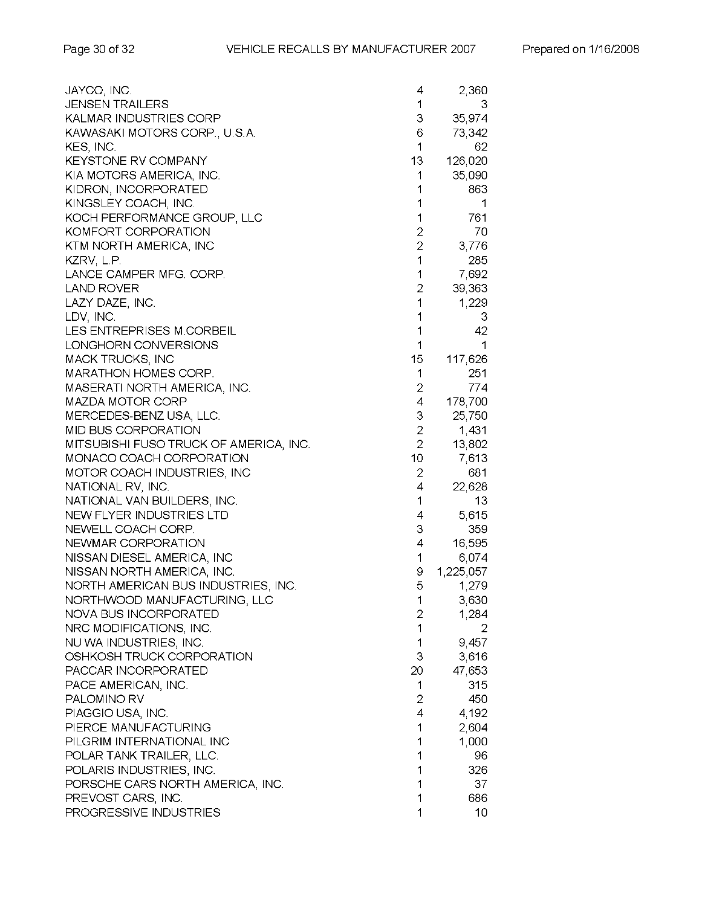| JAYCO, INC.                            | 4              | 2,360     |
|----------------------------------------|----------------|-----------|
| <b>JENSEN TRAILERS</b>                 | 1              | З         |
| <b>KALMAR INDUSTRIES CORP</b>          | 3              | 35,974    |
| KAWASAKI MOTORS CORP., U.S.A.          | 6              | 73,342    |
| KES, INC.                              | 1              | 62        |
| <b>KEYSTONE RV COMPANY</b>             | 13             | 126,020   |
| KIA MOTORS AMERICA, INC.               | 1              | 35,090    |
| KIDRON, INCORPORATED                   | 1              | 863       |
| KINGSLEY COACH, INC.                   | 1              | 1         |
| KOCH PERFORMANCE GROUP, LLC            | 1              | 761       |
| KOMFORT CORPORATION                    | $\overline{c}$ | 70        |
| KTM NORTH AMERICA, INC                 | $\overline{c}$ | 3,776     |
| KZRV, L.P.                             | 1              | 285       |
| LANCE CAMPER MFG. CORP.                | 1              | 7,692     |
| <b>LAND ROVER</b>                      | $\overline{c}$ | 39,363    |
| LAZY DAZE, INC.                        | 1              | 1,229     |
| LDV, INC.                              | 1              | 3         |
| LES ENTREPRISES M.CORBEIL              | 1              | 42        |
| LONGHORN CONVERSIONS                   | 1              | 1         |
| <b>MACK TRUCKS, INC</b>                | 15             | 117,626   |
| <b>MARATHON HOMES CORP.</b>            | 1              | 251       |
| MASERATI NORTH AMERICA, INC.           | 2              | 774       |
| MAZDA MOTOR CORP                       | 4              | 178,700   |
| MERCEDES-BENZ USA, LLC.                | 3              | 25,750    |
| MID BUS CORPORATION                    | $\overline{c}$ | 1,431     |
| MITSUBISHI FUSO TRUCK OF AMERICA, INC. | $\overline{2}$ | 13,802    |
| MONACO COACH CORPORATION               | 10             | 7,613     |
| MOTOR COACH INDUSTRIES, INC            | $\overline{c}$ | 681       |
| NATIONAL RV, INC.                      | 4              | 22,628    |
| NATIONAL VAN BUILDERS, INC.            | 1              | 13        |
| NEW FLYER INDUSTRIES LTD               | 4              | 5,615     |
| NEWELL COACH CORP.                     | 3              | 359       |
| NEWMAR CORPORATION                     | 4              | 16,595    |
| NISSAN DIESEL AMERICA, INC             | 1              | 6,074     |
| NISSAN NORTH AMERICA, INC.             | 9              | 1,225,057 |
| NORTH AMERICAN BUS INDUSTRIES, INC.    | 5              | 1,279     |
| NORTHWOOD MANUFACTURING, LLC           | 1              | 3,630     |
| NOVA BUS INCORPORATED                  | 2              | 1,284     |
| NRC MODIFICATIONS, INC.                | 1              | 2         |
| NU WA INDUSTRIES, INC.                 | 1              | 9,457     |
| OSHKOSH TRUCK CORPORATION              | 3              | 3,616     |
| PACCAR INCORPORATED                    | 20             | 47,653    |
| PACE AMERICAN, INC.                    | 1              | 315       |
| PALOMINO RV                            | $\overline{2}$ | 450       |
| PIAGGIO USA, INC.                      | 4              | 4,192     |
| PIERCE MANUFACTURING                   | 1              | 2,604     |
| PILGRIM INTERNATIONAL INC              | 1              | 1,000     |
| POLAR TANK TRAILER, LLC.               | 1              | 96        |
| POLARIS INDUSTRIES, INC.               | 1              | 326       |
| PORSCHE CARS NORTH AMERICA, INC.       | 1              | 37        |
| PREVOST CARS, INC.                     | 1              | 686       |
| PROGRESSIVE INDUSTRIES                 | 1              | 10        |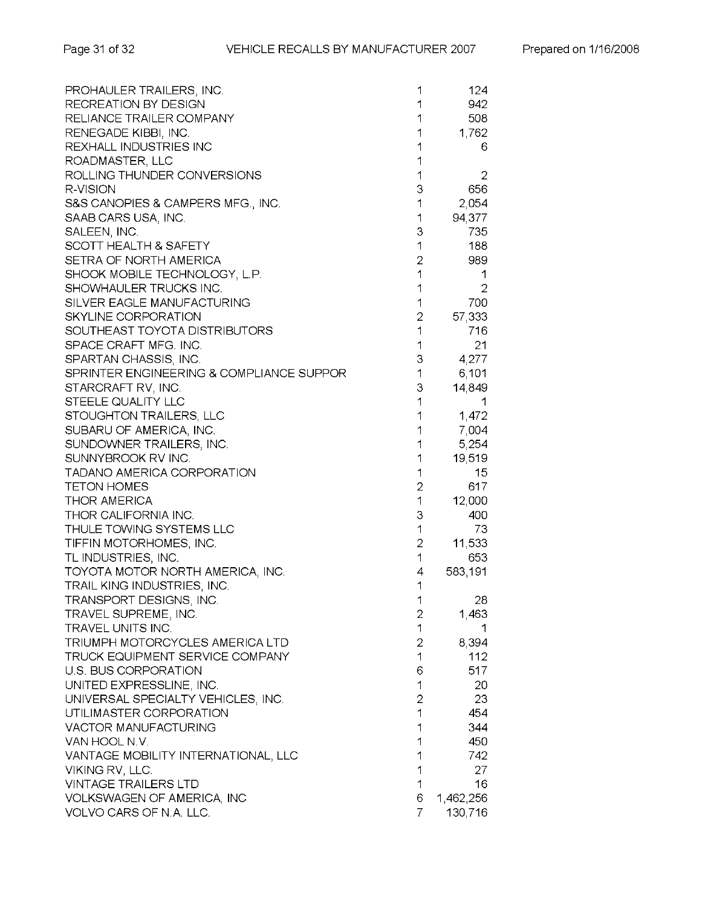| PROHAULER TRAILERS, INC.                 | 1              | 124       |
|------------------------------------------|----------------|-----------|
| RECREATION BY DESIGN                     | 1              | 942       |
| RELIANCE TRAILER COMPANY                 | 1              | 508       |
| RENEGADE KIBBI, INC.                     | 1              | 1,762     |
| REXHALL INDUSTRIES INC                   | 1              | 6         |
| ROADMASTER, LLC                          | 1              |           |
| ROLLING THUNDER CONVERSIONS              | 1              | 2         |
| R-VISION                                 | 3              | 656       |
| S&S CANOPIES & CAMPERS MFG., INC.        | 1              | 2,054     |
| SAAB CARS USA, INC.                      | 1              | 94,377    |
| SALEEN, INC.                             | З              | 735       |
| SCOTT HEALTH & SAFETY                    | 1              | 188       |
| SETRA OF NORTH AMERICA                   | $\overline{c}$ | 989       |
| SHOOK MOBILE TECHNOLOGY, L.P.            | 1              | 1         |
| SHOWHAULER TRUCKS INC.                   | 1              | 2         |
| SILVER EAGLE MANUFACTURING               | 1              | 700       |
| SKYLINE CORPORATION                      | 2              | 57,333    |
| SOUTHEAST TOYOTA DISTRIBUTORS            | 1              | 716       |
| SPACE CRAFT MFG. INC.                    | 1              | 21        |
| SPARTAN CHASSIS, INC.                    | З              | 4,277     |
| SPRINTER ENGINEERING & COMPLIANCE SUPPOR | 1              | 6,101     |
| STARCRAFT RV, INC.                       | З              | 14,849    |
| STEELE QUALITY LLC                       | 1              | 1         |
| STOUGHTON TRAILERS, LLC                  | 1              | 1,472     |
| SUBARU OF AMERICA, INC.                  | 1              | 7,004     |
| SUNDOWNER TRAILERS, INC.                 | 1              | 5,254     |
| SUNNYBROOK RV INC.                       | 1              | 19,519    |
| TADANO AMERICA CORPORATION               | 1              | 15        |
| TETON HOMES                              | $\overline{c}$ | 617       |
| THOR AMERICA                             | 1              | 12,000    |
| THOR CALIFORNIA INC.                     | З              | 400       |
| THULE TOWING SYSTEMS LLC                 | 1              | 73        |
| TIFFIN MOTORHOMES, INC.                  | 2              | 11,533    |
| TL INDUSTRIES, INC.                      | 1              | 653       |
| TOYOTA MOTOR NORTH AMERICA, INC.         | 4              | 583,191   |
| TRAIL KING INDUSTRIES, INC.              | 1              |           |
| TRANSPORT DESIGNS, INC.                  | 1              | 28        |
| TRAVEL SUPREME, INC.                     | 2              | 1,463     |
| TRAVEL UNITS INC.                        | 1              | 1         |
| TRIUMPH MOTORCYCLES AMERICA LTD          | 2              | 8,394     |
| <b>TRUCK EQUIPMENT SERVICE COMPANY</b>   | 1              | 112       |
| U.S. BUS CORPORATION                     | 6              | 517       |
| UNITED EXPRESSLINE, INC.                 | 1              | 20        |
| UNIVERSAL SPECIALTY VEHICLES, INC.       | $\overline{2}$ | 23        |
| UTILIMASTER CORPORATION                  | 1              | 454       |
| <b>VACTOR MANUFACTURING</b>              | 1              | 344       |
| VAN HOOL N.V.                            | 1              | 450       |
| VANTAGE MOBILITY INTERNATIONAL, LLC      | 1              | 742       |
| VIKING RV, LLC.                          | 1              | 27        |
| <b>VINTAGE TRAILERS LTD</b>              | 1              | 16        |
| VOLKSWAGEN OF AMERICA, INC               | 6              | 1,462,256 |
| VOLVO CARS OF N.A. LLC.                  | 7              | 130,716   |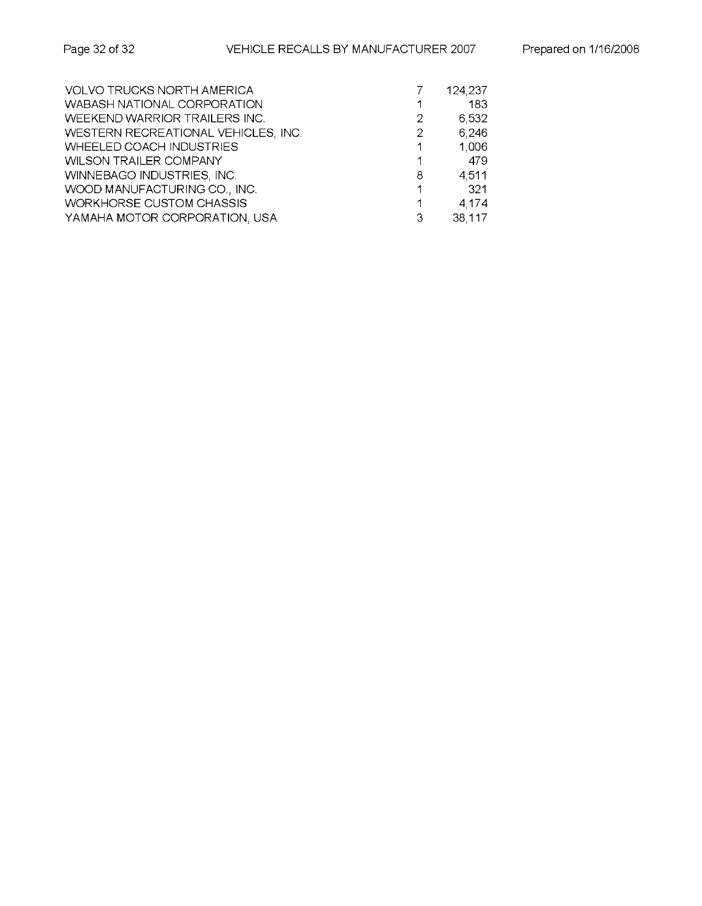| <b>VOLVO TRUCKS NORTH AMERICA</b>   |   | 124,237 |
|-------------------------------------|---|---------|
| WABASH NATIONAL CORPORATION         |   | 183     |
| WEEKEND WARRIOR TRAILERS INC.       | 2 | 6,532   |
| WESTERN RECREATIONAL VEHICLES, INC. | 2 | 6,246   |
| <b>WHEELED COACH INDUSTRIES</b>     |   | 1,006   |
| <b>WILSON TRAILER COMPANY</b>       |   | -479    |
| WINNEBAGO INDUSTRIES, INC.          | 8 | 4,511   |
| WOOD MANUFACTURING CO., INC.        |   | - 321   |
| <b>WORKHORSE CUSTOM CHASSIS</b>     |   | 4,174   |
| YAMAHA MOTOR CORPORATION, USA       | 3 | 38,117  |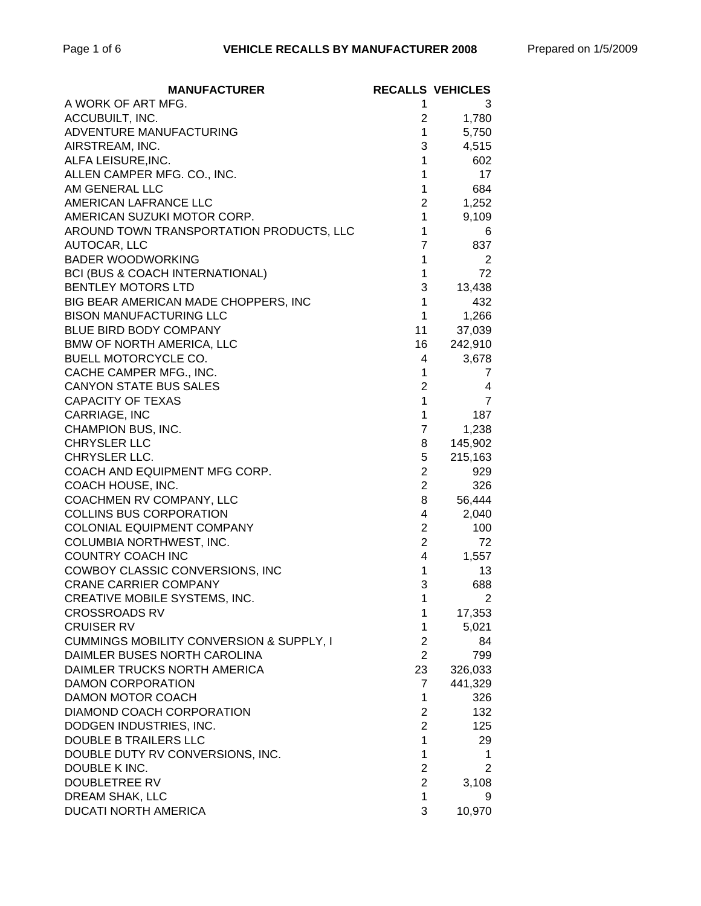| <b>MANUFACTURER</b>                        |                  | <b>RECALLS VEHICLES</b> |
|--------------------------------------------|------------------|-------------------------|
| A WORK OF ART MFG.                         | 1                | 3                       |
| ACCUBUILT, INC.                            | $\overline{2}$   | 1,780                   |
| ADVENTURE MANUFACTURING                    | $\mathbf{1}$     | 5,750                   |
| AIRSTREAM, INC.                            | 3                | 4,515                   |
| ALFA LEISURE, INC.                         | 1                | 602                     |
| ALLEN CAMPER MFG. CO., INC.                | 1                | 17                      |
| AM GENERAL LLC                             | 1                | 684                     |
| AMERICAN LAFRANCE LLC                      | $\overline{2}$   | 1,252                   |
| AMERICAN SUZUKI MOTOR CORP.                | $\mathbf 1$      | 9,109                   |
| AROUND TOWN TRANSPORTATION PRODUCTS, LLC   | 1                | 6                       |
| AUTOCAR, LLC                               | $\overline{7}$   | 837                     |
| <b>BADER WOODWORKING</b>                   | 1                | 2                       |
| <b>BCI (BUS &amp; COACH INTERNATIONAL)</b> | 1                | 72                      |
| <b>BENTLEY MOTORS LTD</b>                  | 3                | 13,438                  |
| BIG BEAR AMERICAN MADE CHOPPERS, INC       | 1                | 432                     |
| <b>BISON MANUFACTURING LLC</b>             | $\mathbf{1}$     | 1,266                   |
| BLUE BIRD BODY COMPANY                     | 11               | 37,039                  |
| <b>BMW OF NORTH AMERICA, LLC</b>           | 16               | 242,910                 |
| <b>BUELL MOTORCYCLE CO.</b>                | 4                | 3,678                   |
| CACHE CAMPER MFG., INC.                    | 1                | 7                       |
| <b>CANYON STATE BUS SALES</b>              | $\overline{2}$   | 4                       |
| <b>CAPACITY OF TEXAS</b>                   | 1                | 7                       |
| CARRIAGE, INC                              | 1                | 187                     |
| CHAMPION BUS, INC.                         | 7                | 1,238                   |
| <b>CHRYSLER LLC</b>                        | 8                | 145,902                 |
| CHRYSLER LLC.                              | 5                | 215,163                 |
| COACH AND EQUIPMENT MFG CORP.              | $\overline{2}$   | 929                     |
| COACH HOUSE, INC.                          | $\overline{2}$   | 326                     |
| COACHMEN RV COMPANY, LLC                   | 8                | 56,444                  |
| <b>COLLINS BUS CORPORATION</b>             | 4                | 2,040                   |
| COLONIAL EQUIPMENT COMPANY                 | $\overline{2}$   | 100                     |
| COLUMBIA NORTHWEST, INC.                   | $\overline{2}$   | 72                      |
| <b>COUNTRY COACH INC</b>                   | 4                | 1,557                   |
| COWBOY CLASSIC CONVERSIONS, INC            | 1                | 13                      |
| <b>CRANE CARRIER COMPANY</b>               | 3                | 688                     |
| CREATIVE MOBILE SYSTEMS, INC.              | 1                | $\overline{2}$          |
| <b>CROSSROADS RV</b>                       | 1                | 17,353                  |
| <b>CRUISER RV</b>                          | 1                | 5,021                   |
| CUMMINGS MOBILITY CONVERSION & SUPPLY, I   | $\boldsymbol{2}$ | 84                      |
| DAIMLER BUSES NORTH CAROLINA               | $\overline{2}$   | 799                     |
| DAIMLER TRUCKS NORTH AMERICA               | 23               | 326,033                 |
| <b>DAMON CORPORATION</b>                   | 7                | 441,329                 |
| DAMON MOTOR COACH                          | 1                | 326                     |
| DIAMOND COACH CORPORATION                  | $\overline{2}$   | 132                     |
| DODGEN INDUSTRIES, INC.                    | $\overline{2}$   | 125                     |
| DOUBLE B TRAILERS LLC                      | 1                | 29                      |
| DOUBLE DUTY RV CONVERSIONS, INC.           | 1                | 1.                      |
| DOUBLE K INC.                              | $\overline{2}$   | $\overline{2}$          |
| <b>DOUBLETREE RV</b>                       | $\overline{2}$   | 3,108                   |
| DREAM SHAK, LLC                            | $\mathbf{1}$     | 9                       |
| DUCATI NORTH AMERICA                       | 3                | 10,970                  |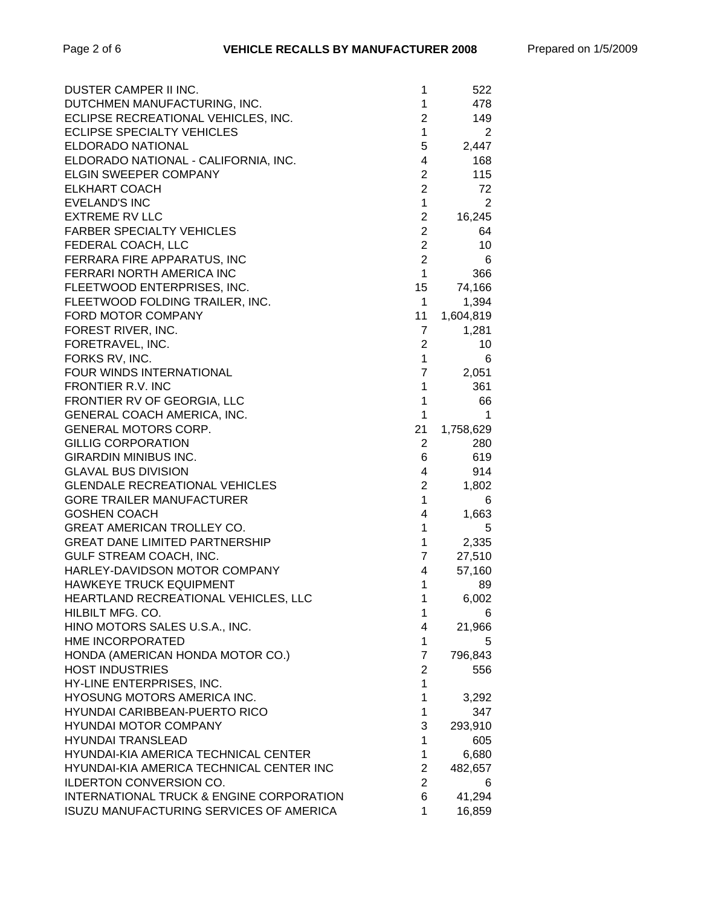| DUSTER CAMPER II INC.                          | 1              | 522            |
|------------------------------------------------|----------------|----------------|
| DUTCHMEN MANUFACTURING, INC.                   | 1              | 478            |
| ECLIPSE RECREATIONAL VEHICLES, INC.            | 2              | 149            |
| ECLIPSE SPECIALTY VEHICLES                     | $\mathbf{1}$   | 2              |
| ELDORADO NATIONAL                              | 5              | 2,447          |
| ELDORADO NATIONAL - CALIFORNIA, INC.           | 4              | 168            |
| ELGIN SWEEPER COMPANY                          | $\overline{2}$ | 115            |
| <b>ELKHART COACH</b>                           | $\overline{2}$ | 72             |
| <b>EVELAND'S INC</b>                           | $\mathbf{1}$   | $\overline{2}$ |
| <b>EXTREME RV LLC</b>                          | $\mathbf{2}$   | 16,245         |
| <b>FARBER SPECIALTY VEHICLES</b>               | $\overline{2}$ | 64             |
| FEDERAL COACH, LLC                             | $\overline{c}$ | 10             |
| FERRARA FIRE APPARATUS, INC                    | $\overline{2}$ | 6              |
| FERRARI NORTH AMERICA INC                      | $\mathbf{1}$   | 366            |
| FLEETWOOD ENTERPRISES, INC.                    | 15             | 74,166         |
| FLEETWOOD FOLDING TRAILER, INC.                | $\mathbf{1}$   | 1,394          |
| FORD MOTOR COMPANY                             | 11             | 1,604,819      |
| FOREST RIVER, INC.                             | 7              | 1,281          |
| FORETRAVEL, INC.                               | 2              | 10             |
| FORKS RV, INC.                                 | $\mathbf{1}$   | 6              |
| FOUR WINDS INTERNATIONAL                       | 7              | 2,051          |
| FRONTIER R.V. INC                              | 1              | 361            |
| FRONTIER RV OF GEORGIA, LLC                    | 1              | 66             |
| GENERAL COACH AMERICA, INC.                    | $\mathbf{1}$   | 1              |
| GENERAL MOTORS CORP.                           | 21             | 1,758,629      |
| <b>GILLIG CORPORATION</b>                      | $\overline{2}$ | 280            |
| <b>GIRARDIN MINIBUS INC.</b>                   | 6              | 619            |
| <b>GLAVAL BUS DIVISION</b>                     | 4              | 914            |
| <b>GLENDALE RECREATIONAL VEHICLES</b>          | $\overline{2}$ | 1,802          |
| <b>GORE TRAILER MANUFACTURER</b>               | $\mathbf{1}$   | 6              |
| <b>GOSHEN COACH</b>                            | 4              | 1,663          |
| <b>GREAT AMERICAN TROLLEY CO.</b>              | $\mathbf{1}$   | 5              |
| <b>GREAT DANE LIMITED PARTNERSHIP</b>          | $\mathbf{1}$   | 2,335          |
| GULF STREAM COACH, INC.                        | $\overline{7}$ | 27,510         |
| HARLEY-DAVIDSON MOTOR COMPANY                  | 4              | 57,160         |
| <b>HAWKEYE TRUCK EQUIPMENT</b>                 | 1              | 89             |
| HEARTLAND RECREATIONAL VEHICLES, LLC           | 1              | 6,002          |
| HILBILT MFG. CO.                               | 1              | 6              |
| HINO MOTORS SALES U.S.A., INC.                 | 4              | 21,966         |
| HME INCORPORATED                               | 1              | 5.             |
| HONDA (AMERICAN HONDA MOTOR CO.)               | 7              | 796,843        |
| <b>HOST INDUSTRIES</b>                         | $\overline{c}$ | 556            |
| HY-LINE ENTERPRISES, INC.                      | $\mathbf{1}$   |                |
| HYOSUNG MOTORS AMERICA INC.                    | $\mathbf{1}$   | 3,292          |
| <b>HYUNDAI CARIBBEAN-PUERTO RICO</b>           | $\mathbf{1}$   | 347            |
| <b>HYUNDAI MOTOR COMPANY</b>                   | 3              | 293,910        |
| <b>HYUNDAI TRANSLEAD</b>                       | $\mathbf{1}$   | 605            |
| HYUNDAI-KIA AMERICA TECHNICAL CENTER           | $\mathbf{1}$   | 6,680          |
| HYUNDAI-KIA AMERICA TECHNICAL CENTER INC       | $\overline{c}$ | 482,657        |
| ILDERTON CONVERSION CO.                        | $\overline{2}$ | 6              |
| INTERNATIONAL TRUCK & ENGINE CORPORATION       | 6              | 41,294         |
| <b>ISUZU MANUFACTURING SERVICES OF AMERICA</b> | 1              | 16,859         |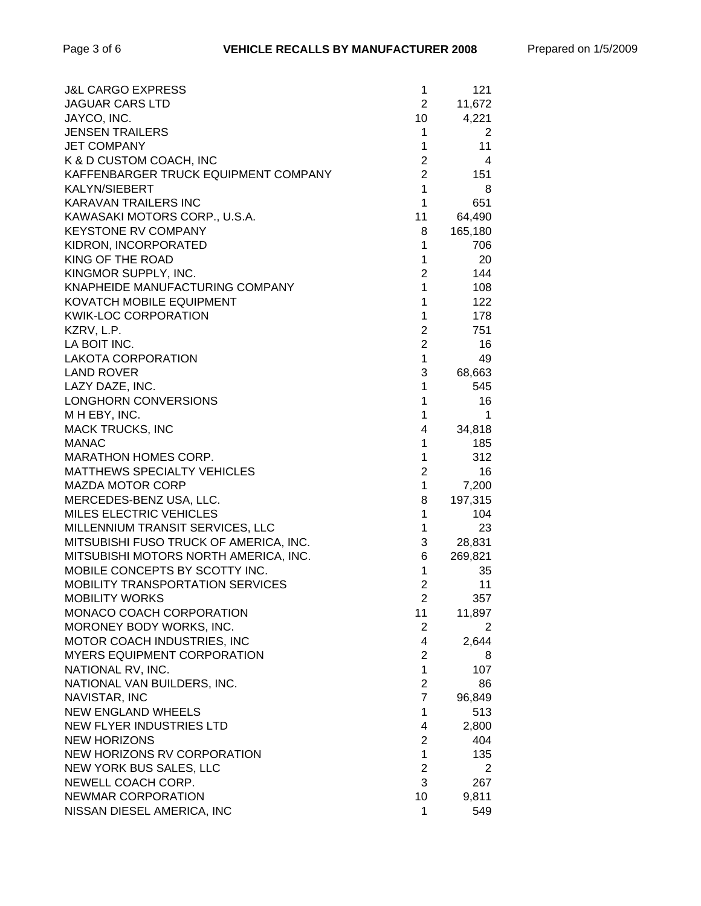| <b>J&amp;L CARGO EXPRESS</b>            | 1              | 121     |
|-----------------------------------------|----------------|---------|
| <b>JAGUAR CARS LTD</b>                  | $\overline{2}$ | 11,672  |
| JAYCO, INC.                             | 10             | 4,221   |
| <b>JENSEN TRAILERS</b>                  | 1              | 2       |
| <b>JET COMPANY</b>                      | 1              | 11      |
| K & D CUSTOM COACH, INC                 | $\overline{2}$ | 4       |
| KAFFENBARGER TRUCK EQUIPMENT COMPANY    | $\overline{2}$ | 151     |
| <b>KALYN/SIEBERT</b>                    | 1              | 8       |
| <b>KARAVAN TRAILERS INC</b>             | 1              | 651     |
| KAWASAKI MOTORS CORP., U.S.A.           | 11             | 64,490  |
| <b>KEYSTONE RV COMPANY</b>              | 8              | 165,180 |
| KIDRON, INCORPORATED                    | 1              | 706     |
| KING OF THE ROAD                        | 1              | 20      |
| KINGMOR SUPPLY, INC.                    | $\overline{2}$ | 144     |
| KNAPHEIDE MANUFACTURING COMPANY         | $\mathbf 1$    | 108     |
| KOVATCH MOBILE EQUIPMENT                | 1              | 122     |
| <b>KWIK-LOC CORPORATION</b>             | $\mathbf{1}$   | 178     |
| KZRV, L.P.                              | $\overline{2}$ | 751     |
| LA BOIT INC.                            | $\overline{2}$ | 16      |
| <b>LAKOTA CORPORATION</b>               | 1              | 49      |
| <b>LAND ROVER</b>                       | 3              | 68,663  |
| LAZY DAZE, INC.                         | 1              | 545     |
| LONGHORN CONVERSIONS                    | 1              | 16      |
| M H EBY, INC.                           | 1              | 1       |
| <b>MACK TRUCKS, INC</b>                 | 4              | 34,818  |
| <b>MANAC</b>                            | 1              | 185     |
| MARATHON HOMES CORP.                    | 1              | 312     |
| <b>MATTHEWS SPECIALTY VEHICLES</b>      | $\overline{2}$ | 16      |
| <b>MAZDA MOTOR CORP</b>                 | $\mathbf{1}$   | 7,200   |
| MERCEDES-BENZ USA, LLC.                 | 8              | 197,315 |
| MILES ELECTRIC VEHICLES                 | 1              | 104     |
| MILLENNIUM TRANSIT SERVICES, LLC        | $\mathbf{1}$   | 23      |
| MITSUBISHI FUSO TRUCK OF AMERICA, INC.  | 3              | 28,831  |
| MITSUBISHI MOTORS NORTH AMERICA, INC.   | 6              | 269,821 |
| MOBILE CONCEPTS BY SCOTTY INC.          | 1              | 35      |
| <b>MOBILITY TRANSPORTATION SERVICES</b> | $\overline{2}$ | 11      |
| <b>MOBILITY WORKS</b>                   | 2              | 357     |
| MONACO COACH CORPORATION                | 11             | 11,897  |
| MORONEY BODY WORKS, INC.                | 2              | 2       |
| MOTOR COACH INDUSTRIES, INC             | 4              | 2,644   |
| <b>MYERS EQUIPMENT CORPORATION</b>      | $\overline{c}$ | 8       |
| NATIONAL RV, INC.                       | 1              | 107     |
| NATIONAL VAN BUILDERS, INC.             | $\overline{c}$ | 86      |
| NAVISTAR, INC                           | $\overline{7}$ | 96,849  |
| <b>NEW ENGLAND WHEELS</b>               | 1              | 513     |
| NEW FLYER INDUSTRIES LTD                | 4              | 2,800   |
| <b>NEW HORIZONS</b>                     | $\overline{2}$ | 404     |
| NEW HORIZONS RV CORPORATION             | $\mathbf{1}$   | 135     |
| NEW YORK BUS SALES, LLC                 | $\overline{2}$ | 2       |
| NEWELL COACH CORP.                      | 3              | 267     |
| NEWMAR CORPORATION                      | 10             | 9,811   |
| NISSAN DIESEL AMERICA, INC              | 1              | 549     |
|                                         |                |         |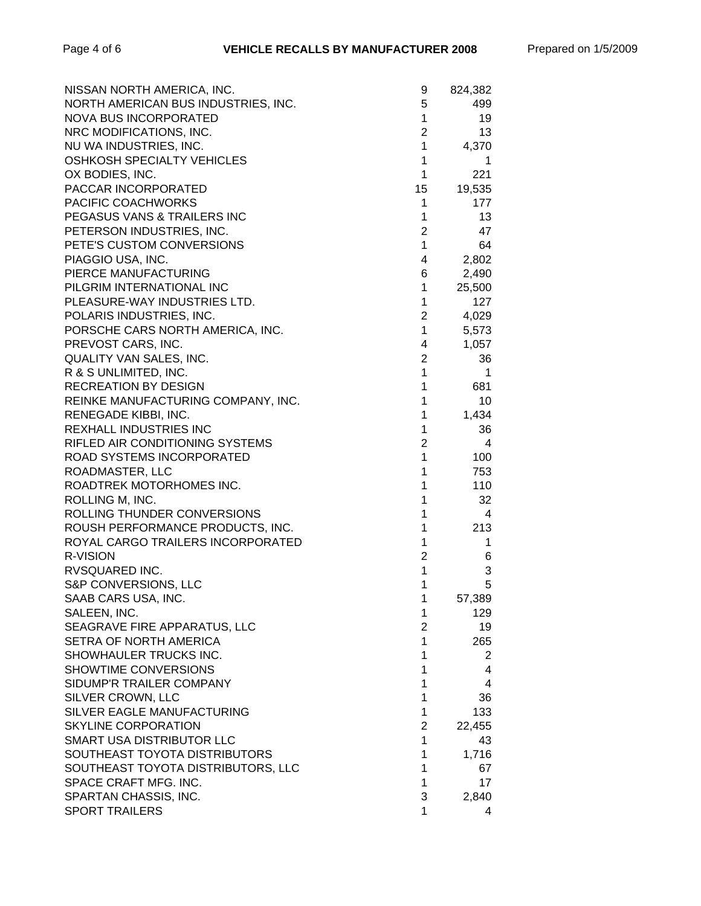| NISSAN NORTH AMERICA, INC.          | 9              | 824,382               |
|-------------------------------------|----------------|-----------------------|
| NORTH AMERICAN BUS INDUSTRIES, INC. | 5              | 499                   |
| NOVA BUS INCORPORATED               | $\mathbf{1}$   | 19                    |
| NRC MODIFICATIONS, INC.             | $\overline{2}$ | 13                    |
| NU WA INDUSTRIES, INC.              | $\mathbf{1}$   | 4,370                 |
| OSHKOSH SPECIALTY VEHICLES          | $\mathbf{1}$   | 1                     |
| OX BODIES, INC.                     | $\mathbf{1}$   | 221                   |
| PACCAR INCORPORATED                 | 15             | 19,535                |
| PACIFIC COACHWORKS                  | 1              | 177                   |
| PEGASUS VANS & TRAILERS INC         | 1              | 13                    |
| PETERSON INDUSTRIES, INC.           | $\overline{c}$ | 47                    |
| PETE'S CUSTOM CONVERSIONS           | 1              | 64                    |
| PIAGGIO USA, INC.                   | 4              | 2,802                 |
| PIERCE MANUFACTURING                | 6              | 2,490                 |
| PILGRIM INTERNATIONAL INC           | $\mathbf{1}$   | 25,500                |
| PLEASURE-WAY INDUSTRIES LTD.        | $\mathbf{1}$   | 127                   |
| POLARIS INDUSTRIES, INC.            | $\overline{2}$ | 4,029                 |
| PORSCHE CARS NORTH AMERICA, INC.    | $\mathbf{1}$   | 5,573                 |
| PREVOST CARS, INC.                  | 4              | 1,057                 |
| QUALITY VAN SALES, INC.             | $\overline{2}$ | 36                    |
| R & S UNLIMITED, INC.               | $\mathbf{1}$   | 1                     |
| <b>RECREATION BY DESIGN</b>         | $\mathbf{1}$   | 681                   |
| REINKE MANUFACTURING COMPANY, INC.  | 1              | 10                    |
| RENEGADE KIBBI, INC.                | 1              | 1,434                 |
| <b>REXHALL INDUSTRIES INC</b>       | 1              | 36                    |
| RIFLED AIR CONDITIONING SYSTEMS     | $\overline{2}$ | 4                     |
| ROAD SYSTEMS INCORPORATED           | 1              | 100                   |
| ROADMASTER, LLC                     | 1              | 753                   |
| ROADTREK MOTORHOMES INC.            | 1              | 110                   |
| ROLLING M, INC.                     | 1              | 32                    |
| ROLLING THUNDER CONVERSIONS         | 1              | 4                     |
| ROUSH PERFORMANCE PRODUCTS, INC.    | 1              | 213                   |
| ROYAL CARGO TRAILERS INCORPORATED   | 1              | 1                     |
| R-VISION                            | $\overline{c}$ | 6                     |
| RVSQUARED INC.                      | $\mathbf 1$    | 3                     |
| S&P CONVERSIONS, LLC                | 1              | 5                     |
| SAAB CARS USA, INC.                 | 1              | 57,389                |
| SALEEN, INC.                        | 1              | 129                   |
| SEAGRAVE FIRE APPARATUS, LLC        | $\overline{2}$ | 19                    |
| SETRA OF NORTH AMERICA              | 1              | 265                   |
| SHOWHAULER TRUCKS INC.              | 1              | $\mathbf{2}^{\prime}$ |
| SHOWTIME CONVERSIONS                | 1              | 4                     |
| SIDUMP'R TRAILER COMPANY            | 1              | 4                     |
| SILVER CROWN, LLC                   | 1              | 36                    |
| SILVER EAGLE MANUFACTURING          | 1              | 133                   |
| <b>SKYLINE CORPORATION</b>          | 2              | 22,455                |
| SMART USA DISTRIBUTOR LLC           | 1              | 43                    |
| SOUTHEAST TOYOTA DISTRIBUTORS       | 1              | 1,716                 |
| SOUTHEAST TOYOTA DISTRIBUTORS, LLC  | 1              | 67                    |
| SPACE CRAFT MFG. INC.               | 1              | 17                    |
| SPARTAN CHASSIS, INC.               | 3              | 2,840                 |
| <b>SPORT TRAILERS</b>               | 1              | 4                     |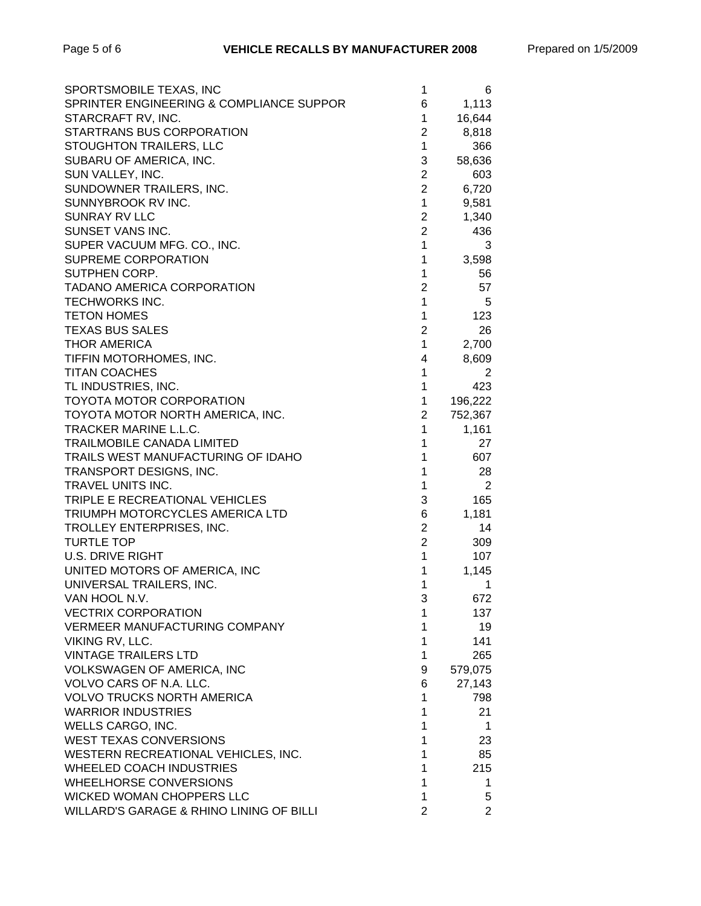| SPORTSMOBILE TEXAS, INC                  | 1              | 6              |
|------------------------------------------|----------------|----------------|
| SPRINTER ENGINEERING & COMPLIANCE SUPPOR | 6              | 1,113          |
| STARCRAFT RV, INC.                       | 1              | 16,644         |
| STARTRANS BUS CORPORATION                | $\overline{2}$ | 8,818          |
| STOUGHTON TRAILERS, LLC                  | $\mathbf{1}$   | 366            |
| SUBARU OF AMERICA, INC.                  | 3              | 58,636         |
| SUN VALLEY, INC.                         | $\overline{2}$ | 603            |
| SUNDOWNER TRAILERS, INC.                 | $\overline{2}$ | 6,720          |
| SUNNYBROOK RV INC.                       | 1              | 9,581          |
| <b>SUNRAY RV LLC</b>                     | $\overline{2}$ | 1,340          |
| SUNSET VANS INC.                         | $\overline{2}$ | 436            |
| SUPER VACUUM MFG. CO., INC.              | 1              | 3              |
| SUPREME CORPORATION                      | 1              | 3,598          |
| SUTPHEN CORP.                            | 1              | 56             |
| <b>TADANO AMERICA CORPORATION</b>        | $\overline{2}$ | 57             |
| <b>TECHWORKS INC.</b>                    | $\mathbf{1}$   | 5              |
| <b>TETON HOMES</b>                       | $\mathbf{1}$   | 123            |
| <b>TEXAS BUS SALES</b>                   | $\overline{2}$ | 26             |
| <b>THOR AMERICA</b>                      | $\mathbf 1$    | 2,700          |
| TIFFIN MOTORHOMES, INC.                  | 4              | 8,609          |
| <b>TITAN COACHES</b>                     | 1              | 2              |
| TL INDUSTRIES, INC.                      | $\mathbf{1}$   | 423            |
| TOYOTA MOTOR CORPORATION                 | $\mathbf{1}$   | 196,222        |
| TOYOTA MOTOR NORTH AMERICA, INC.         | $\overline{2}$ | 752,367        |
| TRACKER MARINE L.L.C.                    | 1              | 1,161          |
| <b>TRAILMOBILE CANADA LIMITED</b>        | 1              | 27             |
| TRAILS WEST MANUFACTURING OF IDAHO       | 1              | 607            |
| TRANSPORT DESIGNS, INC.                  | 1              | 28             |
| TRAVEL UNITS INC.                        | 1              | 2              |
| TRIPLE E RECREATIONAL VEHICLES           | 3              | 165            |
| TRIUMPH MOTORCYCLES AMERICA LTD          | 6              | 1,181          |
| TROLLEY ENTERPRISES, INC.                | $\mathbf{2}$   | 14             |
| <b>TURTLE TOP</b>                        | $\overline{2}$ | 309            |
| <b>U.S. DRIVE RIGHT</b>                  | $\mathbf{1}$   | 107            |
| UNITED MOTORS OF AMERICA, INC            | 1              | 1,145          |
| UNIVERSAL TRAILERS, INC.                 | 1              | 1              |
| VAN HOOL N.V.                            | 3              | 672            |
| <b>VECTRIX CORPORATION</b>               | 1              | 137            |
| <b>VERMEER MANUFACTURING COMPANY</b>     | 1              | 19             |
| VIKING RV, LLC.                          | 1              | 141            |
| <b>VINTAGE TRAILERS LTD</b>              | 1              | 265            |
| VOLKSWAGEN OF AMERICA, INC               | 9              | 579,075        |
| VOLVO CARS OF N.A. LLC.                  | 6              | 27,143         |
| <b>VOLVO TRUCKS NORTH AMERICA</b>        | 1              | 798            |
| <b>WARRIOR INDUSTRIES</b>                | 1              | 21             |
| WELLS CARGO, INC.                        | 1              | 1              |
| WEST TEXAS CONVERSIONS                   | $\mathbf{1}$   | 23             |
| WESTERN RECREATIONAL VEHICLES, INC.      | 1              | 85             |
| <b>WHEELED COACH INDUSTRIES</b>          | 1              | 215            |
| <b>WHEELHORSE CONVERSIONS</b>            | 1              | 1              |
| WICKED WOMAN CHOPPERS LLC                | 1              | 5              |
| WILLARD'S GARAGE & RHINO LINING OF BILLI | $\overline{2}$ | $\overline{2}$ |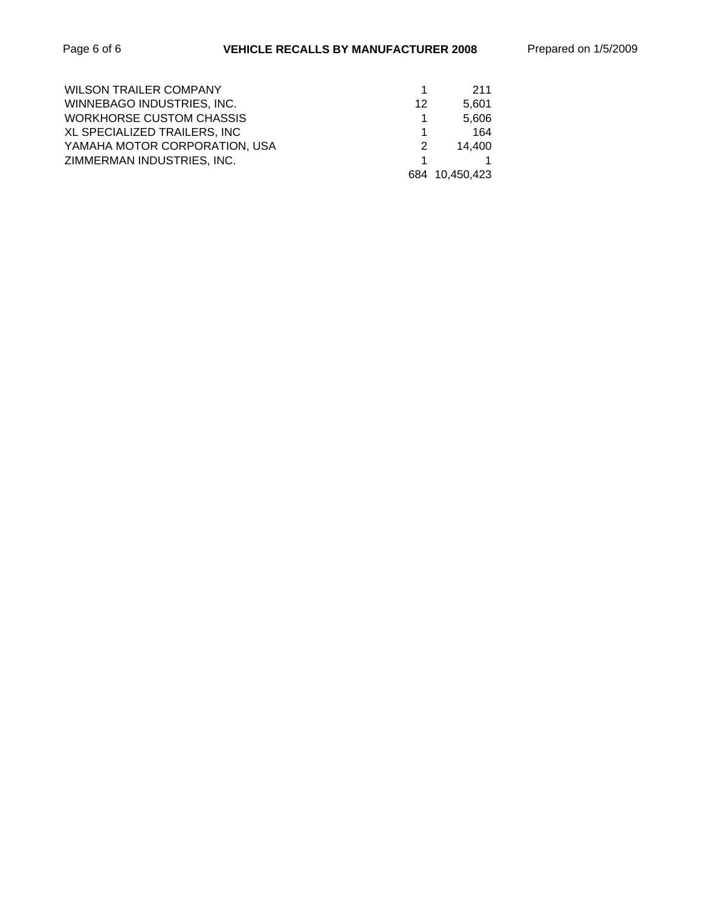| <b>WILSON TRAILER COMPANY</b>   |    | 211            |
|---------------------------------|----|----------------|
| WINNEBAGO INDUSTRIES, INC.      | 12 | 5.601          |
| <b>WORKHORSE CUSTOM CHASSIS</b> |    | 5.606          |
| XL SPECIALIZED TRAILERS, INC    |    | 164            |
| YAMAHA MOTOR CORPORATION, USA   | 2  | 14.400         |
| ZIMMERMAN INDUSTRIES, INC.      |    |                |
|                                 |    | 684 10,450,423 |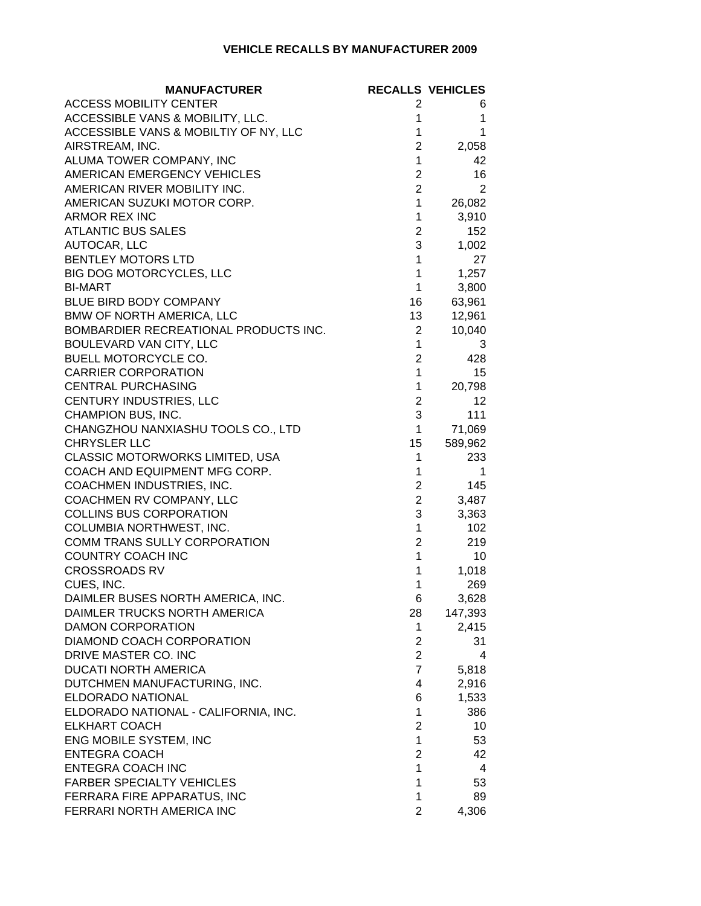#### **VEHICLE RECALLS BY MANUFACTURER 2009**

| <b>MANUFACTURER</b>                   |                         | <b>RECALLS VEHICLES</b> |
|---------------------------------------|-------------------------|-------------------------|
| <b>ACCESS MOBILITY CENTER</b>         | 2                       | 6                       |
| ACCESSIBLE VANS & MOBILITY, LLC.      | 1                       | 1                       |
| ACCESSIBLE VANS & MOBILTIY OF NY, LLC | 1                       | 1                       |
| AIRSTREAM, INC.                       | $\overline{2}$          | 2,058                   |
| ALUMA TOWER COMPANY, INC              | $\mathbf{1}$            | 42                      |
| AMERICAN EMERGENCY VEHICLES           | $\overline{2}$          | 16                      |
| AMERICAN RIVER MOBILITY INC.          | $\overline{2}$          | 2                       |
| AMERICAN SUZUKI MOTOR CORP.           | $\mathbf 1$             | 26,082                  |
| <b>ARMOR REX INC</b>                  | 1                       | 3,910                   |
| <b>ATLANTIC BUS SALES</b>             | $\overline{2}$          | 152                     |
| AUTOCAR, LLC                          | 3                       | 1,002                   |
| <b>BENTLEY MOTORS LTD</b>             | 1                       | 27                      |
| BIG DOG MOTORCYCLES, LLC              | 1                       | 1,257                   |
| <b>BI-MART</b>                        | $\mathbf{1}$            | 3,800                   |
| BLUE BIRD BODY COMPANY                | 16                      | 63,961                  |
| BMW OF NORTH AMERICA, LLC             | 13                      | 12,961                  |
| BOMBARDIER RECREATIONAL PRODUCTS INC. | $\overline{2}$          | 10,040                  |
| BOULEVARD VAN CITY, LLC               | $\mathbf{1}$            | 3                       |
| <b>BUELL MOTORCYCLE CO.</b>           | $\overline{2}$          | 428                     |
| <b>CARRIER CORPORATION</b>            | $\mathbf{1}$            | 15                      |
| <b>CENTRAL PURCHASING</b>             | 1                       | 20,798                  |
| CENTURY INDUSTRIES, LLC               | $\overline{2}$          | 12                      |
| CHAMPION BUS, INC.                    | 3                       | 111                     |
| CHANGZHOU NANXIASHU TOOLS CO., LTD    | 1                       | 71,069                  |
| <b>CHRYSLER LLC</b>                   | 15                      | 589,962                 |
| CLASSIC MOTORWORKS LIMITED, USA       | 1                       | 233                     |
| COACH AND EQUIPMENT MFG CORP.         | 1                       | 1                       |
| COACHMEN INDUSTRIES, INC.             | $\overline{2}$          | 145                     |
| COACHMEN RV COMPANY, LLC              | $\overline{c}$          | 3,487                   |
| COLLINS BUS CORPORATION               | 3                       | 3,363                   |
| COLUMBIA NORTHWEST, INC.              | 1                       | 102                     |
| COMM TRANS SULLY CORPORATION          | $\overline{2}$          | 219                     |
| COUNTRY COACH INC                     | $\mathbf{1}$            | 10                      |
| <b>CROSSROADS RV</b>                  | 1                       | 1,018                   |
| CUES, INC.                            | 1                       | 269                     |
| DAIMLER BUSES NORTH AMERICA, INC.     | 6                       | 3,628                   |
| DAIMLER TRUCKS NORTH AMERICA          | 28                      | 147,393                 |
| <b>DAMON CORPORATION</b>              | $\mathbf 1$             | 2,415                   |
| DIAMOND COACH CORPORATION             | $\overline{2}$          | 31                      |
| DRIVE MASTER CO. INC                  | $\overline{2}$          | 4                       |
| <b>DUCATI NORTH AMERICA</b>           | $\overline{7}$          | 5,818                   |
| DUTCHMEN MANUFACTURING, INC.          | 4                       | 2,916                   |
| <b>ELDORADO NATIONAL</b>              | 6                       | 1,533                   |
| ELDORADO NATIONAL - CALIFORNIA, INC.  | 1                       | 386                     |
| <b>ELKHART COACH</b>                  | $\overline{2}$          | 10                      |
| ENG MOBILE SYSTEM, INC                | $\mathbf{1}$            | 53                      |
| <b>ENTEGRA COACH</b>                  | $\overline{\mathbf{c}}$ | 42                      |
| <b>ENTEGRA COACH INC</b>              | 1                       | 4                       |
| <b>FARBER SPECIALTY VEHICLES</b>      | 1                       | 53                      |
| FERRARA FIRE APPARATUS, INC           | 1                       | 89                      |
| FERRARI NORTH AMERICA INC             | $\overline{2}$          | 4,306                   |
|                                       |                         |                         |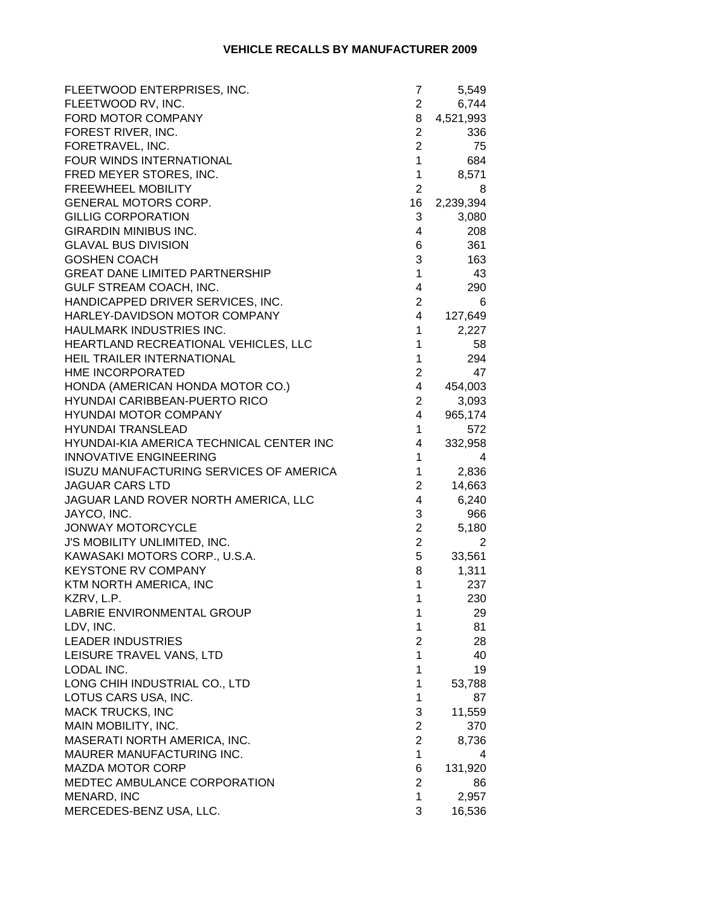| FLEETWOOD ENTERPRISES, INC.              | 7              | 5,549     |
|------------------------------------------|----------------|-----------|
| FLEETWOOD RV, INC.                       | $\overline{2}$ | 6,744     |
| FORD MOTOR COMPANY                       | 8              | 4,521,993 |
| FOREST RIVER, INC.                       | $\overline{2}$ | 336       |
| FORETRAVEL, INC.                         | $\overline{2}$ | 75        |
| FOUR WINDS INTERNATIONAL                 | $\mathbf{1}$   | 684       |
| FRED MEYER STORES, INC.                  | $\mathbf 1$    | 8,571     |
| FREEWHEEL MOBILITY                       | $\overline{2}$ | 8         |
| GENERAL MOTORS CORP.                     | 16             | 2,239,394 |
| <b>GILLIG CORPORATION</b>                | 3              | 3,080     |
| <b>GIRARDIN MINIBUS INC.</b>             | 4              | 208       |
| <b>GLAVAL BUS DIVISION</b>               | 6              | 361       |
| <b>GOSHEN COACH</b>                      | 3              | 163       |
| <b>GREAT DANE LIMITED PARTNERSHIP</b>    | 1              | 43        |
| GULF STREAM COACH, INC.                  | 4              | 290       |
| HANDICAPPED DRIVER SERVICES, INC.        | $\overline{2}$ | 6         |
| HARLEY-DAVIDSON MOTOR COMPANY            | 4              | 127,649   |
| HAULMARK INDUSTRIES INC.                 | $\mathbf{1}$   | 2,227     |
| HEARTLAND RECREATIONAL VEHICLES, LLC     | $\mathbf 1$    | 58        |
| HEIL TRAILER INTERNATIONAL               | $\mathbf{1}$   | 294       |
| HME INCORPORATED                         | $\mathbf{2}$   | 47        |
| HONDA (AMERICAN HONDA MOTOR CO.)         | $\overline{4}$ | 454,003   |
| HYUNDAI CARIBBEAN-PUERTO RICO            | $\overline{2}$ | 3,093     |
| <b>HYUNDAI MOTOR COMPANY</b>             | 4              | 965,174   |
| <b>HYUNDAI TRANSLEAD</b>                 | 1              | 572       |
| HYUNDAI-KIA AMERICA TECHNICAL CENTER INC | 4              | 332,958   |
| <b>INNOVATIVE ENGINEERING</b>            | 1              | 4         |
| ISUZU MANUFACTURING SERVICES OF AMERICA  | $\mathbf 1$    | 2,836     |
| <b>JAGUAR CARS LTD</b>                   | $\overline{2}$ | 14,663    |
| JAGUAR LAND ROVER NORTH AMERICA, LLC     | 4              | 6,240     |
| JAYCO, INC.                              | 3              | 966       |
| JONWAY MOTORCYCLE                        | $\overline{2}$ | 5,180     |
| J'S MOBILITY UNLIMITED, INC.             | $\overline{2}$ | 2         |
| KAWASAKI MOTORS CORP., U.S.A.            | 5              | 33,561    |
| <b>KEYSTONE RV COMPANY</b>               | 8              | 1,311     |
| KTM NORTH AMERICA, INC                   | $\mathbf{1}$   | 237       |
| KZRV, L.P.                               | $\mathbf 1$    | 230       |
| LABRIE ENVIRONMENTAL GROUP               | 1              | 29        |
| LDV, INC.                                | 1              | 81        |
| <b>LEADER INDUSTRIES</b>                 | $\overline{2}$ | 28        |
| LEISURE TRAVEL VANS, LTD                 | $\mathbf{1}$   | 40        |
| LODAL INC.                               | 1              | 19        |
| LONG CHIH INDUSTRIAL CO., LTD            | 1              | 53,788    |
| LOTUS CARS USA, INC.                     | 1              | 87        |
| <b>MACK TRUCKS, INC</b>                  | 3              | 11,559    |
| MAIN MOBILITY, INC.                      | $\overline{2}$ | 370       |
| MASERATI NORTH AMERICA, INC.             | $\overline{2}$ | 8,736     |
| MAURER MANUFACTURING INC.                | $\mathbf{1}$   | 4         |
| <b>MAZDA MOTOR CORP</b>                  | 6              | 131,920   |
| MEDTEC AMBULANCE CORPORATION             | $\overline{2}$ | 86        |
| MENARD, INC                              | 1              | 2,957     |
| MERCEDES-BENZ USA, LLC.                  | 3              | 16,536    |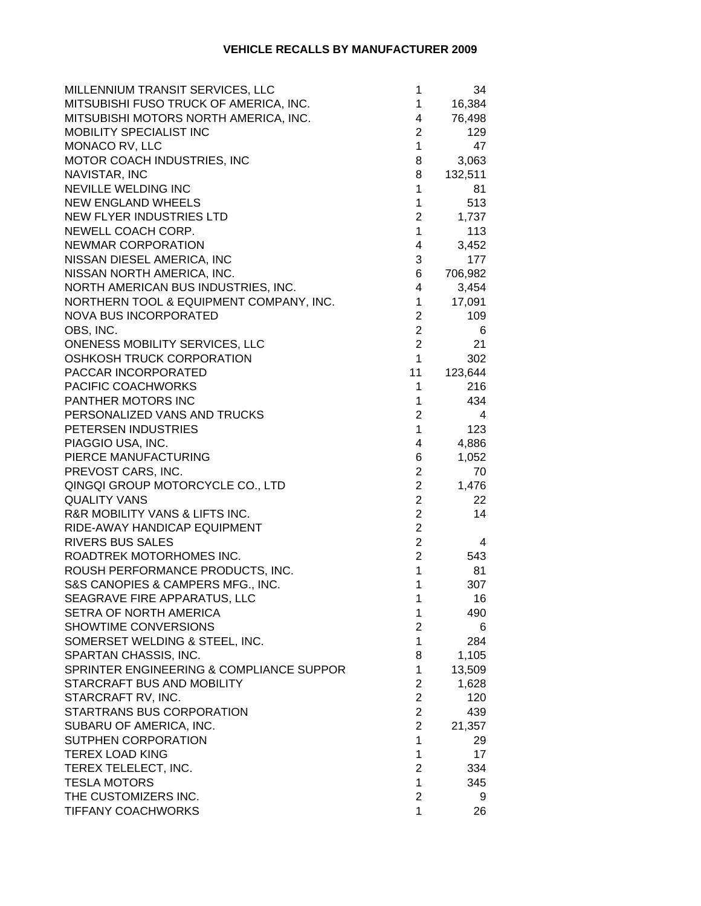| MILLENNIUM TRANSIT SERVICES, LLC         | 1                       | 34      |
|------------------------------------------|-------------------------|---------|
| MITSUBISHI FUSO TRUCK OF AMERICA, INC.   | 1                       | 16,384  |
| MITSUBISHI MOTORS NORTH AMERICA, INC.    | 4                       | 76,498  |
| MOBILITY SPECIALIST INC                  | $\overline{c}$          | 129     |
| MONACO RV, LLC                           | $\mathbf{1}$            | 47      |
| MOTOR COACH INDUSTRIES, INC              | 8                       | 3,063   |
| NAVISTAR, INC                            | 8                       | 132,511 |
| NEVILLE WELDING INC                      | $\mathbf{1}$            | 81      |
| <b>NEW ENGLAND WHEELS</b>                | $\mathbf 1$             | 513     |
| <b>NEW FLYER INDUSTRIES LTD</b>          | $\overline{c}$          | 1,737   |
| NEWELL COACH CORP.                       | $\mathbf{1}$            | 113     |
| <b>NEWMAR CORPORATION</b>                | $\overline{\mathbf{4}}$ | 3,452   |
| NISSAN DIESEL AMERICA, INC               | 3                       | 177     |
| NISSAN NORTH AMERICA, INC.               | 6                       | 706,982 |
| NORTH AMERICAN BUS INDUSTRIES, INC.      | 4                       | 3,454   |
| NORTHERN TOOL & EQUIPMENT COMPANY, INC.  | $\mathbf 1$             | 17,091  |
| <b>NOVA BUS INCORPORATED</b>             | 2                       | 109     |
| OBS, INC.                                | $\overline{2}$          | 6       |
| ONENESS MOBILITY SERVICES, LLC           | $\overline{2}$          | 21      |
| OSHKOSH TRUCK CORPORATION                | $\mathbf{1}$            | 302     |
| PACCAR INCORPORATED                      | 11                      | 123,644 |
| PACIFIC COACHWORKS                       | 1                       | 216     |
| PANTHER MOTORS INC                       | 1                       | 434     |
| PERSONALIZED VANS AND TRUCKS             | $\overline{2}$          | 4       |
| PETERSEN INDUSTRIES                      | $\mathbf{1}$            | 123     |
| PIAGGIO USA, INC.                        | 4                       | 4,886   |
| PIERCE MANUFACTURING                     | 6                       | 1,052   |
| PREVOST CARS, INC.                       | $\overline{\mathbf{c}}$ | 70      |
| QINGQI GROUP MOTORCYCLE CO., LTD         | $\overline{2}$          | 1,476   |
| <b>QUALITY VANS</b>                      | $\overline{2}$          | 22      |
| R&R MOBILITY VANS & LIFTS INC.           | $\overline{2}$          | 14      |
| RIDE-AWAY HANDICAP EQUIPMENT             | $\overline{2}$          |         |
| <b>RIVERS BUS SALES</b>                  | $\overline{c}$          | 4       |
| ROADTREK MOTORHOMES INC.                 | $\overline{2}$          | 543     |
| ROUSH PERFORMANCE PRODUCTS, INC.         | 1                       | 81      |
| S&S CANOPIES & CAMPERS MFG., INC.        | 1                       | 307     |
| SEAGRAVE FIRE APPARATUS, LLC             | 1                       | 16      |
| SETRA OF NORTH AMERICA                   | 1                       | 490     |
| SHOWTIME CONVERSIONS                     | $\overline{c}$          | 6       |
| SOMERSET WELDING & STEEL, INC.           | $\mathbf{1}$            | 284     |
| SPARTAN CHASSIS, INC.                    | 8                       | 1,105   |
| SPRINTER ENGINEERING & COMPLIANCE SUPPOR | 1                       | 13,509  |
| STARCRAFT BUS AND MOBILITY               | $\overline{2}$          | 1,628   |
| STARCRAFT RV, INC.                       | $\overline{2}$          | 120     |
| STARTRANS BUS CORPORATION                | $\overline{2}$          | 439     |
| SUBARU OF AMERICA, INC.                  | $\overline{2}$          | 21,357  |
| SUTPHEN CORPORATION                      | $\mathbf{1}$            | 29      |
| <b>TEREX LOAD KING</b>                   | 1                       | 17      |
| TEREX TELELECT, INC.                     | 2                       | 334     |
| <b>TESLA MOTORS</b>                      | 1                       | 345     |
| THE CUSTOMIZERS INC.                     | $\overline{\mathbf{c}}$ | 9       |
| <b>TIFFANY COACHWORKS</b>                | 1                       | 26      |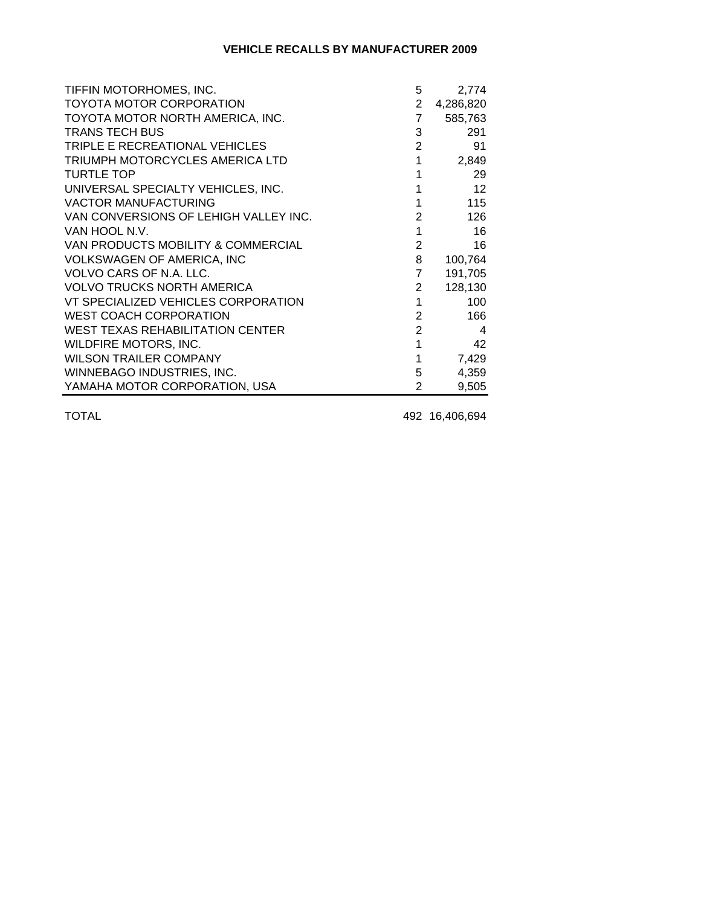#### **VEHICLE RECALLS BY MANUFACTURER 2009**

| TIFFIN MOTORHOMES, INC.                 | 5              | 2,774     |
|-----------------------------------------|----------------|-----------|
| TOYOTA MOTOR CORPORATION                | $2^{\circ}$    | 4,286,820 |
| TOYOTA MOTOR NORTH AMERICA, INC.        | $\overline{7}$ | 585,763   |
| <b>TRANS TECH BUS</b>                   | 3              | 291       |
| TRIPLE E RECREATIONAL VEHICLES          | $2^{\circ}$    | 91        |
| TRIUMPH MOTORCYCLES AMERICA LTD         | $\mathbf{1}$   | 2,849     |
| <b>TURTLE TOP</b>                       | 1              | 29        |
| UNIVERSAL SPECIALTY VEHICLES, INC.      | 1              | 12        |
| <b>VACTOR MANUFACTURING</b>             | 1              | 115       |
| VAN CONVERSIONS OF LEHIGH VALLEY INC.   | $\overline{2}$ | 126       |
| VAN HOOL N.V.                           | $\mathbf 1$    | 16        |
| VAN PRODUCTS MOBILITY & COMMERCIAL      | $\overline{2}$ | 16        |
| <b>VOLKSWAGEN OF AMERICA, INC</b>       | 8              | 100,764   |
| VOLVO CARS OF N.A. LLC.                 | $\overline{7}$ | 191,705   |
| <b>VOLVO TRUCKS NORTH AMERICA</b>       | $2^{\circ}$    | 128,130   |
| VT SPECIALIZED VEHICLES CORPORATION     | $\mathbf{1}$   | 100       |
| <b>WEST COACH CORPORATION</b>           | $2^{\circ}$    | 166       |
| <b>WEST TEXAS REHABILITATION CENTER</b> | 2 <sup>1</sup> | 4         |
| WILDFIRE MOTORS, INC.                   | $\overline{1}$ | 42        |
| <b>WILSON TRAILER COMPANY</b>           | 1              | 7,429     |
| WINNEBAGO INDUSTRIES, INC.              | 5 <sub>5</sub> | 4,359     |
| YAMAHA MOTOR CORPORATION, USA           | $\overline{2}$ | 9,505     |

TOTAL 492 16,406,694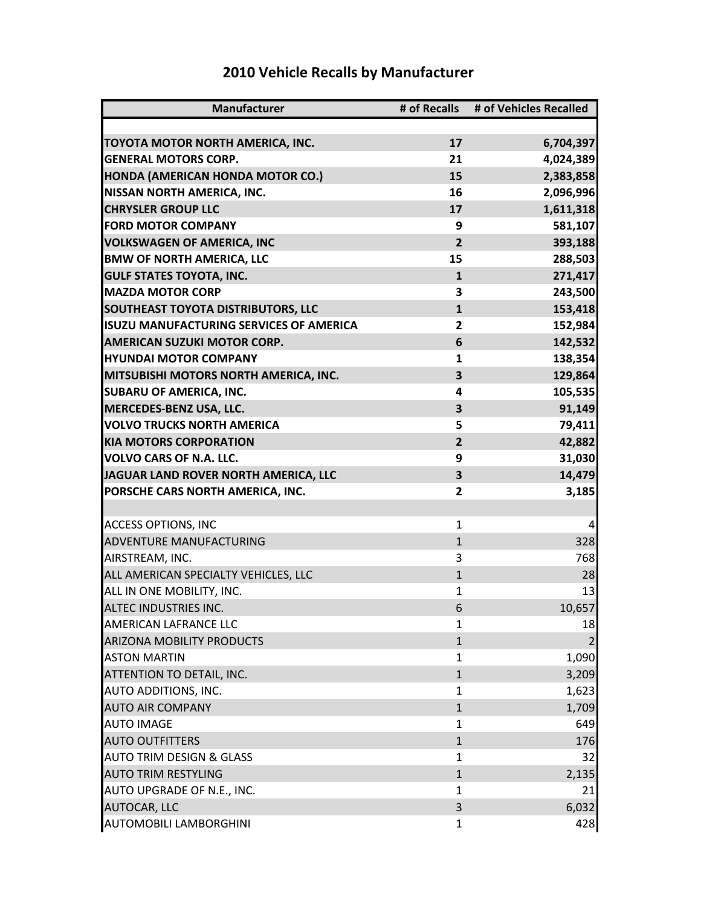| <b>Manufacturer</b>                       |                | # of Recalls # of Vehicles Recalled |
|-------------------------------------------|----------------|-------------------------------------|
|                                           |                |                                     |
| TOYOTA MOTOR NORTH AMERICA, INC.          | 17             | 6,704,397                           |
| <b>GENERAL MOTORS CORP.</b>               | 21             | 4,024,389                           |
| HONDA (AMERICAN HONDA MOTOR CO.)          | 15             | 2,383,858                           |
| <b>NISSAN NORTH AMERICA, INC.</b>         | 16             | 2,096,996                           |
| <b>CHRYSLER GROUP LLC</b>                 | 17             | 1,611,318                           |
| <b>FORD MOTOR COMPANY</b>                 | 9              | 581,107                             |
| <b>VOLKSWAGEN OF AMERICA, INC</b>         | $\overline{2}$ | 393,188                             |
| <b>BMW OF NORTH AMERICA, LLC</b>          | 15             | 288,503                             |
| <b>GULF STATES TOYOTA, INC.</b>           | $\mathbf{1}$   | 271,417                             |
| <b>MAZDA MOTOR CORP</b>                   | 3              | 243,500                             |
| <b>SOUTHEAST TOYOTA DISTRIBUTORS, LLC</b> | $\mathbf{1}$   | 153,418                             |
| ISUZU MANUFACTURING SERVICES OF AMERICA   | 2              | 152,984                             |
| <b>AMERICAN SUZUKI MOTOR CORP.</b>        | 6              | 142,532                             |
| <b>HYUNDAI MOTOR COMPANY</b>              | 1              | 138,354                             |
| MITSUBISHI MOTORS NORTH AMERICA, INC.     | 3              | 129,864                             |
| <b>SUBARU OF AMERICA, INC.</b>            | 4              | 105,535                             |
| MERCEDES-BENZ USA, LLC.                   | 3              | 91,149                              |
| <b>VOLVO TRUCKS NORTH AMERICA</b>         | 5              | 79,411                              |
| <b>KIA MOTORS CORPORATION</b>             | $\overline{2}$ | 42,882                              |
| <b>VOLVO CARS OF N.A. LLC.</b>            | 9              | 31,030                              |
| JAGUAR LAND ROVER NORTH AMERICA, LLC      | 3              | 14,479                              |
| PORSCHE CARS NORTH AMERICA, INC.          | 2              | 3,185                               |
|                                           |                |                                     |
| <b>ACCESS OPTIONS, INC</b>                | 1              | $\overline{4}$                      |
| ADVENTURE MANUFACTURING                   | $\mathbf{1}$   | 328                                 |
| AIRSTREAM, INC.                           | 3              | 768                                 |
| ALL AMERICAN SPECIALTY VEHICLES, LLC      | $\mathbf{1}$   | 28                                  |
| ALL IN ONE MOBILITY, INC.                 | $\mathbf{1}$   | 13                                  |
| <b>ALTEC INDUSTRIES INC.</b>              | 6              | 10,657                              |
| AMERICAN LAFRANCE LLC                     | $\mathbf{1}$   | 18                                  |
| <b>ARIZONA MOBILITY PRODUCTS</b>          | $\mathbf{1}$   | $\overline{2}$                      |
| <b>ASTON MARTIN</b>                       | 1              | 1,090                               |
| ATTENTION TO DETAIL, INC.                 | $\mathbf{1}$   | 3,209                               |
| AUTO ADDITIONS, INC.                      | 1              | 1,623                               |
| <b>AUTO AIR COMPANY</b>                   | $\mathbf{1}$   | 1,709                               |
| <b>AUTO IMAGE</b>                         | 1              | 649                                 |
| <b>AUTO OUTFITTERS</b>                    | $\mathbf{1}$   | 176                                 |
| <b>AUTO TRIM DESIGN &amp; GLASS</b>       | 1              | 32                                  |
| <b>AUTO TRIM RESTYLING</b>                | $\mathbf{1}$   | 2,135                               |
| AUTO UPGRADE OF N.E., INC.                | 1              | 21                                  |
| <b>AUTOCAR, LLC</b>                       | 3              | 6,032                               |
| AUTOMOBILI LAMBORGHINI                    | $\mathbf{1}$   | 428                                 |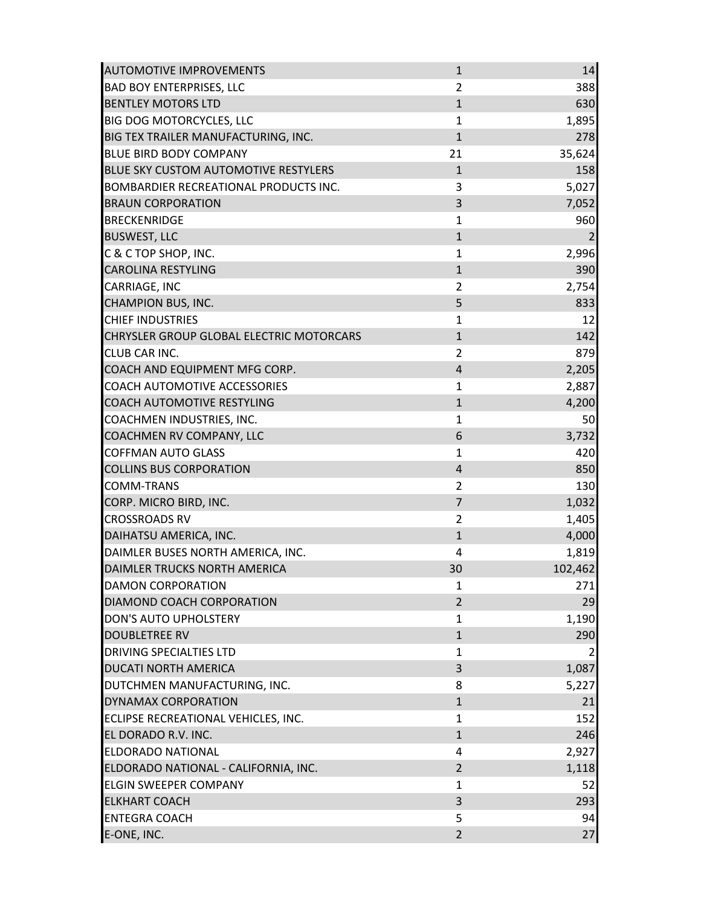| <b>AUTOMOTIVE IMPROVEMENTS</b>               | $\mathbf{1}$   | 14             |
|----------------------------------------------|----------------|----------------|
| <b>BAD BOY ENTERPRISES, LLC</b>              | $\overline{2}$ | 388            |
| <b>BENTLEY MOTORS LTD</b>                    | $\mathbf{1}$   | 630            |
| <b>BIG DOG MOTORCYCLES, LLC</b>              | $\mathbf{1}$   | 1,895          |
| BIG TEX TRAILER MANUFACTURING, INC.          | $\mathbf{1}$   | 278            |
| <b>BLUE BIRD BODY COMPANY</b>                | 21             | 35,624         |
| BLUE SKY CUSTOM AUTOMOTIVE RESTYLERS         | $\mathbf{1}$   | 158            |
| <b>BOMBARDIER RECREATIONAL PRODUCTS INC.</b> | 3              | 5,027          |
| <b>BRAUN CORPORATION</b>                     | 3              | 7,052          |
| <b>BRECKENRIDGE</b>                          | 1              | 960            |
| <b>BUSWEST, LLC</b>                          | $\mathbf{1}$   | $\overline{2}$ |
| C & C TOP SHOP, INC.                         | $\mathbf{1}$   | 2,996          |
| <b>CAROLINA RESTYLING</b>                    | $\mathbf 1$    | 390            |
| CARRIAGE, INC                                | $\overline{2}$ | 2,754          |
| <b>CHAMPION BUS, INC.</b>                    | 5              | 833            |
| <b>CHIEF INDUSTRIES</b>                      | $\mathbf{1}$   | 12             |
| CHRYSLER GROUP GLOBAL ELECTRIC MOTORCARS     | $\mathbf{1}$   | 142            |
| <b>CLUB CAR INC.</b>                         | $\overline{2}$ | 879            |
| COACH AND EQUIPMENT MFG CORP.                | $\overline{4}$ | 2,205          |
| <b>COACH AUTOMOTIVE ACCESSORIES</b>          | 1              | 2,887          |
| <b>COACH AUTOMOTIVE RESTYLING</b>            | $\mathbf{1}$   |                |
| COACHMEN INDUSTRIES, INC.                    | $\mathbf{1}$   | 4,200<br>50    |
| COACHMEN RV COMPANY, LLC                     | 6              |                |
|                                              | $\mathbf{1}$   | 3,732          |
| <b>COFFMAN AUTO GLASS</b>                    |                | 420            |
| <b>COLLINS BUS CORPORATION</b>               | $\overline{4}$ | 850            |
| <b>COMM-TRANS</b>                            | $\overline{2}$ | 130            |
| CORP. MICRO BIRD, INC.                       | $\overline{7}$ | 1,032          |
| <b>CROSSROADS RV</b>                         | $\overline{2}$ | 1,405          |
| DAIHATSU AMERICA, INC.                       | $\mathbf{1}$   | 4,000          |
| DAIMLER BUSES NORTH AMERICA, INC.            | 4              | 1,819          |
| DAIMLER TRUCKS NORTH AMERICA                 | 30             | 102,462        |
| <b>DAMON CORPORATION</b>                     | 1              | 271            |
| DIAMOND COACH CORPORATION                    | $\overline{2}$ | 29             |
| <b>DON'S AUTO UPHOLSTERY</b>                 | 1              | 1,190          |
| <b>DOUBLETREE RV</b>                         | $\mathbf{1}$   | 290            |
| <b>DRIVING SPECIALTIES LTD</b>               | 1              |                |
| <b>DUCATI NORTH AMERICA</b>                  | 3              | 1,087          |
| DUTCHMEN MANUFACTURING, INC.                 | 8              | 5,227          |
| <b>DYNAMAX CORPORATION</b>                   | $\mathbf{1}$   | 21             |
| ECLIPSE RECREATIONAL VEHICLES, INC.          | $\mathbf{1}$   | 152            |
| EL DORADO R.V. INC.                          | $\mathbf{1}$   | 246            |
| <b>ELDORADO NATIONAL</b>                     | 4              | 2,927          |
| ELDORADO NATIONAL - CALIFORNIA, INC.         | $\overline{2}$ | 1,118          |
| <b>ELGIN SWEEPER COMPANY</b>                 | $\mathbf{1}$   | 52             |
| <b>ELKHART COACH</b>                         | 3              | 293            |
| <b>ENTEGRA COACH</b>                         | 5              | 94             |
| E-ONE, INC.                                  | $\overline{2}$ | 27             |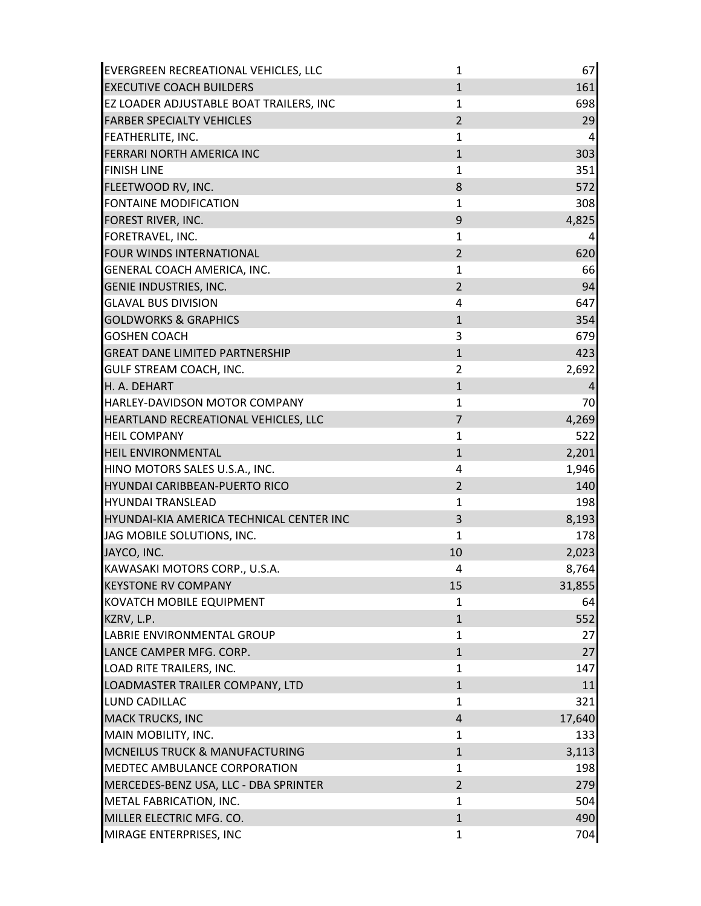| EVERGREEN RECREATIONAL VEHICLES, LLC      | $\mathbf{1}$   | 67             |
|-------------------------------------------|----------------|----------------|
| <b>EXECUTIVE COACH BUILDERS</b>           | $\mathbf{1}$   | 161            |
| EZ LOADER ADJUSTABLE BOAT TRAILERS, INC   | 1              | 698            |
| <b>FARBER SPECIALTY VEHICLES</b>          | $\overline{2}$ | 29             |
| <b>FEATHERLITE, INC.</b>                  | $\mathbf{1}$   | $\overline{a}$ |
| FERRARI NORTH AMERICA INC                 | $1\,$          | 303            |
| <b>FINISH LINE</b>                        | $\mathbf{1}$   | 351            |
| FLEETWOOD RV, INC.                        | 8              | 572            |
| <b>FONTAINE MODIFICATION</b>              | $\mathbf{1}$   | 308            |
| <b>FOREST RIVER, INC.</b>                 | 9              | 4,825          |
| FORETRAVEL, INC.                          | $\mathbf{1}$   | $\overline{a}$ |
| FOUR WINDS INTERNATIONAL                  | $\overline{2}$ | 620            |
| GENERAL COACH AMERICA, INC.               | 1              | 66             |
| <b>GENIE INDUSTRIES, INC.</b>             | $\overline{2}$ | 94             |
| <b>GLAVAL BUS DIVISION</b>                | 4              | 647            |
| <b>GOLDWORKS &amp; GRAPHICS</b>           | $\mathbf{1}$   | 354            |
| <b>GOSHEN COACH</b>                       | 3              | 679            |
| <b>GREAT DANE LIMITED PARTNERSHIP</b>     | $\mathbf{1}$   | 423            |
| <b>GULF STREAM COACH, INC.</b>            | $\overline{2}$ | 2,692          |
| H. A. DEHART                              | $\mathbf{1}$   | 4              |
| HARLEY-DAVIDSON MOTOR COMPANY             | $\mathbf{1}$   | 70             |
| HEARTLAND RECREATIONAL VEHICLES, LLC      | $\overline{7}$ | 4,269          |
| <b>HEIL COMPANY</b>                       | $\mathbf{1}$   | 522            |
| <b>HEIL ENVIRONMENTAL</b>                 | $\mathbf{1}$   | 2,201          |
| HINO MOTORS SALES U.S.A., INC.            | 4              | 1,946          |
| <b>HYUNDAI CARIBBEAN-PUERTO RICO</b>      | $\overline{2}$ | 140            |
| <b>HYUNDAI TRANSLEAD</b>                  | $\mathbf{1}$   | 198            |
| HYUNDAI-KIA AMERICA TECHNICAL CENTER INC  | 3              | 8,193          |
| JAG MOBILE SOLUTIONS, INC.                | $\mathbf{1}$   | 178            |
| JAYCO, INC.                               | 10             | 2,023          |
| KAWASAKI MOTORS CORP., U.S.A.             | 4              | 8,764          |
| <b>KEYSTONE RV COMPANY</b>                | 15             | 31,855         |
| KOVATCH MOBILE EQUIPMENT                  | $\mathbf{1}$   | 64             |
| KZRV, L.P.                                | $\mathbf{1}$   | 552            |
| LABRIE ENVIRONMENTAL GROUP                | $\mathbf{1}$   | 27             |
| LANCE CAMPER MFG. CORP.                   | $\mathbf{1}$   | 27             |
| LOAD RITE TRAILERS, INC.                  | $\mathbf{1}$   | 147            |
| LOADMASTER TRAILER COMPANY, LTD           | $\mathbf{1}$   | 11             |
| <b>LUND CADILLAC</b>                      | 1              | 321            |
| <b>MACK TRUCKS, INC</b>                   | $\overline{4}$ | 17,640         |
| MAIN MOBILITY, INC.                       | 1              | 133            |
| <b>MCNEILUS TRUCK &amp; MANUFACTURING</b> | $\mathbf{1}$   | 3,113          |
| MEDTEC AMBULANCE CORPORATION              | $\mathbf{1}$   | 198            |
| MERCEDES-BENZ USA, LLC - DBA SPRINTER     | $\overline{2}$ | 279            |
| METAL FABRICATION, INC.                   | $\mathbf{1}$   | 504            |
| MILLER ELECTRIC MFG. CO.                  | $\mathbf{1}$   | 490            |
| MIRAGE ENTERPRISES, INC                   | $\mathbf{1}$   | 704            |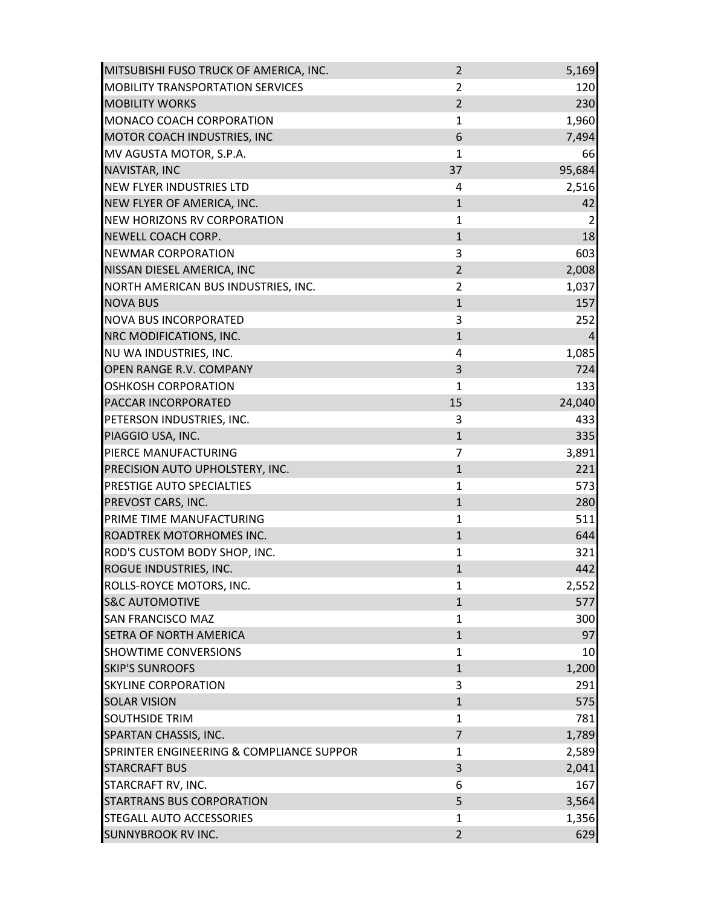| MITSUBISHI FUSO TRUCK OF AMERICA, INC.   | $\overline{2}$ | 5,169          |
|------------------------------------------|----------------|----------------|
| <b>MOBILITY TRANSPORTATION SERVICES</b>  | $\overline{2}$ | 120            |
| <b>MOBILITY WORKS</b>                    | $\overline{2}$ | 230            |
| MONACO COACH CORPORATION                 | $\mathbf 1$    | 1,960          |
| MOTOR COACH INDUSTRIES, INC              | 6              | 7,494          |
| MV AGUSTA MOTOR, S.P.A.                  | $\mathbf{1}$   | 66             |
| NAVISTAR, INC                            | 37             | 95,684         |
| <b>NEW FLYER INDUSTRIES LTD</b>          | 4              | 2,516          |
| NEW FLYER OF AMERICA, INC.               | $\mathbf{1}$   | 42             |
| <b>NEW HORIZONS RV CORPORATION</b>       | $\mathbf{1}$   | $\overline{2}$ |
| <b>NEWELL COACH CORP.</b>                | $\mathbf{1}$   | 18             |
| <b>NEWMAR CORPORATION</b>                | 3              | 603            |
| NISSAN DIESEL AMERICA, INC               | $\overline{2}$ | 2,008          |
| NORTH AMERICAN BUS INDUSTRIES, INC.      | $\overline{2}$ | 1,037          |
| <b>NOVA BUS</b>                          | $\mathbf{1}$   | 157            |
| <b>NOVA BUS INCORPORATED</b>             | 3              | 252            |
| NRC MODIFICATIONS, INC.                  | $\mathbf{1}$   | $\overline{4}$ |
| NU WA INDUSTRIES, INC.                   | 4              | 1,085          |
| OPEN RANGE R.V. COMPANY                  | 3              | 724            |
| <b>OSHKOSH CORPORATION</b>               | 1              | 133            |
| PACCAR INCORPORATED                      | 15             | 24,040         |
| PETERSON INDUSTRIES, INC.                | 3              | 433            |
| PIAGGIO USA, INC.                        | $\mathbf{1}$   | 335            |
| PIERCE MANUFACTURING                     | $\overline{7}$ | 3,891          |
| PRECISION AUTO UPHOLSTERY, INC.          | $\mathbf{1}$   | 221            |
| PRESTIGE AUTO SPECIALTIES                | $\mathbf{1}$   | 573            |
| PREVOST CARS, INC.                       | $1\,$          | 280            |
| PRIME TIME MANUFACTURING                 | $\mathbf 1$    | 511            |
| ROADTREK MOTORHOMES INC.                 | $\mathbf{1}$   | 644            |
| ROD'S CUSTOM BODY SHOP, INC.             | $\mathbf{1}$   | 321            |
| ROGUE INDUSTRIES, INC.                   | $\mathbf{1}$   | 442            |
| ROLLS-ROYCE MOTORS, INC.                 | 1              | 2,552          |
| <b>S&amp;C AUTOMOTIVE</b>                | $\mathbf{1}$   | 577            |
| <b>SAN FRANCISCO MAZ</b>                 | $\mathbf{1}$   | 300            |
| SETRA OF NORTH AMERICA                   | $\mathbf{1}$   | 97             |
| <b>SHOWTIME CONVERSIONS</b>              | 1              | 10             |
| <b>SKIP'S SUNROOFS</b>                   | $\mathbf{1}$   | 1,200          |
| <b>SKYLINE CORPORATION</b>               | 3              | 291            |
| <b>SOLAR VISION</b>                      | $\mathbf{1}$   | 575            |
| <b>SOUTHSIDE TRIM</b>                    | $\mathbf{1}$   | 781            |
| SPARTAN CHASSIS, INC.                    | $\overline{7}$ | 1,789          |
| SPRINTER ENGINEERING & COMPLIANCE SUPPOR | $\mathbf{1}$   | 2,589          |
| <b>STARCRAFT BUS</b>                     | 3              | 2,041          |
| STARCRAFT RV, INC.                       | 6              | 167            |
| <b>STARTRANS BUS CORPORATION</b>         | 5              | 3,564          |
| STEGALL AUTO ACCESSORIES                 | 1              | 1,356          |
| SUNNYBROOK RV INC.                       | $\overline{2}$ | 629            |
|                                          |                |                |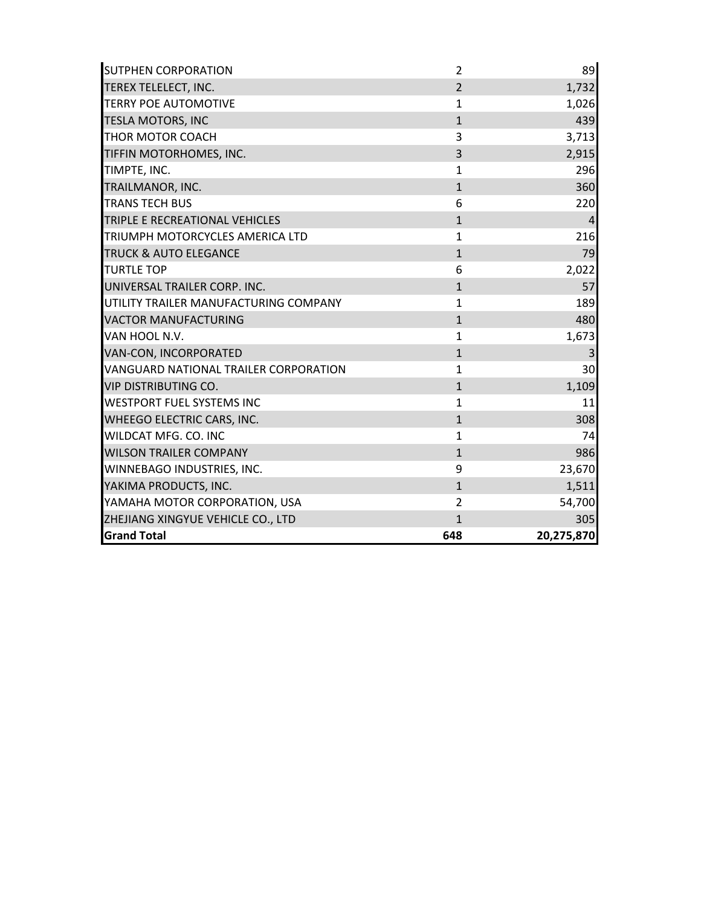| <b>SUTPHEN CORPORATION</b>             | $\overline{2}$ | 89             |
|----------------------------------------|----------------|----------------|
| TEREX TELELECT, INC.                   | $\overline{2}$ | 1,732          |
| <b>TERRY POE AUTOMOTIVE</b>            | $\mathbf{1}$   | 1,026          |
| <b>TESLA MOTORS, INC</b>               | $\mathbf{1}$   | 439            |
| <b>THOR MOTOR COACH</b>                | 3              | 3,713          |
| TIFFIN MOTORHOMES, INC.                | $\overline{3}$ | 2,915          |
| TIMPTE, INC.                           | $\mathbf{1}$   | 296            |
| TRAILMANOR, INC.                       | $\mathbf{1}$   | 360            |
| <b>TRANS TECH BUS</b>                  | 6              | 220            |
| TRIPLE E RECREATIONAL VEHICLES         | $\mathbf{1}$   | $\overline{a}$ |
| <b>TRIUMPH MOTORCYCLES AMERICA LTD</b> | $\mathbf{1}$   | 216            |
| <b>TRUCK &amp; AUTO ELEGANCE</b>       | $\mathbf{1}$   | 79             |
| <b>TURTLE TOP</b>                      | 6              | 2,022          |
| UNIVERSAL TRAILER CORP. INC.           | $\mathbf{1}$   | 57             |
| UTILITY TRAILER MANUFACTURING COMPANY  | $\mathbf{1}$   | 189            |
| <b>VACTOR MANUFACTURING</b>            | $\mathbf{1}$   | 480            |
| VAN HOOL N.V.                          | $\mathbf{1}$   | 1,673          |
| <b>VAN-CON, INCORPORATED</b>           | $\mathbf{1}$   | 3              |
| VANGUARD NATIONAL TRAILER CORPORATION  | $\mathbf{1}$   | 30             |
| <b>VIP DISTRIBUTING CO.</b>            | $\mathbf{1}$   | 1,109          |
| <b>WESTPORT FUEL SYSTEMS INC</b>       | $\mathbf{1}$   | 11             |
| <b>WHEEGO ELECTRIC CARS, INC.</b>      | $\mathbf{1}$   | 308            |
| WILDCAT MFG. CO. INC                   | $\mathbf{1}$   | 74             |
| <b>WILSON TRAILER COMPANY</b>          | $\mathbf{1}$   | 986            |
| WINNEBAGO INDUSTRIES, INC.             | 9              | 23,670         |
| YAKIMA PRODUCTS, INC.                  | $\mathbf{1}$   | 1,511          |
| YAMAHA MOTOR CORPORATION, USA          | $\overline{2}$ | 54,700         |
| ZHEJIANG XINGYUE VEHICLE CO., LTD      | $\mathbf{1}$   | 305            |
| <b>Grand Total</b>                     | 648            | 20,275,870     |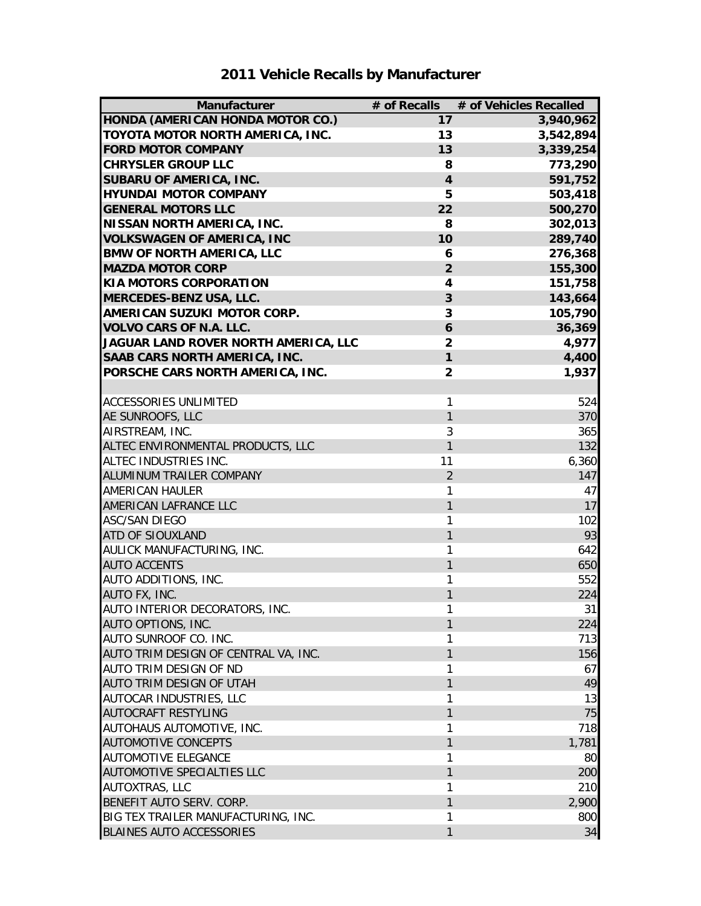| Manufacturer                         | # of Recalls            | # of Vehicles Recalled |
|--------------------------------------|-------------------------|------------------------|
| HONDA (AMERICAN HONDA MOTOR CO.)     | 17                      | 3,940,962              |
| TOYOTA MOTOR NORTH AMERICA, INC.     | 13                      | 3,542,894              |
| <b>FORD MOTOR COMPANY</b>            | 13                      | 3,339,254              |
| <b>CHRYSLER GROUP LLC</b>            | 8                       | 773,290                |
| <b>SUBARU OF AMERICA, INC.</b>       | $\overline{\mathbf{4}}$ | 591,752                |
| <b>HYUNDAI MOTOR COMPANY</b>         | 5                       | 503,418                |
| <b>GENERAL MOTORS LLC</b>            | 22                      | 500,270                |
| <b>NISSAN NORTH AMERICA, INC.</b>    | 8                       | 302,013                |
| <b>VOLKSWAGEN OF AMERICA, INC</b>    | 10                      | 289,740                |
| <b>BMW OF NORTH AMERICA, LLC</b>     | 6                       | 276,368                |
| <b>MAZDA MOTOR CORP</b>              | $\overline{2}$          | 155,300                |
| <b>KIA MOTORS CORPORATION</b>        | 4                       | 151,758                |
| MERCEDES-BENZ USA, LLC.              | 3                       | 143,664                |
| <b>AMERICAN SUZUKI MOTOR CORP.</b>   | 3                       | 105,790                |
| <b>VOLVO CARS OF N.A. LLC.</b>       | 6                       | 36,369                 |
| JAGUAR LAND ROVER NORTH AMERICA, LLC | $\overline{2}$          | 4,977                  |
| SAAB CARS NORTH AMERICA, INC.        | 1                       | 4,400                  |
| PORSCHE CARS NORTH AMERICA, INC.     | $\overline{2}$          | 1,937                  |
|                                      |                         |                        |
| <b>ACCESSORIES UNLIMITED</b>         | 1                       | 524                    |
| AE SUNROOFS, LLC                     | 1                       | 370                    |
| AIRSTREAM, INC.                      | 3                       | 365                    |
| ALTEC ENVIRONMENTAL PRODUCTS, LLC    | 1                       | 132                    |
| ALTEC INDUSTRIES INC.                | 11                      | 6,360                  |
| ALUMINUM TRAILER COMPANY             | $\overline{2}$          | 147                    |
| AMERICAN HAULER                      | 1                       | 47                     |
| AMERICAN LAFRANCE LLC                | 1                       | 17                     |
| <b>ASC/SAN DIEGO</b>                 | 1                       | 102                    |
| <b>ATD OF SIOUXLAND</b>              | $\mathbf{1}$            | 93                     |
| AULICK MANUFACTURING, INC.           | 1                       | 642                    |
| <b>AUTO ACCENTS</b>                  | 1                       | 650                    |
| AUTO ADDITIONS, INC.                 | 1                       | 552                    |
| AUTO FX, INC.                        | 1                       | 224                    |
| AUTO INTERIOR DECORATORS, INC.       | 1                       | 31                     |
| AUTO OPTIONS, INC.                   | $\mathbf{1}$            | 224                    |
| AUTO SUNROOF CO. INC.                | 1                       | 713                    |
| AUTO TRIM DESIGN OF CENTRAL VA, INC. | 1                       | 156                    |
| <b>AUTO TRIM DESIGN OF ND</b>        | 1                       | 67                     |
| AUTO TRIM DESIGN OF UTAH             | 1                       | 49                     |
| AUTOCAR INDUSTRIES, LLC              | 1                       | 13                     |
| <b>AUTOCRAFT RESTYLING</b>           | 1                       | 75                     |
| AUTOHAUS AUTOMOTIVE, INC.            | 1                       | 718                    |
| <b>AUTOMOTIVE CONCEPTS</b>           | 1                       | 1,781                  |
| <b>AUTOMOTIVE ELEGANCE</b>           | 1                       | 80                     |
| <b>AUTOMOTIVE SPECIALTIES LLC</b>    | 1                       | 200                    |
| <b>AUTOXTRAS, LLC</b>                | 1                       | 210                    |
| BENEFIT AUTO SERV. CORP.             | 1                       | 2,900                  |
| BIG TEX TRAILER MANUFACTURING, INC.  | 1                       | 800                    |
| <b>BLAINES AUTO ACCESSORIES</b>      | 1                       | 34                     |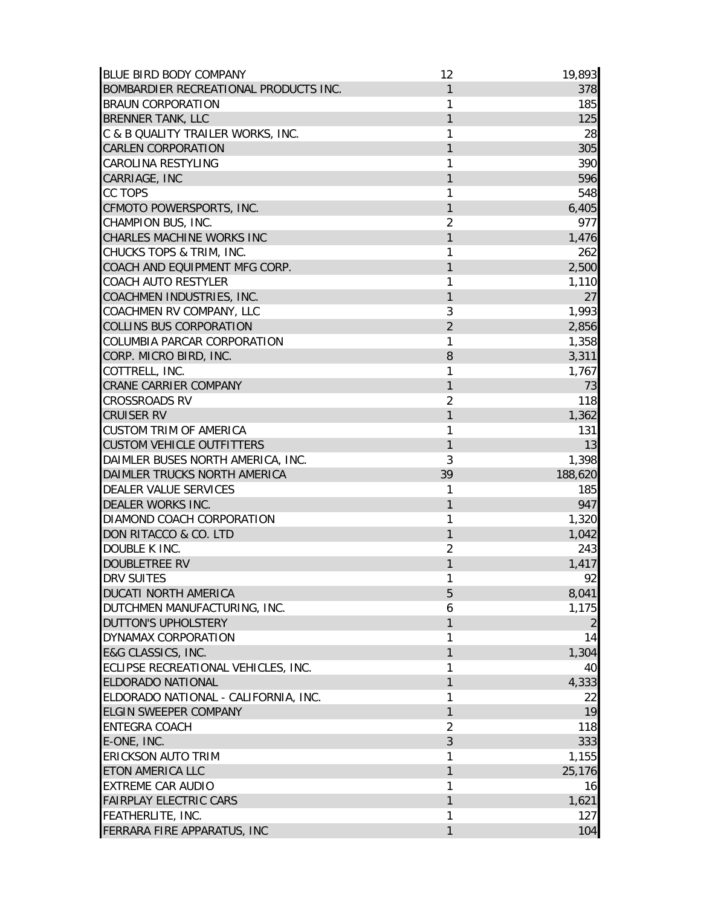| <b>BLUE BIRD BODY COMPANY</b>            | 12             | 19,893         |
|------------------------------------------|----------------|----------------|
| BOMBARDIER RECREATIONAL PRODUCTS INC.    | 1              | 378            |
| <b>BRAUN CORPORATION</b>                 | 1              | 185            |
| <b>BRENNER TANK, LLC</b>                 | 1              | 125            |
| C & B QUALITY TRAILER WORKS, INC.        | 1              | 28             |
| <b>CARLEN CORPORATION</b>                | 1              | 305            |
| <b>CAROLINA RESTYLING</b>                | 1              | 390            |
| CARRIAGE, INC                            | 1              | 596            |
| <b>CC TOPS</b>                           | 1              | 548            |
| CFMOTO POWERSPORTS, INC.                 | 1              | 6,405          |
| CHAMPION BUS, INC.                       | $\overline{2}$ | 977            |
| CHARLES MACHINE WORKS INC                | 1              | 1,476          |
| CHUCKS TOPS & TRIM, INC.                 | 1              | 262            |
| COACH AND EQUIPMENT MFG CORP.            | 1              | 2,500          |
| COACH AUTO RESTYLER                      | 1              | 1,110          |
| COACHMEN INDUSTRIES, INC.                | 1              | 27             |
| COACHMEN RV COMPANY, LLC                 | 3              | 1,993          |
| <b>COLLINS BUS CORPORATION</b>           | $\overline{2}$ | 2,856          |
| COLUMBIA PARCAR CORPORATION              | 1              | 1,358          |
| CORP. MICRO BIRD, INC.                   | 8              | 3,311          |
| COTTRELL, INC.                           | 1              | 1,767          |
| <b>CRANE CARRIER COMPANY</b>             | $\mathbf{1}$   | 73             |
| <b>CROSSROADS RV</b>                     | $\overline{2}$ | 118            |
| <b>CRUISER RV</b>                        | 1              | 1,362          |
| <b>CUSTOM TRIM OF AMERICA</b>            | 1              | 131            |
| <b>CUSTOM VEHICLE OUTFITTERS</b>         | 1              | 13             |
| DAIMLER BUSES NORTH AMERICA, INC.        | 3              | 1,398          |
| DAIMLER TRUCKS NORTH AMERICA             | 39             | 188,620        |
| DEALER VALUE SERVICES                    | 1              | 185            |
| <b>DEALER WORKS INC.</b>                 | 1              | 947            |
| DIAMOND COACH CORPORATION                | 1              | 1,320          |
| DON RITACCO & CO. LTD                    | 1              | 1,042          |
| DOUBLE K INC.                            | $\overline{2}$ | 243            |
| <b>DOUBLETREE RV</b>                     | 1              | 1,417          |
| <b>DRV SUITES</b>                        | 1              | 92             |
| <b>DUCATI NORTH AMERICA</b>              | 5              | 8,041          |
| DUTCHMEN MANUFACTURING, INC.             | 6              | 1,175          |
| <b>DUTTON'S UPHOLSTERY</b>               | 1              | $\overline{2}$ |
| DYNAMAX CORPORATION                      | 1              | 14             |
| E&G CLASSICS, INC.                       | 1              | 1,304          |
| ECLIPSE RECREATIONAL VEHICLES, INC.      | 1              | 40             |
| <b>ELDORADO NATIONAL</b>                 | 1              | 4,333          |
| ELDORADO NATIONAL - CALIFORNIA, INC.     | 1              |                |
| <b>ELGIN SWEEPER COMPANY</b>             | 1              | 22<br>19       |
| <b>ENTEGRA COACH</b>                     | $\overline{2}$ |                |
|                                          |                | 118            |
| E-ONE, INC.<br><b>ERICKSON AUTO TRIM</b> | 3              | 333            |
|                                          | 1              | 1,155          |
| <b>ETON AMERICA LLC</b>                  | 1              | 25,176         |
| <b>EXTREME CAR AUDIO</b>                 | 1              | 16             |
| <b>FAIRPLAY ELECTRIC CARS</b>            | 1              | 1,621          |
| FEATHERLITE, INC.                        | 1              | 127            |
| FERRARA FIRE APPARATUS, INC              | 1              | 104            |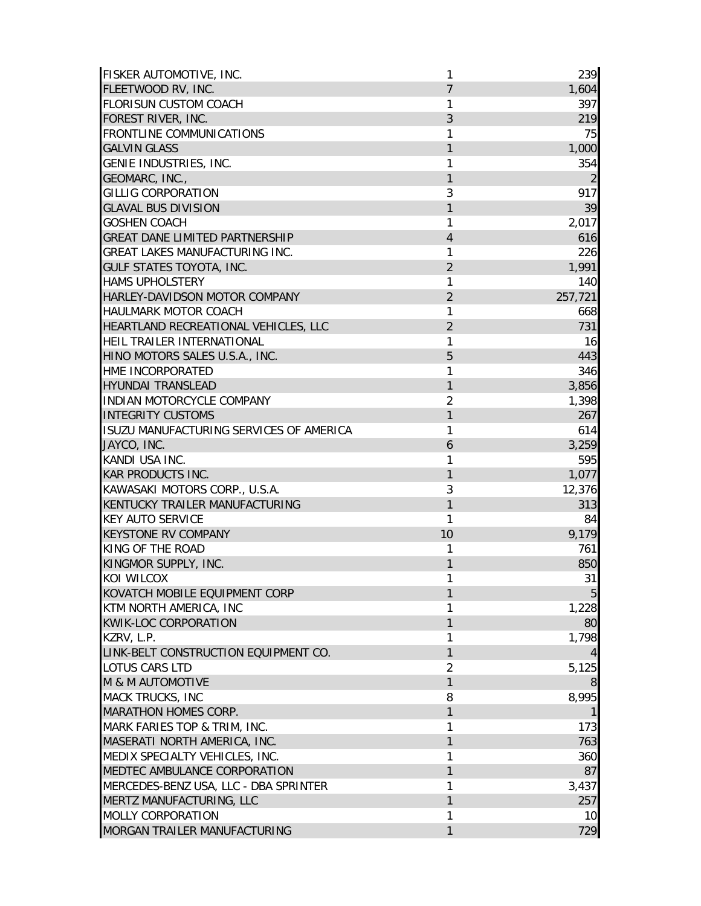| FISKER AUTOMOTIVE, INC.                 | 1              | 239            |
|-----------------------------------------|----------------|----------------|
| FLEETWOOD RV, INC.                      | 7              | 1,604          |
| <b>FLORISUN CUSTOM COACH</b>            | 1              | 397            |
| FOREST RIVER, INC.                      | 3              | 219            |
| <b>FRONTLINE COMMUNICATIONS</b>         | 1              | 75             |
| <b>GALVIN GLASS</b>                     | 1              | 1,000          |
| GENIE INDUSTRIES, INC.                  | 1              | 354            |
| GEOMARC, INC.,                          | 1              | $\overline{2}$ |
| <b>GILLIG CORPORATION</b>               | 3              | 917            |
| <b>GLAVAL BUS DIVISION</b>              | 1              | 39             |
| <b>GOSHEN COACH</b>                     | 1              | 2,017          |
| <b>GREAT DANE LIMITED PARTNERSHIP</b>   | 4              | 616            |
| GREAT LAKES MANUFACTURING INC.          | 1              | 226            |
| <b>GULF STATES TOYOTA, INC.</b>         | $\overline{2}$ | 1,991          |
| <b>HAMS UPHOLSTERY</b>                  | 1              | 140            |
| HARLEY-DAVIDSON MOTOR COMPANY           | $\overline{2}$ | 257,721        |
| <b>HAULMARK MOTOR COACH</b>             | 1              | 668            |
| HEARTLAND RECREATIONAL VEHICLES, LLC    | $\overline{2}$ | 731            |
| HEIL TRAILER INTERNATIONAL              | 1              | 16             |
| HINO MOTORS SALES U.S.A., INC.          | 5              | 443            |
| HME INCORPORATED                        | 1              | 346            |
| <b>HYUNDAI TRANSLEAD</b>                | $\mathbf{1}$   | 3,856          |
| <b>INDIAN MOTORCYCLE COMPANY</b>        | $\overline{2}$ | 1,398          |
| <b>INTEGRITY CUSTOMS</b>                | 1              | 267            |
| ISUZU MANUFACTURING SERVICES OF AMERICA | 1              | 614            |
| JAYCO, INC.                             | 6              | 3,259          |
| KANDI USA INC.                          | 1              | 595            |
| <b>KAR PRODUCTS INC.</b>                | 1              | 1,077          |
| KAWASAKI MOTORS CORP., U.S.A.           | 3              | 12,376         |
| KENTUCKY TRAILER MANUFACTURING          | 1              | 313            |
| <b>KEY AUTO SERVICE</b>                 | 1              | 84             |
| <b>KEYSTONE RV COMPANY</b>              | 10             | 9,179          |
| KING OF THE ROAD                        | 1              | 761            |
| KINGMOR SUPPLY, INC.                    | 1              | 850            |
| KOI WILCOX                              | 1              | 31             |
| KOVATCH MOBILE EQUIPMENT CORP           | 1              | $\overline{5}$ |
| KTM NORTH AMERICA, INC                  | 1              | 1,228          |
| <b>KWIK-LOC CORPORATION</b>             | $\mathbf{1}$   | 80             |
| KZRV, L.P.                              | 1              | 1,798          |
| LINK-BELT CONSTRUCTION EQUIPMENT CO.    | 1              | 4              |
| <b>LOTUS CARS LTD</b>                   | $\overline{2}$ | 5,125          |
| <b>M &amp; M AUTOMOTIVE</b>             | 1              | 8              |
| <b>MACK TRUCKS, INC</b>                 | 8              | 8,995          |
| MARATHON HOMES CORP.                    | $\mathbf{1}$   |                |
| MARK FARIES TOP & TRIM, INC.            | 1              | 173            |
| MASERATI NORTH AMERICA, INC.            | 1              | 763            |
| MEDIX SPECIALTY VEHICLES, INC.          | 1              | 360            |
| MEDTEC AMBULANCE CORPORATION            | 1              | 87             |
| MERCEDES-BENZ USA, LLC - DBA SPRINTER   | 1              | 3,437          |
| MERTZ MANUFACTURING, LLC                | $\mathbf{1}$   | 257            |
| <b>MOLLY CORPORATION</b>                | 1              | 10             |
| MORGAN TRAILER MANUFACTURING            | 1              | 729            |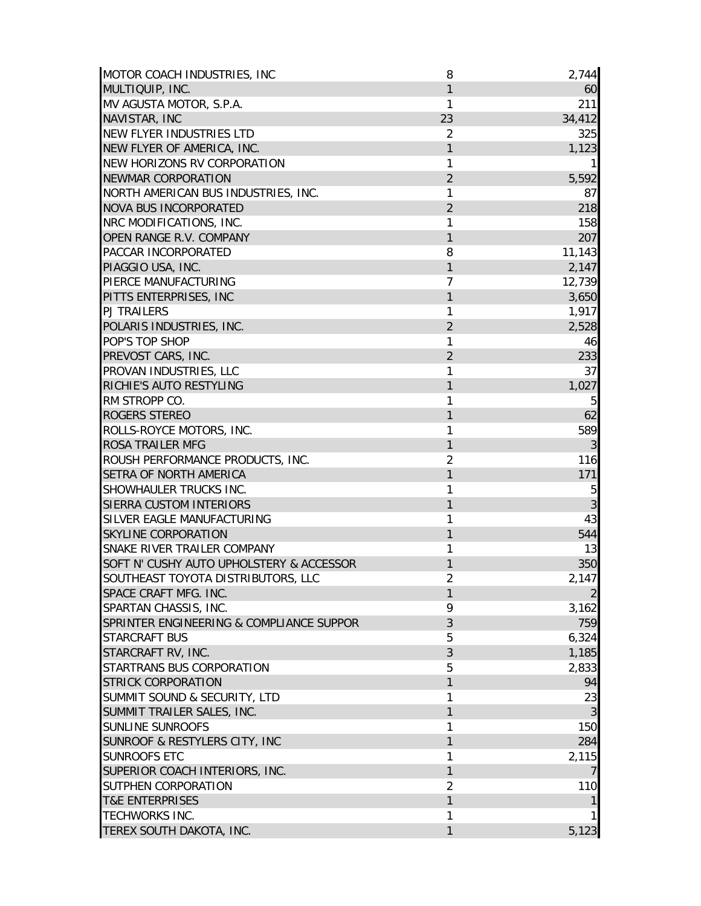| MOTOR COACH INDUSTRIES, INC              | 8              | 2,744            |
|------------------------------------------|----------------|------------------|
| MULTIQUIP, INC.                          | 1              | 60               |
| MV AGUSTA MOTOR, S.P.A.                  | 1              | 211              |
| NAVISTAR, INC                            | 23             | 34,412           |
| NEW FLYER INDUSTRIES LTD                 | $\overline{2}$ | 325              |
| NEW FLYER OF AMERICA, INC.               | 1              | 1,123            |
| NEW HORIZONS RV CORPORATION              | 1              | 11               |
| <b>NEWMAR CORPORATION</b>                | $\overline{2}$ | 5,592            |
| NORTH AMERICAN BUS INDUSTRIES, INC.      | 1              | 87               |
| <b>NOVA BUS INCORPORATED</b>             | $\overline{2}$ | 218              |
| NRC MODIFICATIONS, INC.                  | 1              | 158              |
| OPEN RANGE R.V. COMPANY                  | 1              | 207              |
| PACCAR INCORPORATED                      | 8              | 11,143           |
| PIAGGIO USA, INC.                        | 1              | 2,147            |
| PIERCE MANUFACTURING                     | 7              | 12,739           |
| PITTS ENTERPRISES, INC                   | 1              | 3,650            |
| <b>PJ TRAILERS</b>                       | 1              | 1,917            |
| POLARIS INDUSTRIES, INC.                 | $\overline{2}$ | 2,528            |
| POP'S TOP SHOP                           | 1              | 46               |
| PREVOST CARS, INC.                       | $\overline{2}$ | 233              |
| PROVAN INDUSTRIES, LLC                   | 1              | 37               |
| RICHIE'S AUTO RESTYLING                  | 1              | 1,027            |
| RM STROPP CO.                            | 1              | 5                |
| <b>ROGERS STEREO</b>                     | 1              | 62               |
| ROLLS-ROYCE MOTORS, INC.                 | 1              | 589              |
| <b>ROSA TRAILER MFG</b>                  | 1              | $\mathfrak{Z}$   |
| ROUSH PERFORMANCE PRODUCTS, INC.         | $\overline{2}$ | 116              |
| <b>SETRA OF NORTH AMERICA</b>            | 1              | 171              |
| SHOWHAULER TRUCKS INC.                   | 1              | 5                |
| SIERRA CUSTOM INTERIORS                  | 1              |                  |
| SILVER EAGLE MANUFACTURING               | 1              | $\sqrt{3}$<br>43 |
| <b>SKYLINE CORPORATION</b>               | 1              | 544              |
| SNAKE RIVER TRAILER COMPANY              |                |                  |
|                                          | 1              | 13               |
| SOFT N' CUSHY AUTO UPHOLSTERY & ACCESSOR | 1              | 350              |
| SOUTHEAST TOYOTA DISTRIBUTORS, LLC       | $\overline{2}$ | 2,147            |
| SPACE CRAFT MFG. INC.                    | 1              | $\overline{2}$   |
| SPARTAN CHASSIS, INC.                    | 9              | 3,162            |
| SPRINTER ENGINEERING & COMPLIANCE SUPPOR | 3              | 759              |
| <b>STARCRAFT BUS</b>                     | 5              | 6,324            |
| STARCRAFT RV, INC.                       | 3              | 1,185            |
| STARTRANS BUS CORPORATION                | 5              | 2,833            |
| <b>STRICK CORPORATION</b>                | 1              | 94               |
| SUMMIT SOUND & SECURITY, LTD             | 1              | 23               |
| SUMMIT TRAILER SALES, INC.               | 1              | 3                |
| <b>SUNLINE SUNROOFS</b>                  | 1              | 150              |
| SUNROOF & RESTYLERS CITY, INC            | 1              | 284              |
| <b>SUNROOFS ETC</b>                      | 1              | 2,115            |
| SUPERIOR COACH INTERIORS, INC.           | 1              | 7                |
| SUTPHEN CORPORATION                      | $\overline{2}$ | 110              |
| <b>T&amp;E ENTERPRISES</b>               | 1              | $\mathbf{1}$     |
| <b>TECHWORKS INC.</b>                    | 1              |                  |
| TEREX SOUTH DAKOTA, INC.                 | 1              | 5,123            |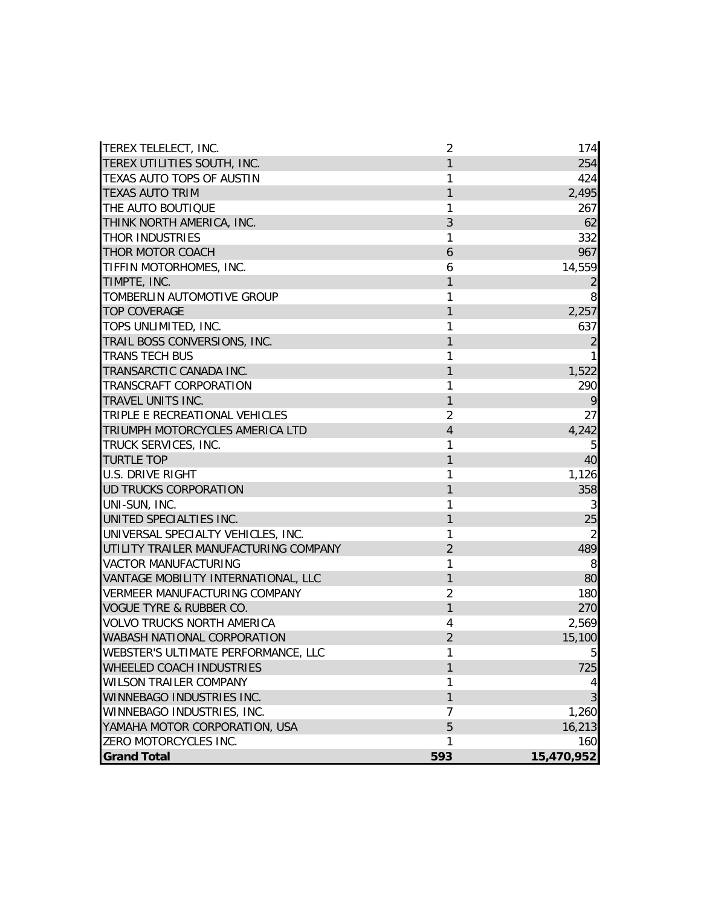| TEREX TELELECT, INC.                  | $\overline{2}$ | 174            |
|---------------------------------------|----------------|----------------|
| TEREX UTILITIES SOUTH, INC.           | 1              | 254            |
| TEXAS AUTO TOPS OF AUSTIN             | 1              | 424            |
| <b>TEXAS AUTO TRIM</b>                | 1              | 2,495          |
| THE AUTO BOUTIQUE                     | 1              | 267            |
| THINK NORTH AMERICA, INC.             | 3              | 62             |
| THOR INDUSTRIES                       | 1              | 332            |
| THOR MOTOR COACH                      | 6              | 967            |
| TIFFIN MOTORHOMES, INC.               | 6              | 14,559         |
| TIMPTE, INC.                          | 1              | $\overline{2}$ |
| TOMBERLIN AUTOMOTIVE GROUP            | 1              | 8              |
| <b>TOP COVERAGE</b>                   | 1              | 2,257          |
| TOPS UNLIMITED, INC.                  | 1              | 637            |
| TRAIL BOSS CONVERSIONS, INC.          | 1              | $\overline{2}$ |
| <b>TRANS TECH BUS</b>                 | 1              | 1              |
| TRANSARCTIC CANADA INC.               | 1              | 1,522          |
| TRANSCRAFT CORPORATION                | 1              | 290            |
| TRAVEL UNITS INC.                     | 1              | 9              |
| TRIPLE E RECREATIONAL VEHICLES        | $\overline{2}$ | 27             |
| TRIUMPH MOTORCYCLES AMERICA LTD       | 4              | 4,242          |
| TRUCK SERVICES, INC.                  | 1              | 5              |
| <b>TURTLE TOP</b>                     | 1              | 40             |
| <b>U.S. DRIVE RIGHT</b>               | 1              | 1,126          |
| UD TRUCKS CORPORATION                 | 1              | 358            |
| UNI-SUN, INC.                         | 1              | 3              |
| UNITED SPECIALTIES INC.               | 1              | 25             |
| UNIVERSAL SPECIALTY VEHICLES, INC.    | 1              | $\overline{2}$ |
| UTILITY TRAILER MANUFACTURING COMPANY | $\overline{2}$ | 489            |
| <b>VACTOR MANUFACTURING</b>           | 1              | 8              |
| VANTAGE MOBILITY INTERNATIONAL, LLC   | $\mathbf{1}$   | 80             |
| <b>VERMEER MANUFACTURING COMPANY</b>  | $\overline{2}$ | 180            |
| <b>VOGUE TYRE &amp; RUBBER CO.</b>    | 1              | 270            |
| <b>VOLVO TRUCKS NORTH AMERICA</b>     | 4              | 2,569          |
| WABASH NATIONAL CORPORATION           | $\overline{2}$ | 15,100         |
| WEBSTER'S ULTIMATE PERFORMANCE, LLC   | 1              | 5 <sub>l</sub> |
| WHEELED COACH INDUSTRIES              | 1              | 725            |
| <b>WILSON TRAILER COMPANY</b>         | 1              | 4              |
| WINNEBAGO INDUSTRIES INC.             | $\mathbf{1}$   | 3              |
| WINNEBAGO INDUSTRIES, INC.            | 7              | 1,260          |
| YAMAHA MOTOR CORPORATION, USA         | 5              | 16,213         |
| ZERO MOTORCYCLES INC.                 | 1              | 160            |
| <b>Grand Total</b>                    | 593            | 15,470,952     |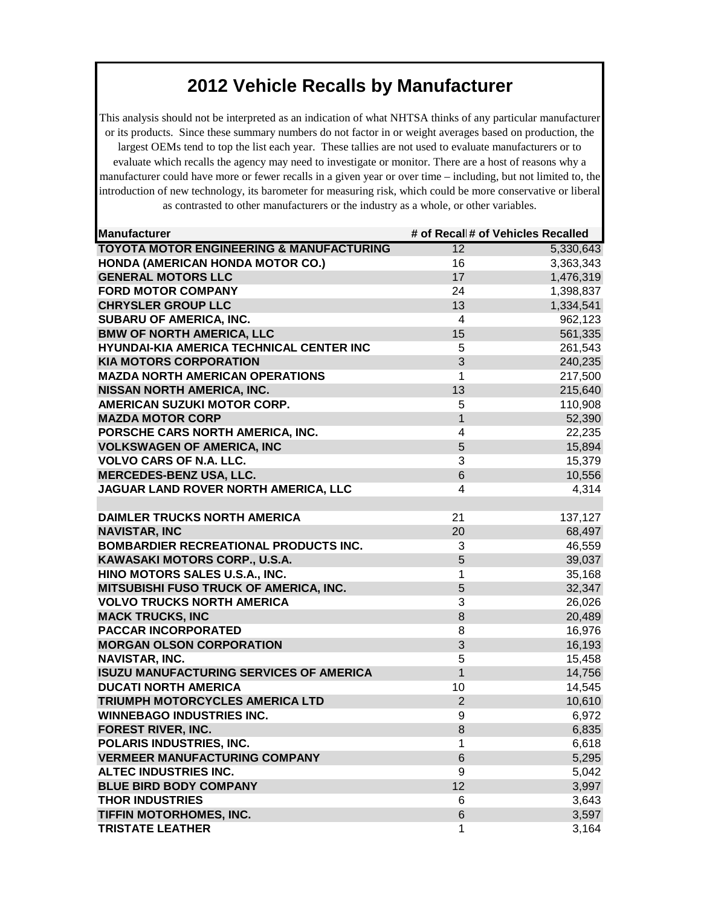This analysis should not be interpreted as an indication of what NHTSA thinks of any particular manufacturer or its products. Since these summary numbers do not factor in or weight averages based on production, the largest OEMs tend to top the list each year. These tallies are not used to evaluate manufacturers or to evaluate which recalls the agency may need to investigate or monitor. There are a host of reasons why a manufacturer could have more or fewer recalls in a given year or over time – including, but not limited to, the introduction of new technology, its barometer for measuring risk, which could be more conservative or liberal as contrasted to other manufacturers or the industry as a whole, or other variables.

| Manufacturer                                        | # of Recall# of Vehicles Recalled |           |
|-----------------------------------------------------|-----------------------------------|-----------|
| <b>TOYOTA MOTOR ENGINEERING &amp; MANUFACTURING</b> | 12                                | 5,330,643 |
| <b>HONDA (AMERICAN HONDA MOTOR CO.)</b>             | 16                                | 3,363,343 |
| <b>GENERAL MOTORS LLC</b>                           | 17                                | 1,476,319 |
| <b>FORD MOTOR COMPANY</b>                           | 24                                | 1,398,837 |
| <b>CHRYSLER GROUP LLC</b>                           | 13                                | 1,334,541 |
| SUBARU OF AMERICA, INC.                             | $\overline{4}$                    | 962,123   |
| <b>BMW OF NORTH AMERICA, LLC</b>                    | 15                                | 561,335   |
| HYUNDAI-KIA AMERICA TECHNICAL CENTER INC            | 5                                 | 261,543   |
| <b>KIA MOTORS CORPORATION</b>                       | 3                                 | 240,235   |
| <b>MAZDA NORTH AMERICAN OPERATIONS</b>              | 1                                 | 217,500   |
| <b>NISSAN NORTH AMERICA, INC.</b>                   | 13                                | 215,640   |
| <b>AMERICAN SUZUKI MOTOR CORP.</b>                  | 5                                 | 110,908   |
| <b>MAZDA MOTOR CORP</b>                             | $\mathbf{1}$                      | 52,390    |
| PORSCHE CARS NORTH AMERICA, INC.                    | 4                                 | 22,235    |
| <b>VOLKSWAGEN OF AMERICA, INC</b>                   | 5                                 | 15,894    |
| <b>VOLVO CARS OF N.A. LLC.</b>                      | 3                                 | 15,379    |
| <b>MERCEDES-BENZ USA, LLC.</b>                      | 6                                 | 10,556    |
| JAGUAR LAND ROVER NORTH AMERICA, LLC                | 4                                 | 4,314     |
|                                                     |                                   |           |
| <b>DAIMLER TRUCKS NORTH AMERICA</b>                 | 21                                | 137,127   |
| <b>NAVISTAR, INC</b>                                | 20                                | 68,497    |
| <b>BOMBARDIER RECREATIONAL PRODUCTS INC.</b>        | 3                                 | 46,559    |
| KAWASAKI MOTORS CORP., U.S.A.                       | 5                                 | 39,037    |
| HINO MOTORS SALES U.S.A., INC.                      | 1                                 | 35,168    |
| MITSUBISHI FUSO TRUCK OF AMERICA, INC.              | 5                                 | 32,347    |
| <b>VOLVO TRUCKS NORTH AMERICA</b>                   | 3                                 | 26,026    |
| <b>MACK TRUCKS, INC</b>                             | 8                                 | 20,489    |
| <b>PACCAR INCORPORATED</b>                          | 8                                 | 16,976    |
| <b>MORGAN OLSON CORPORATION</b>                     | 3                                 | 16,193    |
| <b>NAVISTAR, INC.</b>                               | 5                                 | 15,458    |
| <b>ISUZU MANUFACTURING SERVICES OF AMERICA</b>      | $\mathbf{1}$                      | 14,756    |
| <b>DUCATI NORTH AMERICA</b>                         | 10                                | 14,545    |
| TRIUMPH MOTORCYCLES AMERICA LTD                     | $\overline{2}$                    | 10,610    |
| <b>WINNEBAGO INDUSTRIES INC.</b>                    | 9                                 | 6,972     |
| <b>FOREST RIVER, INC.</b>                           | 8                                 | 6,835     |
| <b>POLARIS INDUSTRIES, INC.</b>                     | 1                                 | 6,618     |
| <b>VERMEER MANUFACTURING COMPANY</b>                | 6                                 | 5,295     |
| <b>ALTEC INDUSTRIES INC.</b>                        | 9                                 | 5,042     |
| <b>BLUE BIRD BODY COMPANY</b>                       | 12                                | 3,997     |
| <b>THOR INDUSTRIES</b>                              | 6                                 | 3,643     |
| TIFFIN MOTORHOMES, INC.                             | 6                                 | 3,597     |
| <b>TRISTATE LEATHER</b>                             | 1                                 | 3,164     |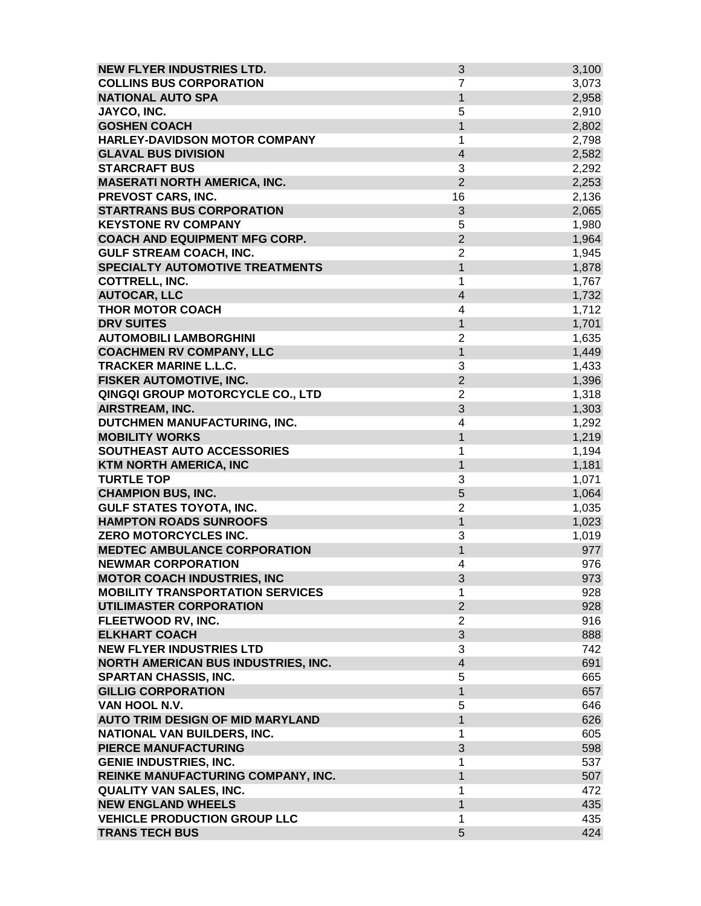| <b>NEW FLYER INDUSTRIES LTD.</b>        | $\sqrt{3}$              | 3,100 |
|-----------------------------------------|-------------------------|-------|
| <b>COLLINS BUS CORPORATION</b>          | $\overline{7}$          | 3,073 |
| <b>NATIONAL AUTO SPA</b>                | $\mathbf{1}$            | 2,958 |
| JAYCO, INC.                             | 5                       | 2,910 |
| <b>GOSHEN COACH</b>                     | $\overline{1}$          | 2,802 |
| <b>HARLEY-DAVIDSON MOTOR COMPANY</b>    | 1                       | 2,798 |
| <b>GLAVAL BUS DIVISION</b>              | $\overline{\mathbf{4}}$ | 2,582 |
| <b>STARCRAFT BUS</b>                    | 3                       | 2,292 |
| <b>MASERATI NORTH AMERICA, INC.</b>     | $\overline{2}$          | 2,253 |
| PREVOST CARS, INC.                      | 16                      | 2,136 |
| <b>STARTRANS BUS CORPORATION</b>        | 3                       | 2,065 |
| <b>KEYSTONE RV COMPANY</b>              | 5                       | 1,980 |
| <b>COACH AND EQUIPMENT MFG CORP.</b>    | $\overline{2}$          | 1,964 |
| <b>GULF STREAM COACH, INC.</b>          | $\overline{2}$          | 1,945 |
| <b>SPECIALTY AUTOMOTIVE TREATMENTS</b>  | $\mathbf{1}$            | 1,878 |
| <b>COTTRELL, INC.</b>                   | 1                       | 1,767 |
| <b>AUTOCAR, LLC</b>                     | $\overline{\mathbf{4}}$ | 1,732 |
| <b>THOR MOTOR COACH</b>                 | 4                       | 1,712 |
| <b>DRV SUITES</b>                       | $\mathbf{1}$            | 1,701 |
| <b>AUTOMOBILI LAMBORGHINI</b>           | $\overline{2}$          | 1,635 |
| <b>COACHMEN RV COMPANY, LLC</b>         | $\mathbf{1}$            | 1,449 |
| <b>TRACKER MARINE L.L.C.</b>            | 3                       | 1,433 |
| FISKER AUTOMOTIVE, INC.                 | $\overline{2}$          | 1,396 |
| QINGQI GROUP MOTORCYCLE CO., LTD        | $\overline{2}$          | 1,318 |
| AIRSTREAM, INC.                         | 3                       | 1,303 |
| DUTCHMEN MANUFACTURING, INC.            | 4                       | 1,292 |
| <b>MOBILITY WORKS</b>                   | 1                       | 1,219 |
| SOUTHEAST AUTO ACCESSORIES              | 1                       | 1,194 |
| <b>KTM NORTH AMERICA, INC</b>           | $\mathbf{1}$            | 1,181 |
| <b>TURTLE TOP</b>                       | 3                       | 1,071 |
| <b>CHAMPION BUS, INC.</b>               | 5                       | 1,064 |
| <b>GULF STATES TOYOTA, INC.</b>         | $\overline{2}$          | 1,035 |
| <b>HAMPTON ROADS SUNROOFS</b>           | 1                       | 1,023 |
| ZERO MOTORCYCLES INC.                   | 3                       | 1,019 |
| <b>MEDTEC AMBULANCE CORPORATION</b>     | $\mathbf{1}$            | 977   |
| <b>NEWMAR CORPORATION</b>               | 4                       | 976   |
| <b>MOTOR COACH INDUSTRIES, INC</b>      | 3                       | 973   |
| <b>MOBILITY TRANSPORTATION SERVICES</b> | 1                       | 928   |
| <b>UTILIMASTER CORPORATION</b>          | $\overline{2}$          | 928   |
| FLEETWOOD RV, INC.                      | 2                       | 916   |
| <b>ELKHART COACH</b>                    | 3                       | 888   |
| <b>NEW FLYER INDUSTRIES LTD</b>         | 3                       | 742   |
| NORTH AMERICAN BUS INDUSTRIES, INC.     | $\overline{4}$          | 691   |
| <b>SPARTAN CHASSIS, INC.</b>            | 5                       | 665   |
| <b>GILLIG CORPORATION</b>               | $\mathbf{1}$            | 657   |
| VAN HOOL N.V.                           | 5                       | 646   |
| <b>AUTO TRIM DESIGN OF MID MARYLAND</b> | $\mathbf{1}$            | 626   |
| NATIONAL VAN BUILDERS, INC.             | 1                       | 605   |
| PIERCE MANUFACTURING                    | 3                       | 598   |
| <b>GENIE INDUSTRIES, INC.</b>           | 1                       | 537   |
| REINKE MANUFACTURING COMPANY, INC.      | 1                       | 507   |
| <b>QUALITY VAN SALES, INC.</b>          | 1                       | 472   |
| <b>NEW ENGLAND WHEELS</b>               | 1                       | 435   |
| <b>VEHICLE PRODUCTION GROUP LLC</b>     | 1                       | 435   |
| <b>TRANS TECH BUS</b>                   | 5                       | 424   |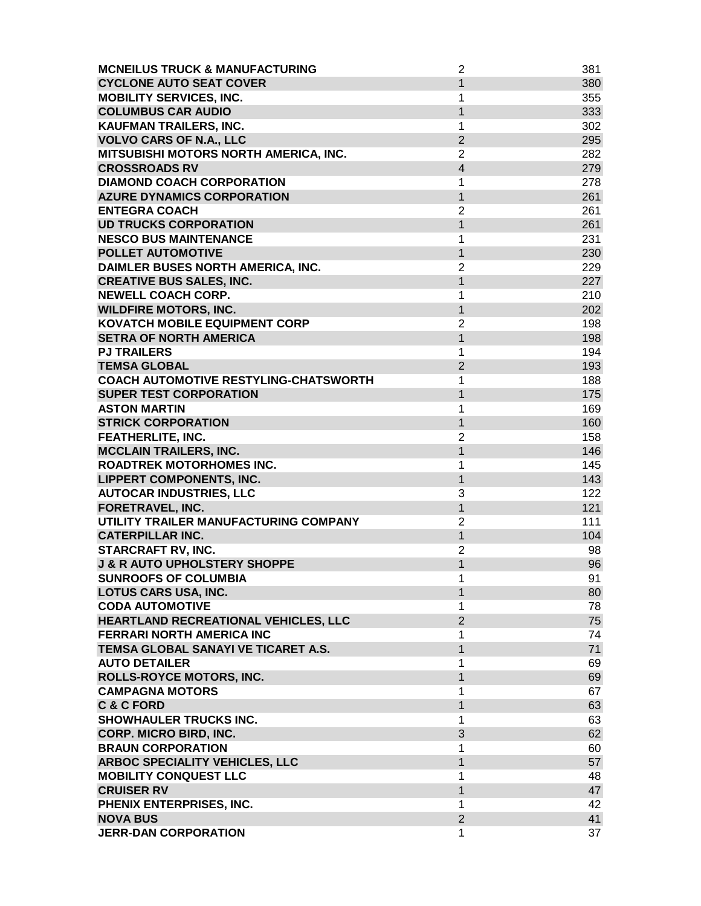| <b>MCNEILUS TRUCK &amp; MANUFACTURING</b> | $\overline{2}$    | 381 |
|-------------------------------------------|-------------------|-----|
| <b>CYCLONE AUTO SEAT COVER</b>            | $\mathbf{1}$      | 380 |
| <b>MOBILITY SERVICES, INC.</b>            | 1                 | 355 |
| <b>COLUMBUS CAR AUDIO</b>                 | $\mathbf{1}$      | 333 |
| KAUFMAN TRAILERS, INC.                    | 1                 | 302 |
| <b>VOLVO CARS OF N.A., LLC</b>            | $\overline{2}$    | 295 |
| MITSUBISHI MOTORS NORTH AMERICA, INC.     | 2                 | 282 |
| <b>CROSSROADS RV</b>                      | $\overline{4}$    | 279 |
| <b>DIAMOND COACH CORPORATION</b>          | 1                 | 278 |
| <b>AZURE DYNAMICS CORPORATION</b>         | $\mathbf{1}$      | 261 |
| <b>ENTEGRA COACH</b>                      | $\overline{2}$    | 261 |
| <b>UD TRUCKS CORPORATION</b>              | $\mathbf{1}$      | 261 |
| <b>NESCO BUS MAINTENANCE</b>              | 1                 | 231 |
| <b>POLLET AUTOMOTIVE</b>                  | $\overline{1}$    | 230 |
| DAIMLER BUSES NORTH AMERICA, INC.         | $\overline{2}$    | 229 |
| <b>CREATIVE BUS SALES, INC.</b>           | $\mathbf{1}$      | 227 |
| <b>NEWELL COACH CORP.</b>                 | 1                 | 210 |
| <b>WILDFIRE MOTORS, INC.</b>              | $\mathbf{1}$      | 202 |
| <b>KOVATCH MOBILE EQUIPMENT CORP</b>      | $\overline{2}$    | 198 |
| <b>SETRA OF NORTH AMERICA</b>             | $\mathbf{1}$      | 198 |
| <b>PJ TRAILERS</b>                        | 1                 | 194 |
| <b>TEMSA GLOBAL</b>                       | $\overline{2}$    | 193 |
| COACH AUTOMOTIVE RESTYLING-CHATSWORTH     | 1                 | 188 |
| <b>SUPER TEST CORPORATION</b>             | 1                 | 175 |
| <b>ASTON MARTIN</b>                       | 1                 | 169 |
| <b>STRICK CORPORATION</b>                 | 1                 | 160 |
| <b>FEATHERLITE, INC.</b>                  | $\overline{2}$    | 158 |
| <b>MCCLAIN TRAILERS, INC.</b>             | $\mathbf{1}$      | 146 |
| <b>ROADTREK MOTORHOMES INC.</b>           |                   | 145 |
|                                           | 1<br>$\mathbf{1}$ | 143 |
| <b>LIPPERT COMPONENTS, INC.</b>           |                   | 122 |
| <b>AUTOCAR INDUSTRIES, LLC</b>            | 3                 | 121 |
| FORETRAVEL, INC.                          | 1                 |     |
| UTILITY TRAILER MANUFACTURING COMPANY     | $\overline{2}$    | 111 |
| <b>CATERPILLAR INC.</b>                   | $\mathbf{1}$      | 104 |
| <b>STARCRAFT RV, INC.</b>                 | $\overline{2}$    | 98  |
| <b>J &amp; R AUTO UPHOLSTERY SHOPPE</b>   | $\mathbf{1}$      | 96  |
| <b>SUNROOFS OF COLUMBIA</b>               | 1                 | 91  |
| <b>LOTUS CARS USA, INC.</b>               | $\mathbf{1}$      | 80  |
| <b>CODA AUTOMOTIVE</b>                    | 1                 | 78  |
| HEARTLAND RECREATIONAL VEHICLES, LLC      | $\overline{2}$    | 75  |
| <b>FERRARI NORTH AMERICA INC</b>          | 1                 | 74  |
| TEMSA GLOBAL SANAYI VE TICARET A.S.       | $\mathbf{1}$      | 71  |
| <b>AUTO DETAILER</b>                      | 1                 | 69  |
| ROLLS-ROYCE MOTORS, INC.                  | $\mathbf{1}$      | 69  |
| <b>CAMPAGNA MOTORS</b>                    | 1                 | 67  |
| <b>C&amp;CFORD</b>                        | $\mathbf{1}$      | 63  |
| <b>SHOWHAULER TRUCKS INC.</b>             | 1                 | 63  |
| <b>CORP. MICRO BIRD, INC.</b>             | 3                 | 62  |
| <b>BRAUN CORPORATION</b>                  | 1                 | 60  |
| <b>ARBOC SPECIALITY VEHICLES, LLC</b>     | $\mathbf{1}$      | 57  |
| <b>MOBILITY CONQUEST LLC</b>              | 1                 | 48  |
| <b>CRUISER RV</b>                         | 1                 | 47  |
| PHENIX ENTERPRISES, INC.                  | 1                 | 42  |
| <b>NOVA BUS</b>                           | $\overline{2}$    | 41  |
| <b>JERR-DAN CORPORATION</b>               | 1                 | 37  |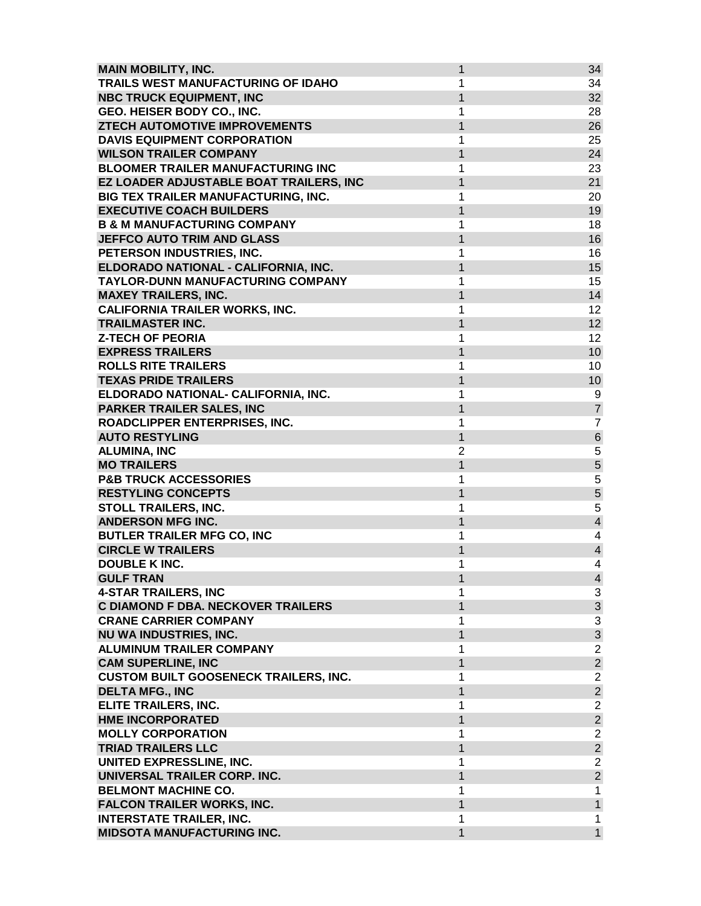| <b>MAIN MOBILITY, INC.</b>                       | 1                 | 34                                                  |
|--------------------------------------------------|-------------------|-----------------------------------------------------|
| TRAILS WEST MANUFACTURING OF IDAHO               | 1                 | 34                                                  |
| <b>NBC TRUCK EQUIPMENT, INC</b>                  | $\mathbf{1}$      | 32                                                  |
| GEO. HEISER BODY CO., INC.                       | 1                 | 28                                                  |
| ZTECH AUTOMOTIVE IMPROVEMENTS                    | 1                 | 26                                                  |
| <b>DAVIS EQUIPMENT CORPORATION</b>               | 1                 | 25                                                  |
| <b>WILSON TRAILER COMPANY</b>                    | 1                 | 24                                                  |
| <b>BLOOMER TRAILER MANUFACTURING INC</b>         | 1                 | 23                                                  |
| EZ LOADER ADJUSTABLE BOAT TRAILERS, INC          | 1                 | 21                                                  |
| BIG TEX TRAILER MANUFACTURING, INC.              | 1                 | 20                                                  |
| <b>EXECUTIVE COACH BUILDERS</b>                  | $\mathbf{1}$      | 19                                                  |
| <b>B &amp; M MANUFACTURING COMPANY</b>           | 1                 | 18                                                  |
| <b>JEFFCO AUTO TRIM AND GLASS</b>                | $\mathbf{1}$      | 16                                                  |
| PETERSON INDUSTRIES, INC.                        | 1                 | 16                                                  |
| ELDORADO NATIONAL - CALIFORNIA, INC.             | 1                 | 15                                                  |
| TAYLOR-DUNN MANUFACTURING COMPANY                | 1                 | 15                                                  |
| <b>MAXEY TRAILERS, INC.</b>                      | $\mathbf{1}$      | 14                                                  |
| <b>CALIFORNIA TRAILER WORKS, INC.</b>            | 1                 | 12                                                  |
| <b>TRAILMASTER INC.</b>                          | $\mathbf{1}$      | 12                                                  |
| <b>Z-TECH OF PEORIA</b>                          | 1                 | 12                                                  |
| <b>EXPRESS TRAILERS</b>                          | $\overline{1}$    | 10                                                  |
| <b>ROLLS RITE TRAILERS</b>                       | 1                 | 10                                                  |
| <b>TEXAS PRIDE TRAILERS</b>                      | 1                 | 10                                                  |
| ELDORADO NATIONAL- CALIFORNIA, INC.              | 1                 | 9                                                   |
| PARKER TRAILER SALES, INC                        | 1                 | $\overline{7}$                                      |
| ROADCLIPPER ENTERPRISES, INC.                    | 1                 | $\overline{7}$                                      |
| <b>AUTO RESTYLING</b>                            | 1                 | $\,6$                                               |
| <b>ALUMINA, INC</b>                              | $\overline{2}$    | 5                                                   |
| <b>MO TRAILERS</b>                               | $\overline{1}$    | $\overline{5}$                                      |
| <b>P&amp;B TRUCK ACCESSORIES</b>                 | 1                 | 5                                                   |
| <b>RESTYLING CONCEPTS</b>                        | 1                 | $\overline{5}$                                      |
|                                                  |                   | 5                                                   |
| STOLL TRAILERS, INC.<br><b>ANDERSON MFG INC.</b> | 1<br>$\mathbf{1}$ | $\overline{\mathbf{4}}$                             |
|                                                  |                   |                                                     |
| <b>BUTLER TRAILER MFG CO, INC</b>                | 1                 | $\overline{\mathcal{A}}$<br>$\overline{\mathbf{4}}$ |
| <b>CIRCLE W TRAILERS</b>                         | $\mathbf{1}$      |                                                     |
| <b>DOUBLE K INC.</b>                             | 1                 | $\overline{\mathbf{4}}$                             |
| <b>GULF TRAN</b>                                 | 1                 | $\overline{4}$                                      |
| <b>4-STAR TRAILERS, INC</b>                      | 1                 | 3                                                   |
| C DIAMOND F DBA. NECKOVER TRAILERS               | 1                 | $\mathfrak{S}$                                      |
| <b>CRANE CARRIER COMPANY</b>                     | 1                 | $\ensuremath{\mathsf{3}}$                           |
| <b>NU WA INDUSTRIES, INC.</b>                    | $\mathbf{1}$      | $\overline{3}$                                      |
| <b>ALUMINUM TRAILER COMPANY</b>                  | 1                 | $\overline{2}$                                      |
| <b>CAM SUPERLINE, INC</b>                        | $\mathbf{1}$      | $\overline{c}$                                      |
| <b>CUSTOM BUILT GOOSENECK TRAILERS, INC.</b>     | 1                 | $\overline{2}$                                      |
| <b>DELTA MFG., INC</b>                           | $\mathbf{1}$      | $\overline{2}$                                      |
| ELITE TRAILERS, INC.                             | 1                 | $\overline{2}$                                      |
| <b>HME INCORPORATED</b>                          | $\mathbf{1}$      | $\overline{a}$                                      |
| <b>MOLLY CORPORATION</b>                         | 1                 | $\overline{2}$                                      |
| <b>TRIAD TRAILERS LLC</b>                        | $\mathbf{1}$      | $\overline{a}$                                      |
| UNITED EXPRESSLINE, INC.                         | 1                 | $\overline{c}$                                      |
| UNIVERSAL TRAILER CORP. INC.                     | 1                 | $\overline{a}$                                      |
| <b>BELMONT MACHINE CO.</b>                       | 1                 | $\mathbf{1}$                                        |
| <b>FALCON TRAILER WORKS, INC.</b>                | $\mathbf{1}$      | $\mathbf{1}$                                        |
| <b>INTERSTATE TRAILER, INC.</b>                  | 1                 | 1                                                   |
| <b>MIDSOTA MANUFACTURING INC.</b>                | 1                 | $\mathbf{1}$                                        |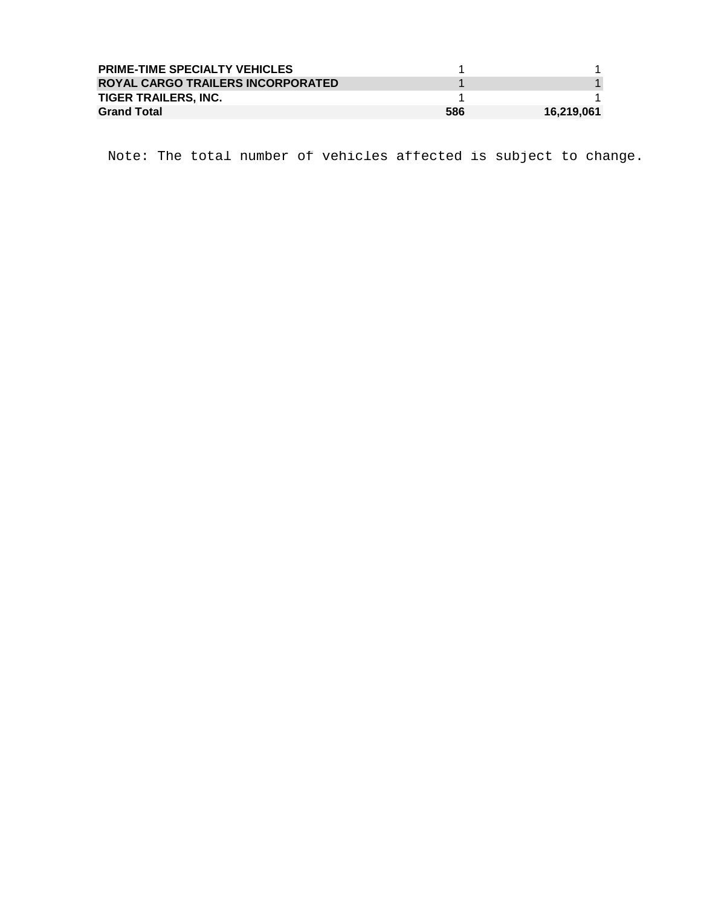| <b>PRIME-TIME SPECIALTY VEHICLES</b> |     |            |
|--------------------------------------|-----|------------|
| ROYAL CARGO TRAILERS INCORPORATED    |     |            |
| <b>TIGER TRAILERS. INC.</b>          |     |            |
| <b>Grand Total</b>                   | 586 | 16,219,061 |

Note: The total number of vehicles affected is subject to change.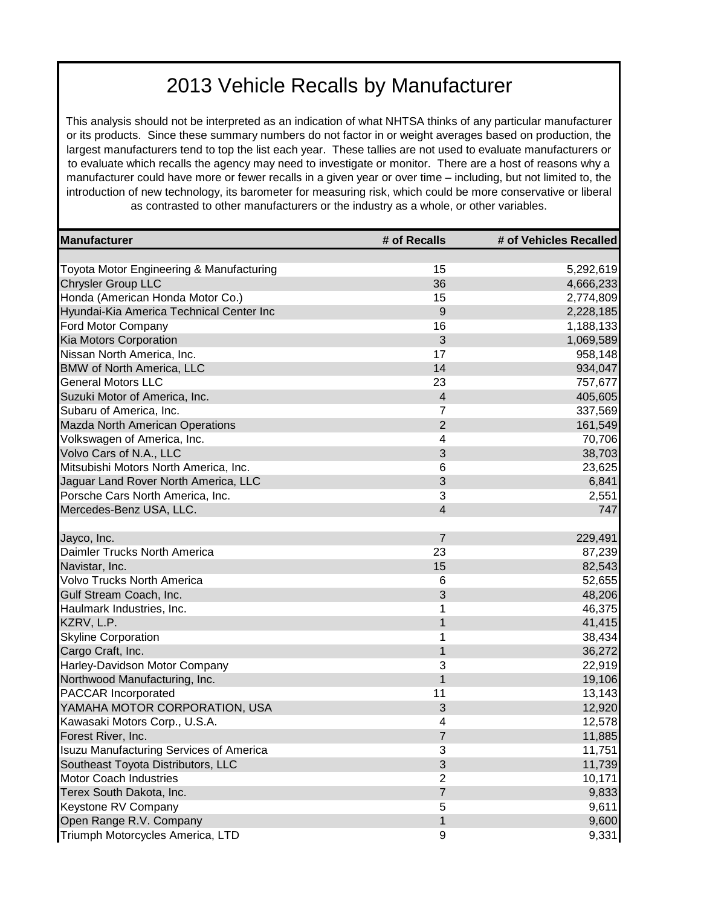This analysis should not be interpreted as an indication of what NHTSA thinks of any particular manufacturer or its products. Since these summary numbers do not factor in or weight averages based on production, the largest manufacturers tend to top the list each year. These tallies are not used to evaluate manufacturers or to evaluate which recalls the agency may need to investigate or monitor. There are a host of reasons why a manufacturer could have more or fewer recalls in a given year or over time – including, but not limited to, the introduction of new technology, its barometer for measuring risk, which could be more conservative or liberal as contrasted to other manufacturers or the industry as a whole, or other variables.

| Manufacturer                                   | # of Recalls            | # of Vehicles Recalled |
|------------------------------------------------|-------------------------|------------------------|
|                                                |                         |                        |
| Toyota Motor Engineering & Manufacturing       | 15                      | 5,292,619              |
| <b>Chrysler Group LLC</b>                      | 36                      | 4,666,233              |
| Honda (American Honda Motor Co.)               | 15                      | 2,774,809              |
| Hyundai-Kia America Technical Center Inc       | $\mathsf g$             | 2,228,185              |
| Ford Motor Company                             | 16                      | 1,188,133              |
| Kia Motors Corporation                         | 3                       | 1,069,589              |
| Nissan North America, Inc.                     | 17                      | 958,148                |
| <b>BMW of North America, LLC</b>               | 14                      | 934,047                |
| <b>General Motors LLC</b>                      | 23                      | 757,677                |
| Suzuki Motor of America, Inc.                  | $\overline{\mathbf{4}}$ | 405,605                |
| Subaru of America, Inc.                        | 7                       | 337,569                |
| <b>Mazda North American Operations</b>         | $\overline{2}$          | 161,549                |
| Volkswagen of America, Inc.                    | 4                       | 70,706                 |
| Volvo Cars of N.A., LLC                        | 3                       | 38,703                 |
| Mitsubishi Motors North America, Inc.          | 6                       | 23,625                 |
| Jaguar Land Rover North America, LLC           | 3                       | 6,841                  |
| Porsche Cars North America, Inc.               | 3                       | 2,551                  |
| Mercedes-Benz USA, LLC.                        | $\overline{4}$          | 747                    |
|                                                |                         |                        |
| Jayco, Inc.                                    | $\overline{7}$          | 229,491                |
| Daimler Trucks North America                   | 23                      | 87,239                 |
| Navistar, Inc.                                 | 15                      | 82,543                 |
| <b>Volvo Trucks North America</b>              | 6                       | 52,655                 |
| Gulf Stream Coach, Inc.                        | $\sqrt{3}$              | 48,206                 |
| Haulmark Industries, Inc.                      | 1                       | 46,375                 |
| KZRV, L.P.                                     | 1                       | 41,415                 |
| <b>Skyline Corporation</b>                     | 1                       | 38,434                 |
| Cargo Craft, Inc.                              | $\mathbf{1}$            | 36,272                 |
| Harley-Davidson Motor Company                  | 3                       | 22,919                 |
| Northwood Manufacturing, Inc.                  | $\mathbf{1}$            | 19,106                 |
| <b>PACCAR Incorporated</b>                     | 11                      | 13,143                 |
| YAMAHA MOTOR CORPORATION, USA                  | $\sqrt{3}$              | 12,920                 |
| Kawasaki Motors Corp., U.S.A.                  | 4                       | 12,578                 |
| Forest River, Inc.                             | $\overline{7}$          | 11,885                 |
| <b>Isuzu Manufacturing Services of America</b> | 3                       | 11,751                 |
| Southeast Toyota Distributors, LLC             | 3                       | 11,739                 |
| Motor Coach Industries                         | $\overline{2}$          | 10,171                 |
| Terex South Dakota, Inc.                       | $\overline{7}$          | 9,833                  |
| Keystone RV Company                            | 5                       | 9,611                  |
| Open Range R.V. Company                        | 1                       | 9,600                  |
| Triumph Motorcycles America, LTD               | 9                       | 9,331                  |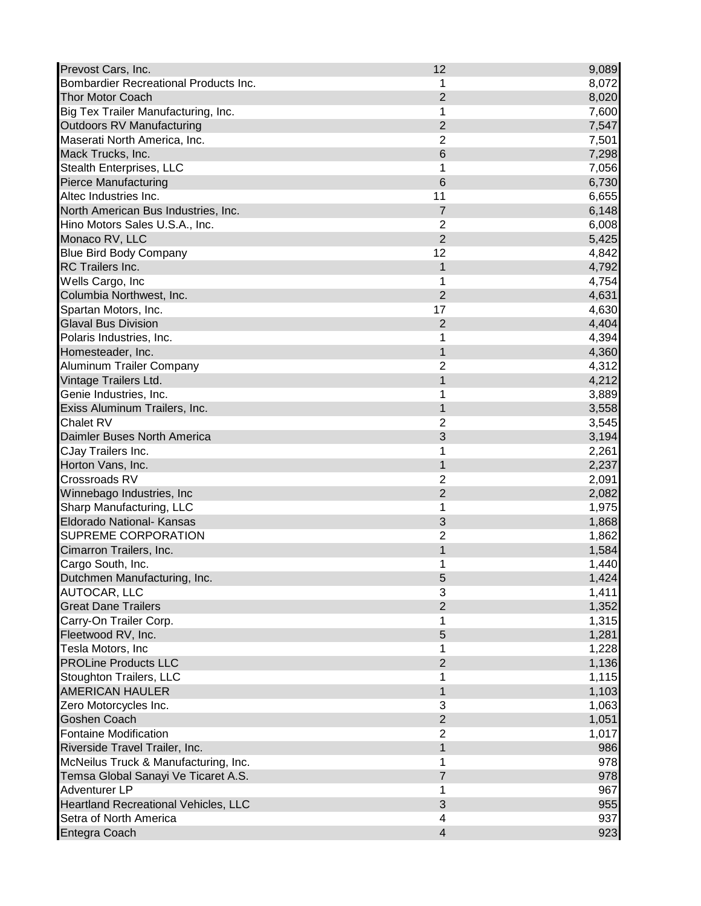| Prevost Cars, Inc.                          | 12             | 9,089 |
|---------------------------------------------|----------------|-------|
| Bombardier Recreational Products Inc.       | 1              | 8,072 |
| <b>Thor Motor Coach</b>                     | $\overline{2}$ | 8,020 |
| Big Tex Trailer Manufacturing, Inc.         | 1              | 7,600 |
| Outdoors RV Manufacturing                   | $\overline{2}$ | 7,547 |
| Maserati North America, Inc.                | $\overline{2}$ | 7,501 |
| Mack Trucks, Inc.                           | 6              | 7,298 |
| Stealth Enterprises, LLC                    | 1              | 7,056 |
| <b>Pierce Manufacturing</b>                 | 6              | 6,730 |
| Altec Industries Inc.                       | 11             | 6,655 |
| North American Bus Industries, Inc.         | 7              | 6,148 |
| Hino Motors Sales U.S.A., Inc.              | $\overline{2}$ | 6,008 |
| Monaco RV, LLC                              | $\overline{2}$ | 5,425 |
| <b>Blue Bird Body Company</b>               | 12             | 4,842 |
| RC Trailers Inc.                            | 1              | 4,792 |
| Wells Cargo, Inc                            | 1              | 4,754 |
| Columbia Northwest, Inc.                    | $\overline{2}$ | 4,631 |
| Spartan Motors, Inc.                        | 17             | 4,630 |
| <b>Glaval Bus Division</b>                  | $\overline{2}$ | 4,404 |
| Polaris Industries, Inc.                    | 1              | 4,394 |
| Homesteader, Inc.                           | 1              | 4,360 |
| <b>Aluminum Trailer Company</b>             | $\overline{2}$ | 4,312 |
| Vintage Trailers Ltd.                       | 1              | 4,212 |
| Genie Industries, Inc.                      | 1              | 3,889 |
| Exiss Aluminum Trailers, Inc.               | $\mathbf 1$    |       |
| Chalet RV                                   | $\overline{2}$ | 3,558 |
|                                             | 3              | 3,545 |
| Daimler Buses North America                 |                | 3,194 |
| CJay Trailers Inc.                          | 1              | 2,261 |
| Horton Vans, Inc.                           | 1              | 2,237 |
| Crossroads RV                               | $\overline{2}$ | 2,091 |
| Winnebago Industries, Inc                   | $\overline{2}$ | 2,082 |
| Sharp Manufacturing, LLC                    | 1              | 1,975 |
| Eldorado National- Kansas                   | 3              | 1,868 |
| SUPREME CORPORATION                         | $\overline{2}$ | 1,862 |
| Cimarron Trailers, Inc.                     | 1              | 1,584 |
| Cargo South, Inc.                           | 1              | 1,440 |
| Dutchmen Manufacturing, Inc.                | 5              | 1,424 |
| AUTOCAR, LLC                                | 3              | 1,411 |
| <b>Great Dane Trailers</b>                  | $\overline{2}$ | 1,352 |
| Carry-On Trailer Corp.                      | 1              | 1,315 |
| Fleetwood RV, Inc.                          | 5              | 1,281 |
| Tesla Motors, Inc                           | 1              | 1,228 |
| <b>PROLine Products LLC</b>                 | $\overline{2}$ | 1,136 |
| <b>Stoughton Trailers, LLC</b>              | 1              | 1,115 |
| <b>AMERICAN HAULER</b>                      | $\overline{1}$ | 1,103 |
| Zero Motorcycles Inc.                       | 3              | 1,063 |
| Goshen Coach                                | $\overline{2}$ | 1,051 |
| <b>Fontaine Modification</b>                | $\overline{2}$ | 1,017 |
| Riverside Travel Trailer, Inc.              | $\overline{1}$ | 986   |
| McNeilus Truck & Manufacturing, Inc.        | 1              | 978   |
| Temsa Global Sanayi Ve Ticaret A.S.         | $\overline{7}$ | 978   |
| Adventurer LP                               | 1              | 967   |
| <b>Heartland Recreational Vehicles, LLC</b> | 3              | 955   |
| Setra of North America                      | 4              | 937   |
| Entegra Coach                               | $\overline{4}$ | 923   |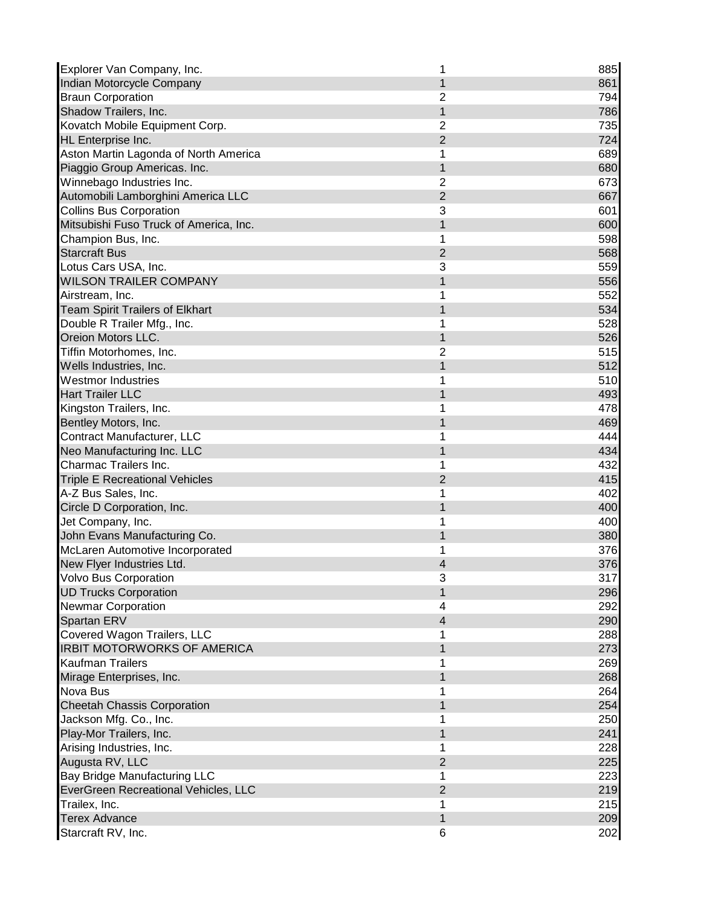| Explorer Van Company, Inc.             | 1                       | 885 |
|----------------------------------------|-------------------------|-----|
| Indian Motorcycle Company              | 1                       | 861 |
| <b>Braun Corporation</b>               | $\overline{2}$          | 794 |
| Shadow Trailers, Inc.                  | $\mathbf{1}$            | 786 |
| Kovatch Mobile Equipment Corp.         | $\overline{2}$          | 735 |
| HL Enterprise Inc.                     | $\overline{2}$          | 724 |
| Aston Martin Lagonda of North America  | 1                       | 689 |
| Piaggio Group Americas. Inc.           | 1                       | 680 |
| Winnebago Industries Inc.              | 2                       | 673 |
| Automobili Lamborghini America LLC     | $\overline{2}$          | 667 |
| <b>Collins Bus Corporation</b>         | 3                       | 601 |
| Mitsubishi Fuso Truck of America, Inc. | 1                       | 600 |
| Champion Bus, Inc.                     | 1                       | 598 |
| <b>Starcraft Bus</b>                   | $\overline{2}$          | 568 |
| Lotus Cars USA, Inc.                   | 3                       | 559 |
| <b>WILSON TRAILER COMPANY</b>          | 1                       | 556 |
| Airstream, Inc.                        | 1                       | 552 |
| <b>Team Spirit Trailers of Elkhart</b> | 1                       | 534 |
| Double R Trailer Mfg., Inc.            | 1                       | 528 |
| Oreion Motors LLC.                     | 1                       | 526 |
| Tiffin Motorhomes, Inc.                | $\overline{2}$          | 515 |
| Wells Industries, Inc.                 | 1                       | 512 |
| <b>Westmor Industries</b>              | 1                       | 510 |
| <b>Hart Trailer LLC</b>                | 1                       | 493 |
| Kingston Trailers, Inc.                | 1                       | 478 |
| Bentley Motors, Inc.                   | 1                       | 469 |
| Contract Manufacturer, LLC             | 1                       | 444 |
| Neo Manufacturing Inc. LLC             | 1                       | 434 |
| Charmac Trailers Inc.                  | 1                       | 432 |
| <b>Triple E Recreational Vehicles</b>  | $\overline{2}$          | 415 |
| A-Z Bus Sales, Inc.                    | 1                       | 402 |
| Circle D Corporation, Inc.             | 1                       | 400 |
| Jet Company, Inc.                      | 1                       | 400 |
| John Evans Manufacturing Co.           | 1                       | 380 |
| McLaren Automotive Incorporated        | 1                       | 376 |
| New Flyer Industries Ltd.              | 4                       | 376 |
| Volvo Bus Corporation                  | 3                       | 317 |
| <b>UD Trucks Corporation</b>           | 1                       | 296 |
| <b>Newmar Corporation</b>              | 4                       | 292 |
| Spartan ERV                            | $\overline{\mathbf{4}}$ | 290 |
| Covered Wagon Trailers, LLC            | 1                       | 288 |
| <b>IRBIT MOTORWORKS OF AMERICA</b>     | 1                       | 273 |
| Kaufman Trailers                       | 1                       |     |
|                                        | $\mathbf{1}$            | 269 |
| Mirage Enterprises, Inc.               |                         | 268 |
| Nova Bus                               |                         | 264 |
| <b>Cheetah Chassis Corporation</b>     | 1                       | 254 |
| Jackson Mfg. Co., Inc.                 | 1                       | 250 |
| Play-Mor Trailers, Inc.                | 1                       | 241 |
| Arising Industries, Inc.               | 1                       | 228 |
| Augusta RV, LLC                        | $\overline{2}$          | 225 |
| Bay Bridge Manufacturing LLC           | 1                       | 223 |
| EverGreen Recreational Vehicles, LLC   | $\overline{2}$          | 219 |
| Trailex, Inc.                          | 1                       | 215 |
| <b>Terex Advance</b>                   | 1                       | 209 |
| Starcraft RV, Inc.                     | 6                       | 202 |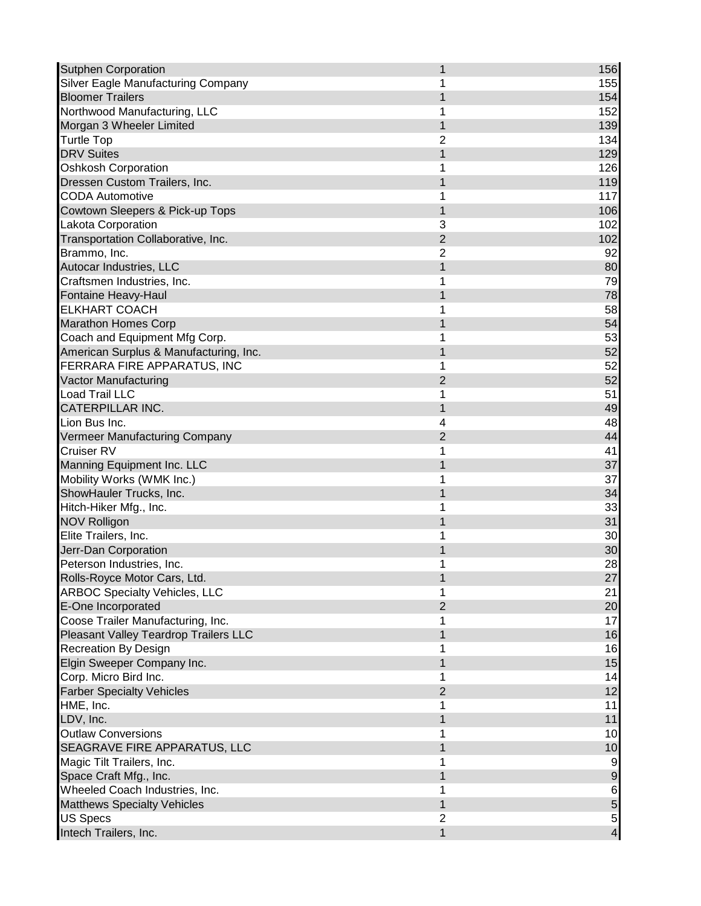| <b>Sutphen Corporation</b>             | 1              | 156              |
|----------------------------------------|----------------|------------------|
| Silver Eagle Manufacturing Company     | 1              | 155              |
| <b>Bloomer Trailers</b>                | 1              | 154              |
| Northwood Manufacturing, LLC           | 1              | 152              |
| Morgan 3 Wheeler Limited               | 1              | 139              |
| <b>Turtle Top</b>                      | $\overline{2}$ | 134              |
| <b>DRV Suites</b>                      | 1              | 129              |
| <b>Oshkosh Corporation</b>             | 1              | 126              |
| Dressen Custom Trailers, Inc.          | 1              | 119              |
| <b>CODA Automotive</b>                 | 1              | 117              |
| Cowtown Sleepers & Pick-up Tops        | $\mathbf{1}$   | 106              |
| Lakota Corporation                     | 3              | 102              |
| Transportation Collaborative, Inc.     | $\overline{2}$ | 102              |
| Brammo, Inc.                           | $\overline{2}$ | 92               |
| Autocar Industries, LLC                | 1              | 80               |
| Craftsmen Industries, Inc.             | 1              | 79               |
| Fontaine Heavy-Haul                    | 1              | 78               |
| <b>ELKHART COACH</b>                   | 1              | 58               |
| <b>Marathon Homes Corp</b>             | 1              | 54               |
| Coach and Equipment Mfg Corp.          | 1              | 53               |
| American Surplus & Manufacturing, Inc. | 1              | 52               |
| FERRARA FIRE APPARATUS, INC            | 1              | 52               |
| <b>Vactor Manufacturing</b>            | 2              | 52               |
| <b>Load Trail LLC</b>                  | 1              | 51               |
| <b>CATERPILLAR INC.</b>                | 1              | 49               |
| Lion Bus Inc.                          | 4              | 48               |
| Vermeer Manufacturing Company          | $\overline{2}$ | 44               |
| Cruiser RV                             | 1              | 41               |
| Manning Equipment Inc. LLC             | 1              | 37               |
| Mobility Works (WMK Inc.)              | 1              | 37               |
| ShowHauler Trucks, Inc.                | 1              | 34               |
| Hitch-Hiker Mfg., Inc.                 | 1              | 33               |
| <b>NOV Rolligon</b>                    | 1              | 31               |
| Elite Trailers, Inc.                   | 1              | 30               |
| Jerr-Dan Corporation                   | 1              | 30               |
| Peterson Industries, Inc.              | 1              | 28               |
|                                        |                |                  |
| Rolls-Royce Motor Cars, Ltd.           | 1              | 27               |
| <b>ARBOC Specialty Vehicles, LLC</b>   | 1              | 21               |
| E-One Incorporated                     | $\overline{2}$ | 20               |
| Coose Trailer Manufacturing, Inc.      | 1              | 17               |
| Pleasant Valley Teardrop Trailers LLC  | 1              | 16               |
| <b>Recreation By Design</b>            | 1              | 16               |
| Elgin Sweeper Company Inc.             | $\mathbf{1}$   | 15               |
| Corp. Micro Bird Inc.                  | 1              | 14               |
| <b>Farber Specialty Vehicles</b>       | $\overline{2}$ | 12               |
| HME, Inc.                              | 1              | 11               |
| LDV, Inc.                              | 1              | 11               |
| <b>Outlaw Conversions</b>              | 1              | 10               |
| SEAGRAVE FIRE APPARATUS, LLC           | 1              | 10               |
| Magic Tilt Trailers, Inc.              | 1              | $\boldsymbol{9}$ |
| Space Craft Mfg., Inc.                 | 1              | $\boldsymbol{9}$ |
| Wheeled Coach Industries, Inc.         | 1              | 6                |
| <b>Matthews Specialty Vehicles</b>     | 1              | 5                |
| <b>US Specs</b>                        | 2              | $\overline{5}$   |
| Intech Trailers, Inc.                  | 1              | $\overline{4}$   |